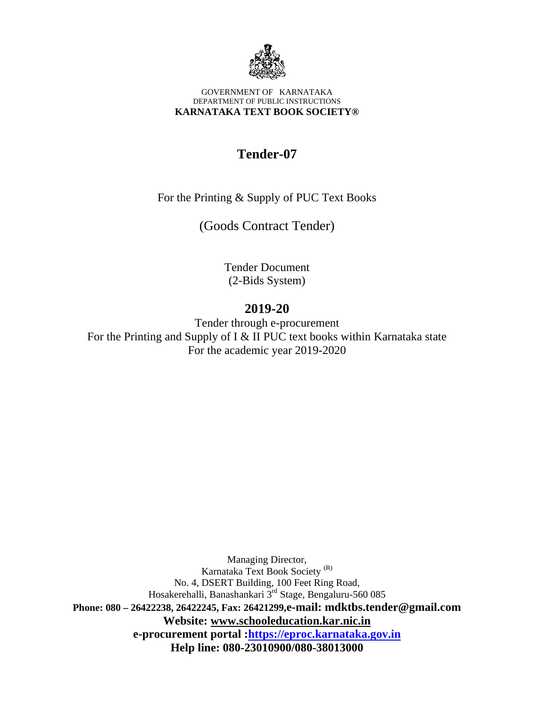

#### GOVERNMENT OF KARNATAKA DEPARTMENT OF PUBLIC INSTRUCTIONS **KARNATAKA TEXT BOOK SOCIETY®**

# **Tender-07**

For the Printing & Supply of PUC Text Books

(Goods Contract Tender)

Tender Document (2-Bids System)

# **2019-20**

Tender through e-procurement For the Printing and Supply of I & II PUC text books within Karnataka state For the academic year 2019-2020

Managing Director, Karnataka Text Book Society (R) No. 4, DSERT Building, 100 Feet Ring Road, Hosakerehalli, Banashankari 3<sup>rd</sup> Stage, Bengaluru-560 085 **Phone: 080 – 26422238, 26422245, Fax: 26421299,e-mail: mdktbs.tender@gmail.com Website: www.schooleducation.kar.nic.in e-procurement portal :https://eproc.karnataka.gov.in Help line: 080-23010900/080-38013000**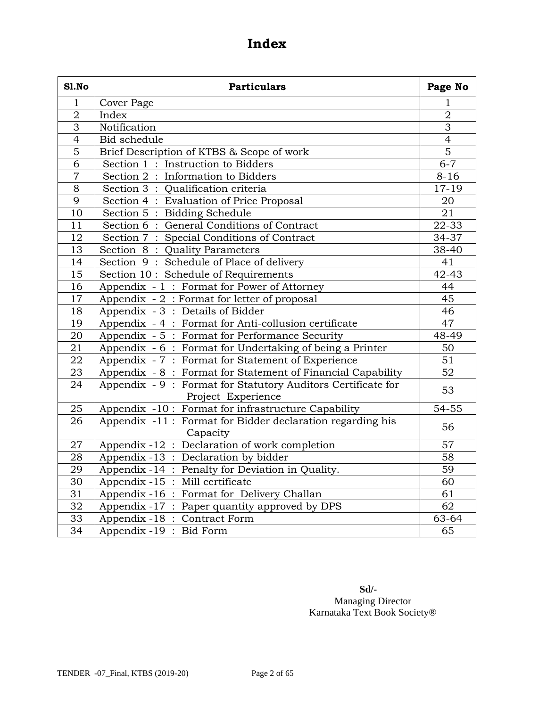# **Index**

| <b>S1.No</b>    | <b>Particulars</b>                                                                |                 |  |
|-----------------|-----------------------------------------------------------------------------------|-----------------|--|
| $\mathbf{1}$    | Cover Page                                                                        | 1               |  |
| $\sqrt{2}$      | Index                                                                             | $\overline{2}$  |  |
| $\overline{3}$  | Notification                                                                      | $\overline{3}$  |  |
| $\overline{4}$  | <b>Bid schedule</b>                                                               | $\overline{4}$  |  |
| $\overline{5}$  | Brief Description of KTBS & Scope of work                                         | $\overline{5}$  |  |
| $\overline{6}$  | Section 1: Instruction to Bidders                                                 | $6 - 7$         |  |
| $\overline{7}$  | Section 2: Information to Bidders                                                 | $8 - 16$        |  |
| 8               | Section 3 : Qualification criteria                                                | $17 - 19$       |  |
| $\overline{9}$  | Section 4: Evaluation of Price Proposal                                           | 20              |  |
| 10              | Section 5: Bidding Schedule                                                       | 21              |  |
| 11              | Section 6: General Conditions of Contract                                         | 22-33           |  |
| 12              | Section 7: Special Conditions of Contract                                         | 34-37           |  |
| 13              | Section 8: Quality Parameters                                                     | 38-40           |  |
| 14              | Section 9: Schedule of Place of delivery                                          | 41              |  |
| 15              | Section 10: Schedule of Requirements                                              | $42 - 43$       |  |
| 16              | Appendix - 1: Format for Power of Attorney                                        | 44              |  |
| $\overline{17}$ | Appendix - 2: Format for letter of proposal                                       | 45              |  |
| 18              | Appendix - 3: Details of Bidder                                                   | 46              |  |
| $\overline{19}$ | Appendix - 4 : Format for Anti-collusion certificate                              | 47              |  |
| 20              | Appendix - 5 : Format for Performance Security                                    | 48-49           |  |
| 21              | Appendix - 6: Format for Undertaking of being a Printer                           | 50              |  |
| $\overline{22}$ | Appendix - 7 : Format for Statement of Experience                                 | $\overline{51}$ |  |
| 23              | Appendix - 8: Format for Statement of Financial Capability                        | $\overline{52}$ |  |
| 24              | Appendix - 9: Format for Statutory Auditors Certificate for<br>Project Experience | 53              |  |
| 25              | Appendix -10: Format for infrastructure Capability                                | $54 - 55$       |  |
| 26              | Appendix -11: Format for Bidder declaration regarding his<br>Capacity             | 56              |  |
| 27              | Appendix -12 : Declaration of work completion                                     | 57              |  |
| 28              | Appendix -13 : Declaration by bidder                                              | 58              |  |
| 29              | Appendix -14 : Penalty for Deviation in Quality.                                  | 59              |  |
| $\overline{30}$ | Appendix -15 : Mill certificate                                                   | 60              |  |
| $\overline{31}$ | Appendix -16 : Format for Delivery Challan                                        | 61              |  |
| 32              | Appendix -17 : Paper quantity approved by DPS                                     | 62              |  |
| 33              | Appendix -18 : Contract Form                                                      | 63-64           |  |
| $\overline{34}$ | Appendix -19 : Bid Form                                                           | 65              |  |

**Sd/-**  Managing Director Karnataka Text Book Society®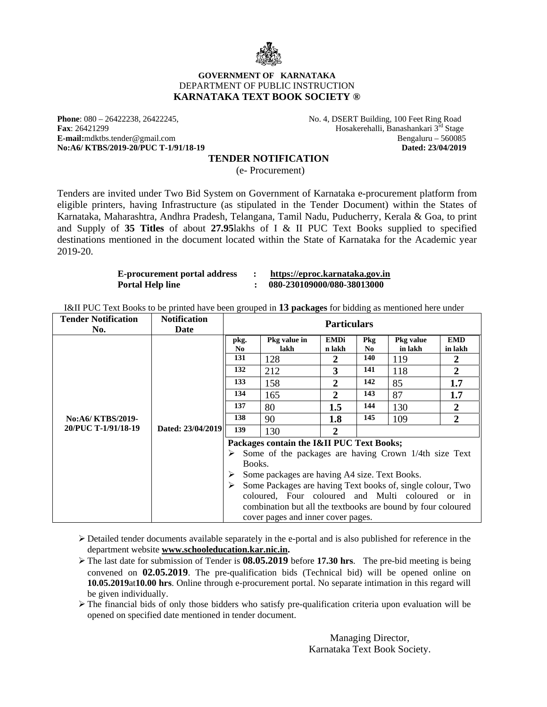

#### **GOVERNMENT OF KARNATAKA**  DEPARTMENT OF PUBLIC INSTRUCTION **KARNATAKA TEXT BOOK SOCIETY ®**

No:A6/ KTBS/2019-20/PUC T-1/91/18-19

**Phone**: 080 – 26422238, 26422245, No. 4, DSERT Building, 100 Feet Ring Road<br> **Fax**: 26421299 Hosakerehalli, Banashankari 3<sup>rd</sup> Stage Hosakerehalli, Banashankari 3<sup>rd</sup> Stage<br>Bengaluru – 560085 **E-mail:**mdktbs.tender@gmail.com Bengaluru – 560085<br> **No:A6/ KTBS/2019-20/PUC T-1/91/18-19 Dated:** 23/04/2019 **Dated:** 23/04/2019

#### **TENDER NOTIFICATION**

(e- Procurement)

Tenders are invited under Two Bid System on Government of Karnataka e-procurement platform from eligible printers, having Infrastructure (as stipulated in the Tender Document) within the States of Karnataka, Maharashtra, Andhra Pradesh, Telangana, Tamil Nadu, Puducherry, Kerala & Goa, to print and Supply of **35 Titles** of about **27.95**lakhs of I & II PUC Text Books supplied to specified destinations mentioned in the document located within the State of Karnataka for the Academic year 2019-20.

| <b>E-procurement portal address</b> | https://eproc.karnataka.gov.in |
|-------------------------------------|--------------------------------|
| Portal Help line                    | 080-230109000/080-38013000     |

I&II PUC Text Books to be printed have been grouped in **13 packages** for bidding as mentioned here under

| <b>Tender Notification</b><br>No.        | <b>Notification</b><br>Date | <b>Particulars</b>                                        |                                                                                                                                                                                                                                                                                                                                                                             |                                                                       |                                                                 |                                                       |                                                                                               |
|------------------------------------------|-----------------------------|-----------------------------------------------------------|-----------------------------------------------------------------------------------------------------------------------------------------------------------------------------------------------------------------------------------------------------------------------------------------------------------------------------------------------------------------------------|-----------------------------------------------------------------------|-----------------------------------------------------------------|-------------------------------------------------------|-----------------------------------------------------------------------------------------------|
|                                          |                             | pkg.<br>N <sub>0</sub><br>131<br>132<br>133<br>134<br>137 | Pkg value in<br>lakh<br>128<br>212<br>158<br>165<br>80                                                                                                                                                                                                                                                                                                                      | <b>EMDi</b><br>n lakh<br>2<br>3<br>$\mathbf{2}$<br>$\mathbf 2$<br>1.5 | <b>Pkg</b><br>N <sub>0</sub><br>140<br>141<br>142<br>143<br>144 | Pkg value<br>in lakh<br>119<br>118<br>85<br>87<br>130 | <b>EMD</b><br>in lakh<br>$\boldsymbol{2}$<br>$\overline{2}$<br>1.7<br>1.7<br>$\boldsymbol{2}$ |
| No:A6/ KTBS/2019-<br>20/PUC T-1/91/18-19 | Dated: 23/04/2019           | 138<br>139                                                | 90<br>130                                                                                                                                                                                                                                                                                                                                                                   | 1.8<br>2                                                              | 145                                                             | 109                                                   | $\overline{2}$                                                                                |
|                                          |                             | ➤<br>Books.<br>➤                                          | Packages contain the I&II PUC Text Books;<br>Some of the packages are having Crown 1/4th size Text<br>Some packages are having A4 size. Text Books.<br>Some Packages are having Text books of, single colour, Two<br>coloured, Four coloured and Multi coloured or in<br>combination but all the textbooks are bound by four coloured<br>cover pages and inner cover pages. |                                                                       |                                                                 |                                                       |                                                                                               |

 $\triangleright$  Detailed tender documents available separately in the e-portal and is also published for reference in the department website **www.schooleducation.kar.nic.in.**

 The last date for submission of Tender is **08.05.2019** before **17.30 hrs**. The pre-bid meeting is being convened on **02.05.2019**. The pre-qualification bids (Technical bid) will be opened online on **10.05.2019**at**10.00 hrs**. Online through e-procurement portal. No separate intimation in this regard will be given individually.

 $\triangleright$  The financial bids of only those bidders who satisfy pre-qualification criteria upon evaluation will be opened on specified date mentioned in tender document.

> Managing Director, Karnataka Text Book Society.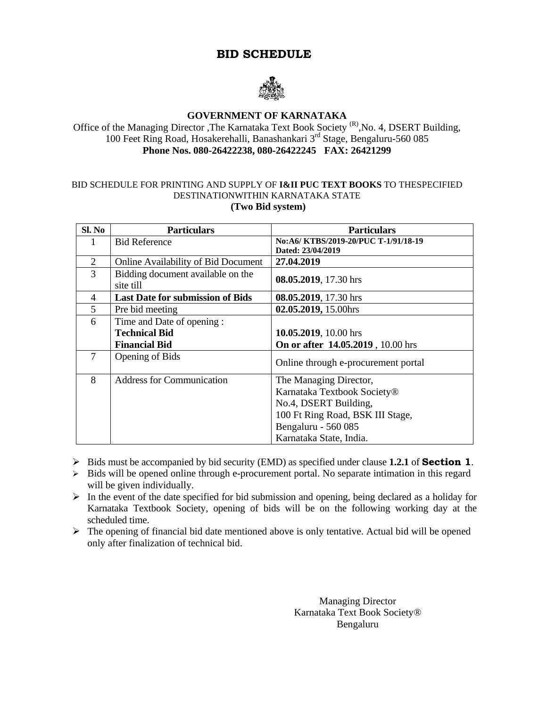# **BID SCHEDULE**



#### **GOVERNMENT OF KARNATAKA**

Office of the Managing Director ,The Karnataka Text Book Society <sup>(R)</sup>,No. 4, DSERT Building, 100 Feet Ring Road, Hosakerehalli, Banashankari 3rd Stage, Bengaluru-560 085 **Phone Nos. 080-26422238, 080-26422245 FAX: 26421299** 

#### BID SCHEDULE FOR PRINTING AND SUPPLY OF **I&II PUC TEXT BOOKS** TO THESPECIFIED DESTINATIONWITHIN KARNATAKA STATE  **(Two Bid system)**

| SI. No         | <b>Particulars</b>                         | <b>Particulars</b>                  |
|----------------|--------------------------------------------|-------------------------------------|
|                | <b>Bid Reference</b>                       | No:A6/KTBS/2019-20/PUC T-1/91/18-19 |
|                |                                            | Dated: 23/04/2019                   |
| 2              | <b>Online Availability of Bid Document</b> | 27.04.2019                          |
| 3              | Bidding document available on the          | 08.05.2019, 17.30 hrs               |
|                | site till                                  |                                     |
| $\overline{4}$ | <b>Last Date for submission of Bids</b>    | 08.05.2019, 17.30 hrs               |
| 5              | Pre bid meeting                            | 02.05.2019, 15.00hrs                |
| 6              | Time and Date of opening :                 |                                     |
|                | <b>Technical Bid</b>                       | 10.05.2019, 10.00 hrs               |
|                | <b>Financial Bid</b>                       | On or after 14.05.2019, 10.00 hrs   |
| 7              | Opening of Bids                            | Online through e-procurement portal |
|                |                                            |                                     |
| 8              | <b>Address for Communication</b>           | The Managing Director,              |
|                |                                            | Karnataka Textbook Society®         |
|                |                                            | No.4, DSERT Building,               |
|                |                                            | 100 Ft Ring Road, BSK III Stage,    |
|                |                                            | Bengaluru - 560 085                 |
|                |                                            | Karnataka State, India.             |

- Bids must be accompanied by bid security (EMD) as specified under clause **1.2.1** of **Section 1**.
- $\triangleright$  Bids will be opened online through e-procurement portal. No separate intimation in this regard will be given individually.
- $\triangleright$  In the event of the date specified for bid submission and opening, being declared as a holiday for Karnataka Textbook Society, opening of bids will be on the following working day at the scheduled time.
- $\triangleright$  The opening of financial bid date mentioned above is only tentative. Actual bid will be opened only after finalization of technical bid.

Managing Director Karnataka Text Book Society® Bengaluru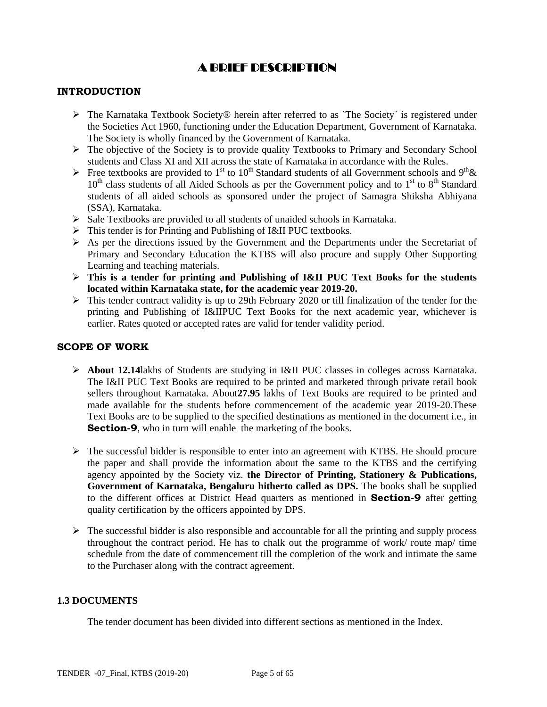# A BRIEF DESCRIPTION

#### **INTRODUCTION**

- $\triangleright$  The Karnataka Textbook Society® herein after referred to as `The Society` is registered under the Societies Act 1960, functioning under the Education Department, Government of Karnataka. The Society is wholly financed by the Government of Karnataka.
- $\triangleright$  The objective of the Society is to provide quality Textbooks to Primary and Secondary School students and Class XI and XII across the state of Karnataka in accordance with the Rules.
- Free textbooks are provided to 1<sup>st</sup> to 10<sup>th</sup> Standard students of all Government schools and 9<sup>th</sup> &  $10<sup>th</sup>$  class students of all Aided Schools as per the Government policy and to  $1<sup>st</sup>$  to  $8<sup>th</sup>$  Standard students of all aided schools as sponsored under the project of Samagra Shiksha Abhiyana (SSA), Karnataka.
- $\triangleright$  Sale Textbooks are provided to all students of unaided schools in Karnataka.
- This tender is for Printing and Publishing of I&II PUC textbooks.
- $\triangleright$  As per the directions issued by the Government and the Departments under the Secretariat of Primary and Secondary Education the KTBS will also procure and supply Other Supporting Learning and teaching materials.
- **This is a tender for printing and Publishing of I&II PUC Text Books for the students located within Karnataka state, for the academic year 2019-20.**
- $\triangleright$  This tender contract validity is up to 29th February 2020 or till finalization of the tender for the printing and Publishing of I&IIPUC Text Books for the next academic year, whichever is earlier. Rates quoted or accepted rates are valid for tender validity period.

#### **SCOPE OF WORK**

- **About 12.14**lakhs of Students are studying in I&II PUC classes in colleges across Karnataka. The I&II PUC Text Books are required to be printed and marketed through private retail book sellers throughout Karnataka. About**27.95** lakhs of Text Books are required to be printed and made available for the students before commencement of the academic year 2019-20.These Text Books are to be supplied to the specified destinations as mentioned in the document i.e., in **Section-9**, who in turn will enable the marketing of the books.
- $\triangleright$  The successful bidder is responsible to enter into an agreement with KTBS. He should procure the paper and shall provide the information about the same to the KTBS and the certifying agency appointed by the Society viz. **the Director of Printing, Stationery & Publications, Government of Karnataka, Bengaluru hitherto called as DPS.** The books shall be supplied to the different offices at District Head quarters as mentioned in **Section-9** after getting quality certification by the officers appointed by DPS.
- $\triangleright$  The successful bidder is also responsible and accountable for all the printing and supply process throughout the contract period. He has to chalk out the programme of work/ route map/ time schedule from the date of commencement till the completion of the work and intimate the same to the Purchaser along with the contract agreement.

#### **1.3 DOCUMENTS**

The tender document has been divided into different sections as mentioned in the Index.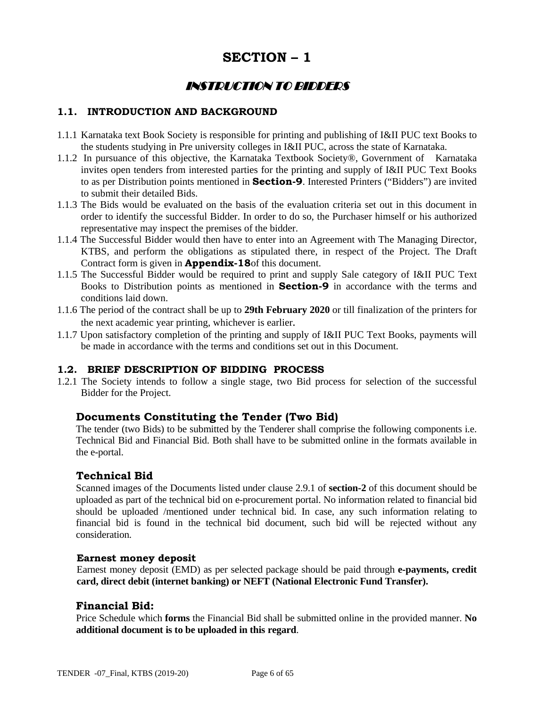# **SECTION – 1**

# INSTRUCTION TO BIDDERS

### **1.1. INTRODUCTION AND BACKGROUND**

- 1.1.1 Karnataka text Book Society is responsible for printing and publishing of I&II PUC text Books to the students studying in Pre university colleges in I&II PUC, across the state of Karnataka.
- 1.1.2 In pursuance of this objective, the Karnataka Textbook Society®, Government of Karnataka invites open tenders from interested parties for the printing and supply of I&II PUC Text Books to as per Distribution points mentioned in **Section-9**. Interested Printers ("Bidders") are invited to submit their detailed Bids.
- 1.1.3 The Bids would be evaluated on the basis of the evaluation criteria set out in this document in order to identify the successful Bidder. In order to do so, the Purchaser himself or his authorized representative may inspect the premises of the bidder.
- 1.1.4 The Successful Bidder would then have to enter into an Agreement with The Managing Director, KTBS, and perform the obligations as stipulated there, in respect of the Project. The Draft Contract form is given in **Appendix-18**of this document.
- 1.1.5 The Successful Bidder would be required to print and supply Sale category of I&II PUC Text Books to Distribution points as mentioned in **Section-9** in accordance with the terms and conditions laid down.
- 1.1.6 The period of the contract shall be up to **29th February 2020** or till finalization of the printers for the next academic year printing, whichever is earlier.
- 1.1.7 Upon satisfactory completion of the printing and supply of I&II PUC Text Books, payments will be made in accordance with the terms and conditions set out in this Document.

#### **1.2. BRIEF DESCRIPTION OF BIDDING PROCESS**

1.2.1 The Society intends to follow a single stage, two Bid process for selection of the successful Bidder for the Project.

#### **Documents Constituting the Tender (Two Bid)**

 The tender (two Bids) to be submitted by the Tenderer shall comprise the following components i.e. Technical Bid and Financial Bid. Both shall have to be submitted online in the formats available in the e-portal.

#### **Technical Bid**

 Scanned images of the Documents listed under clause 2.9.1 of **section-2** of this document should be uploaded as part of the technical bid on e-procurement portal. No information related to financial bid should be uploaded /mentioned under technical bid. In case, any such information relating to financial bid is found in the technical bid document, such bid will be rejected without any consideration.

#### **Earnest money deposit**

Earnest money deposit (EMD) as per selected package should be paid through **e-payments, credit card, direct debit (internet banking) or NEFT (National Electronic Fund Transfer).**

#### **Financial Bid:**

Price Schedule which **forms** the Financial Bid shall be submitted online in the provided manner. **No additional document is to be uploaded in this regard**.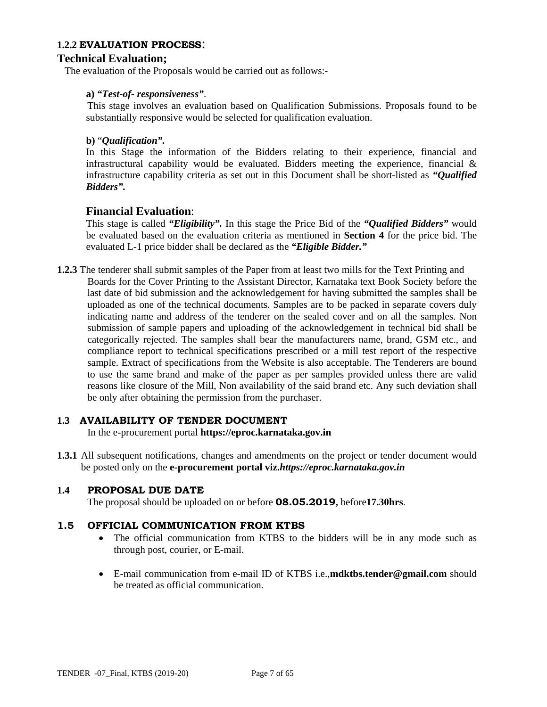#### **1.2.2 EVALUATION PROCESS**:

### **Technical Evaluation;**

The evaluation of the Proposals would be carried out as follows:-

#### **a)** *"Test-of- responsiveness"*.

This stage involves an evaluation based on Qualification Submissions. Proposals found to be substantially responsive would be selected for qualification evaluation.

#### **b)** "*Qualification".*

In this Stage the information of the Bidders relating to their experience, financial and infrastructural capability would be evaluated. Bidders meeting the experience, financial  $\&$ infrastructure capability criteria as set out in this Document shall be short-listed as *"Qualified Bidders".* 

#### **Financial Evaluation**:

This stage is called *"Eligibility".* In this stage the Price Bid of the *"Qualified Bidders"* would be evaluated based on the evaluation criteria as mentioned in **Section 4** for the price bid. The evaluated L-1 price bidder shall be declared as the *"Eligible Bidder."* 

**1.2.3** The tenderer shall submit samples of the Paper from at least two mills for the Text Printing and Boards for the Cover Printing to the Assistant Director, Karnataka text Book Society before the last date of bid submission and the acknowledgement for having submitted the samples shall be uploaded as one of the technical documents. Samples are to be packed in separate covers duly indicating name and address of the tenderer on the sealed cover and on all the samples. Non submission of sample papers and uploading of the acknowledgement in technical bid shall be categorically rejected. The samples shall bear the manufacturers name, brand, GSM etc., and compliance report to technical specifications prescribed or a mill test report of the respective sample. Extract of specifications from the Website is also acceptable. The Tenderers are bound to use the same brand and make of the paper as per samples provided unless there are valid reasons like closure of the Mill, Non availability of the said brand etc. Any such deviation shall be only after obtaining the permission from the purchaser.

#### **1.3 AVAILABILITY OF TENDER DOCUMENT**

In the e-procurement portal **https://eproc.karnataka.gov.in**

**1.3.1** All subsequent notifications, changes and amendments on the project or tender document would be posted only on the **e-procurement portal viz.***https://eproc.karnataka.gov.in*

#### **1.4 PROPOSAL DUE DATE**

The proposal should be uploaded on or before **08.05.2019,** before**17.30hrs**.

#### **1.5 OFFICIAL COMMUNICATION FROM KTBS**

- The official communication from KTBS to the bidders will be in any mode such as through post, courier, or E-mail.
- E-mail communication from e-mail ID of KTBS i.e.,**mdktbs.tender@gmail.com** should be treated as official communication.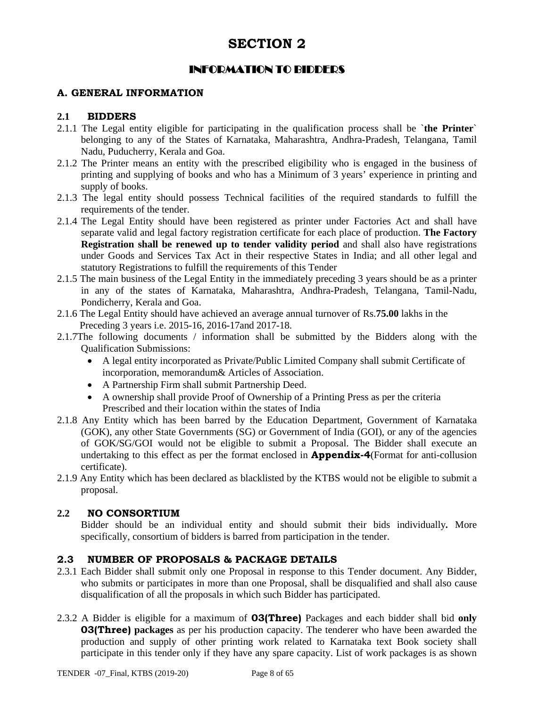# INFORMATION TO BIDDERS

### **A. GENERAL INFORMATION**

#### **2.1 BIDDERS**

- 2.1.1 The Legal entity eligible for participating in the qualification process shall be `**the Printer**` belonging to any of the States of Karnataka, Maharashtra, Andhra-Pradesh, Telangana, Tamil Nadu, Puducherry, Kerala and Goa.
- 2.1.2 The Printer means an entity with the prescribed eligibility who is engaged in the business of printing and supplying of books and who has a Minimum of 3 years' experience in printing and supply of books.
- 2.1.3 The legal entity should possess Technical facilities of the required standards to fulfill the requirements of the tender.
- 2.1.4 The Legal Entity should have been registered as printer under Factories Act and shall have separate valid and legal factory registration certificate for each place of production. **The Factory Registration shall be renewed up to tender validity period** and shall also have registrations under Goods and Services Tax Act in their respective States in India; and all other legal and statutory Registrations to fulfill the requirements of this Tender
- 2.1.5 The main business of the Legal Entity in the immediately preceding 3 years should be as a printer in any of the states of Karnataka, Maharashtra, Andhra-Pradesh, Telangana, Tamil-Nadu, Pondicherry, Kerala and Goa.
- 2.1.6 The Legal Entity should have achieved an average annual turnover of Rs.**75.00** lakhs in the Preceding 3 years i.e. 2015-16, 2016-17and 2017-18.
- 2.1.7The following documents / information shall be submitted by the Bidders along with the Qualification Submissions:
	- A legal entity incorporated as Private/Public Limited Company shall submit Certificate of incorporation, memorandum& Articles of Association.
	- A Partnership Firm shall submit Partnership Deed.
	- A ownership shall provide Proof of Ownership of a Printing Press as per the criteria Prescribed and their location within the states of India
- 2.1.8 Any Entity which has been barred by the Education Department, Government of Karnataka (GOK), any other State Governments (SG) or Government of India (GOI), or any of the agencies of GOK/SG/GOI would not be eligible to submit a Proposal. The Bidder shall execute an undertaking to this effect as per the format enclosed in **Appendix-4**(Format for anti-collusion certificate).
- 2.1.9 Any Entity which has been declared as blacklisted by the KTBS would not be eligible to submit a proposal.

#### **2.2 NO CONSORTIUM**

 Bidder should be an individual entity and should submit their bids individually*.* More specifically, consortium of bidders is barred from participation in the tender.

### **2.3 NUMBER OF PROPOSALS & PACKAGE DETAILS**

- 2.3.1 Each Bidder shall submit only one Proposal in response to this Tender document. Any Bidder, who submits or participates in more than one Proposal, shall be disqualified and shall also cause disqualification of all the proposals in which such Bidder has participated.
- 2.3.2 A Bidder is eligible for a maximum of **03(Three)** Packages and each bidder shall bid **only 03(Three)** packages as per his production capacity. The tenderer who have been awarded the production and supply of other printing work related to Karnataka text Book society shall participate in this tender only if they have any spare capacity. List of work packages is as shown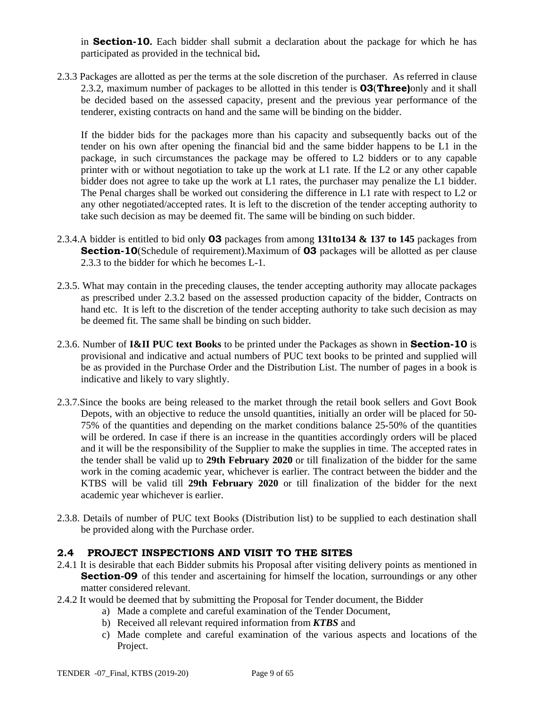in **Section-10.** Each bidder shall submit a declaration about the package for which he has participated as provided in the technical bid**.** 

2.3.3 Packages are allotted as per the terms at the sole discretion of the purchaser. As referred in clause 2.3.2, maximum number of packages to be allotted in this tender is **03**(**Three)**only and it shall be decided based on the assessed capacity, present and the previous year performance of the tenderer, existing contracts on hand and the same will be binding on the bidder.

If the bidder bids for the packages more than his capacity and subsequently backs out of the tender on his own after opening the financial bid and the same bidder happens to be L1 in the package, in such circumstances the package may be offered to L2 bidders or to any capable printer with or without negotiation to take up the work at L1 rate. If the L2 or any other capable bidder does not agree to take up the work at L1 rates, the purchaser may penalize the L1 bidder. The Penal charges shall be worked out considering the difference in L1 rate with respect to L2 or any other negotiated/accepted rates. It is left to the discretion of the tender accepting authority to take such decision as may be deemed fit. The same will be binding on such bidder.

- 2.3.4.A bidder is entitled to bid only **03** packages from among **131to134 & 137 to 145** packages from **Section-10**(Schedule of requirement).Maximum of **03** packages will be allotted as per clause 2.3.3 to the bidder for which he becomes L-1.
- 2.3.5. What may contain in the preceding clauses, the tender accepting authority may allocate packages as prescribed under 2.3.2 based on the assessed production capacity of the bidder, Contracts on hand etc. It is left to the discretion of the tender accepting authority to take such decision as may be deemed fit. The same shall be binding on such bidder.
- 2.3.6. Number of **I&II PUC text Books** to be printed under the Packages as shown in **Section-10** is provisional and indicative and actual numbers of PUC text books to be printed and supplied will be as provided in the Purchase Order and the Distribution List. The number of pages in a book is indicative and likely to vary slightly.
- 2.3.7.Since the books are being released to the market through the retail book sellers and Govt Book Depots, with an objective to reduce the unsold quantities, initially an order will be placed for 50- 75% of the quantities and depending on the market conditions balance 25-50% of the quantities will be ordered. In case if there is an increase in the quantities accordingly orders will be placed and it will be the responsibility of the Supplier to make the supplies in time. The accepted rates in the tender shall be valid up to **29th February 2020** or till finalization of the bidder for the same work in the coming academic year, whichever is earlier. The contract between the bidder and the KTBS will be valid till **29th February 2020** or till finalization of the bidder for the next academic year whichever is earlier.
- 2.3.8. Details of number of PUC text Books (Distribution list) to be supplied to each destination shall be provided along with the Purchase order.

#### **2.4 PROJECT INSPECTIONS AND VISIT TO THE SITES**

- 2.4.1 It is desirable that each Bidder submits his Proposal after visiting delivery points as mentioned in **Section-09** of this tender and ascertaining for himself the location, surroundings or any other matter considered relevant.
- 2.4.2 It would be deemed that by submitting the Proposal for Tender document, the Bidder
	- a) Made a complete and careful examination of the Tender Document,
	- b) Received all relevant required information from *KTBS* and
	- c) Made complete and careful examination of the various aspects and locations of the Project.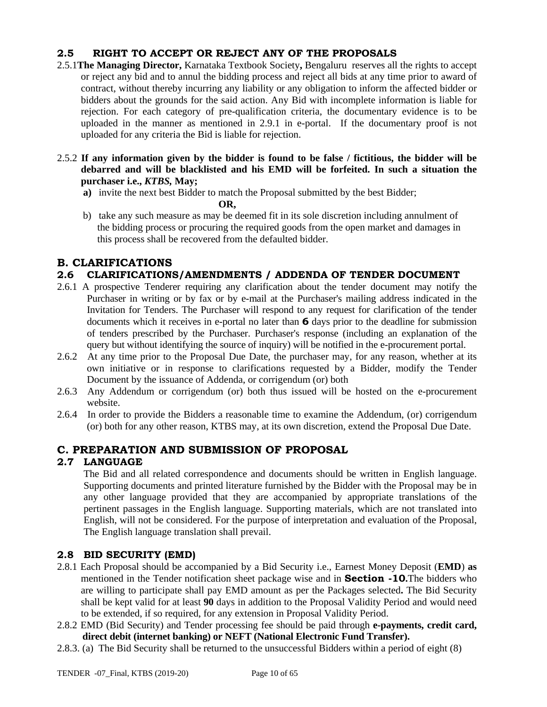### **2.5 RIGHT TO ACCEPT OR REJECT ANY OF THE PROPOSALS**

- 2.5.1**The Managing Director,** Karnataka Textbook Society**,** Bengaluru reserves all the rights to accept or reject any bid and to annul the bidding process and reject all bids at any time prior to award of contract, without thereby incurring any liability or any obligation to inform the affected bidder or bidders about the grounds for the said action. Any Bid with incomplete information is liable for rejection. For each category of pre-qualification criteria, the documentary evidence is to be uploaded in the manner as mentioned in 2.9.1 in e-portal. If the documentary proof is not uploaded for any criteria the Bid is liable for rejection.
- 2.5.2 **If any information given by the bidder is found to be false / fictitious, the bidder will be debarred and will be blacklisted and his EMD will be forfeited. In such a situation the purchaser i.e.,** *KTBS,* **May;** 
	- **a)** invite the next best Bidder to match the Proposal submitted by the best Bidder;

```
OR,
```
b) take any such measure as may be deemed fit in its sole discretion including annulment of the bidding process or procuring the required goods from the open market and damages in this process shall be recovered from the defaulted bidder.

# **B. CLARIFICATIONS**

### **2.6 CLARIFICATIONS/AMENDMENTS / ADDENDA OF TENDER DOCUMENT**

- 2.6.1 A prospective Tenderer requiring any clarification about the tender document may notify the Purchaser in writing or by fax or by e-mail at the Purchaser's mailing address indicated in the Invitation for Tenders. The Purchaser will respond to any request for clarification of the tender documents which it receives in e-portal no later than **6** days prior to the deadline for submission of tenders prescribed by the Purchaser. Purchaser's response (including an explanation of the query but without identifying the source of inquiry) will be notified in the e-procurement portal.
- 2.6.2 At any time prior to the Proposal Due Date, the purchaser may, for any reason, whether at its own initiative or in response to clarifications requested by a Bidder, modify the Tender Document by the issuance of Addenda, or corrigendum (or) both
- 2.6.3 Any Addendum or corrigendum (or) both thus issued will be hosted on the e-procurement website.
- 2.6.4 In order to provide the Bidders a reasonable time to examine the Addendum, (or) corrigendum (or) both for any other reason, KTBS may, at its own discretion, extend the Proposal Due Date.

### **C. PREPARATION AND SUBMISSION OF PROPOSAL**

### **2.7 LANGUAGE**

The Bid and all related correspondence and documents should be written in English language. Supporting documents and printed literature furnished by the Bidder with the Proposal may be in any other language provided that they are accompanied by appropriate translations of the pertinent passages in the English language. Supporting materials, which are not translated into English, will not be considered. For the purpose of interpretation and evaluation of the Proposal, The English language translation shall prevail.

### **2.8 BID SECURITY (EMD)**

- 2.8.1 Each Proposal should be accompanied by a Bid Security i.e., Earnest Money Deposit (**EMD**) **as**  mentioned in the Tender notification sheet package wise and in **Section -10.**The bidders who are willing to participate shall pay EMD amount as per the Packages selected**.** The Bid Security shall be kept valid for at least **90** days in addition to the Proposal Validity Period and would need to be extended, if so required, for any extension in Proposal Validity Period.
- 2.8.2 EMD (Bid Security) and Tender processing fee should be paid through **e-payments, credit card, direct debit (internet banking) or NEFT (National Electronic Fund Transfer).**
- 2.8.3. (a) The Bid Security shall be returned to the unsuccessful Bidders within a period of eight (8)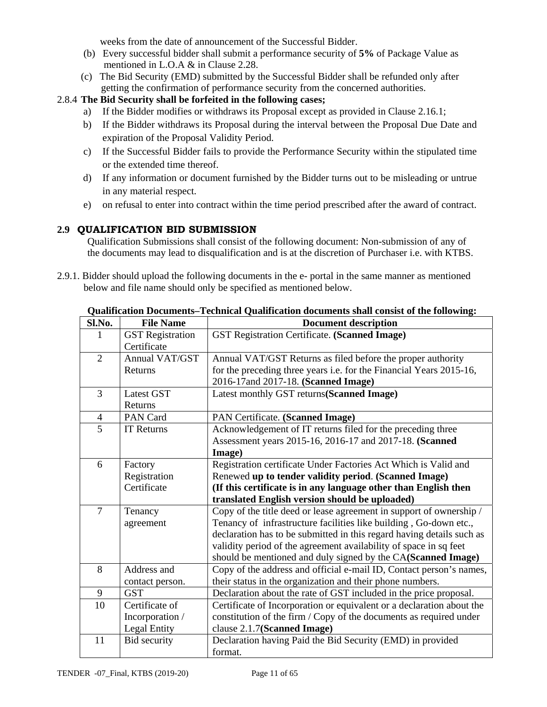weeks from the date of announcement of the Successful Bidder.

- (b) Every successful bidder shall submit a performance security of **5%** of Package Value as mentioned in L.O.A & in Clause 2.28.
- (c) The Bid Security (EMD) submitted by the Successful Bidder shall be refunded only after getting the confirmation of performance security from the concerned authorities.

### 2.8.4 **The Bid Security shall be forfeited in the following cases;**

- a) If the Bidder modifies or withdraws its Proposal except as provided in Clause 2.16.1;
- b) If the Bidder withdraws its Proposal during the interval between the Proposal Due Date and expiration of the Proposal Validity Period.
- c) If the Successful Bidder fails to provide the Performance Security within the stipulated time or the extended time thereof.
- d) If any information or document furnished by the Bidder turns out to be misleading or untrue in any material respect.
- e) on refusal to enter into contract within the time period prescribed after the award of contract.

### **2.9 QUALIFICATION BID SUBMISSION**

Qualification Submissions shall consist of the following document: Non-submission of any of the documents may lead to disqualification and is at the discretion of Purchaser i.e. with KTBS.

2.9.1. Bidder should upload the following documents in the e- portal in the same manner as mentioned below and file name should only be specified as mentioned below.

| Sl.No.         | <b>File Name</b>                                         | <b>Document description</b>                                                                                                                                                                                                                                                                                                                            |
|----------------|----------------------------------------------------------|--------------------------------------------------------------------------------------------------------------------------------------------------------------------------------------------------------------------------------------------------------------------------------------------------------------------------------------------------------|
|                | <b>GST</b> Registration<br>Certificate                   | GST Registration Certificate. (Scanned Image)                                                                                                                                                                                                                                                                                                          |
| $\overline{2}$ | <b>Annual VAT/GST</b><br>Returns                         | Annual VAT/GST Returns as filed before the proper authority<br>for the preceding three years i.e. for the Financial Years 2015-16,<br>2016-17and 2017-18. (Scanned Image)                                                                                                                                                                              |
| $\overline{3}$ | Latest GST<br>Returns                                    | Latest monthly GST returns(Scanned Image)                                                                                                                                                                                                                                                                                                              |
| $\overline{4}$ | PAN Card                                                 | PAN Certificate. (Scanned Image)                                                                                                                                                                                                                                                                                                                       |
| 5              | <b>IT Returns</b>                                        | Acknowledgement of IT returns filed for the preceding three<br>Assessment years 2015-16, 2016-17 and 2017-18. (Scanned<br>Image)                                                                                                                                                                                                                       |
| 6              | Factory<br>Registration<br>Certificate                   | Registration certificate Under Factories Act Which is Valid and<br>Renewed up to tender validity period. (Scanned Image)<br>(If this certificate is in any language other than English then<br>translated English version should be uploaded)                                                                                                          |
| $\overline{7}$ | Tenancy<br>agreement                                     | Copy of the title deed or lease agreement in support of ownership /<br>Tenancy of infrastructure facilities like building, Go-down etc.,<br>declaration has to be submitted in this regard having details such as<br>validity period of the agreement availability of space in sq feet<br>should be mentioned and duly signed by the CA(Scanned Image) |
| 8              | Address and<br>contact person.                           | Copy of the address and official e-mail ID, Contact person's names,<br>their status in the organization and their phone numbers.                                                                                                                                                                                                                       |
| 9              | <b>GST</b>                                               | Declaration about the rate of GST included in the price proposal.                                                                                                                                                                                                                                                                                      |
| 10             | Certificate of<br>Incorporation /<br><b>Legal Entity</b> | Certificate of Incorporation or equivalent or a declaration about the<br>constitution of the firm / Copy of the documents as required under<br>clause 2.1.7(Scanned Image)                                                                                                                                                                             |
| 11             | <b>Bid security</b>                                      | Declaration having Paid the Bid Security (EMD) in provided<br>format.                                                                                                                                                                                                                                                                                  |

**Qualification Documents***–***Technical Qualification documents shall consist of the following:**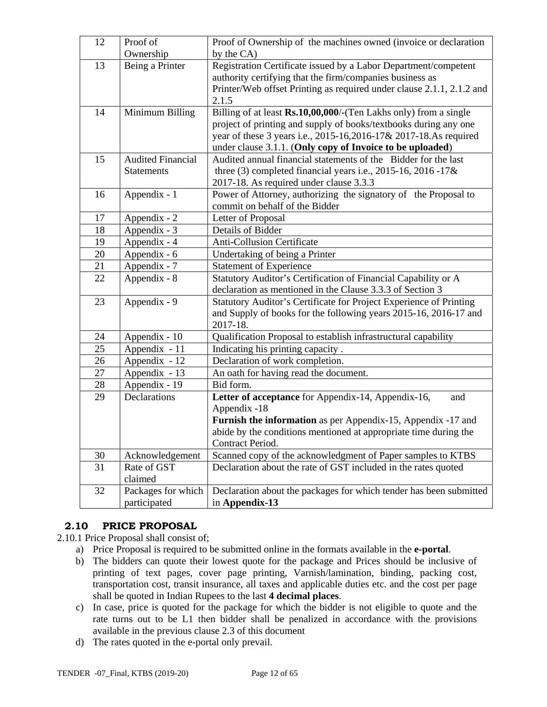| 12 | Proof of                 | Proof of Ownership of the machines owned (invoice or declaration      |  |  |
|----|--------------------------|-----------------------------------------------------------------------|--|--|
|    | Ownership                | by the CA)                                                            |  |  |
| 13 | Being a Printer          | Registration Certificate issued by a Labor Department/competent       |  |  |
|    |                          | authority certifying that the firm/companies business as              |  |  |
|    |                          | Printer/Web offset Printing as required under clause 2.1.1, 2.1.2 and |  |  |
|    |                          | 2.1.5                                                                 |  |  |
| 14 | Minimum Billing          | Billing of at least Rs.10,00,000/-(Ten Lakhs only) from a single      |  |  |
|    |                          | project of printing and supply of books/textbooks during any one      |  |  |
|    |                          | year of these 3 years i.e., 2015-16,2016-17& 2017-18.As required      |  |  |
|    |                          | under clause 3.1.1. (Only copy of Invoice to be uploaded)             |  |  |
| 15 | <b>Audited Financial</b> | Audited annual financial statements of the Bidder for the last        |  |  |
|    | <b>Statements</b>        | three (3) completed financial years i.e., $2015-16$ , $2016-17$ &     |  |  |
|    |                          | 2017-18. As required under clause 3.3.3                               |  |  |
| 16 | Appendix - 1             | Power of Attorney, authorizing the signatory of the Proposal to       |  |  |
|    |                          | commit on behalf of the Bidder                                        |  |  |
| 17 | Appendix - 2             | Letter of Proposal                                                    |  |  |
| 18 | Appendix - 3             | Details of Bidder                                                     |  |  |
| 19 | Appendix - 4             | <b>Anti-Collusion Certificate</b>                                     |  |  |
| 20 | Appendix - 6             | Undertaking of being a Printer                                        |  |  |
| 21 | Appendix - 7             | <b>Statement of Experience</b>                                        |  |  |
| 22 | Appendix - 8             | Statutory Auditor's Certification of Financial Capability or A        |  |  |
|    |                          | declaration as mentioned in the Clause 3.3.3 of Section 3             |  |  |
| 23 | Appendix - 9             | Statutory Auditor's Certificate for Project Experience of Printing    |  |  |
|    |                          | and Supply of books for the following years 2015-16, 2016-17 and      |  |  |
|    |                          | 2017-18.                                                              |  |  |
| 24 | Appendix - 10            | Qualification Proposal to establish infrastructural capability        |  |  |
| 25 | Appendix - 11            | Indicating his printing capacity.                                     |  |  |
| 26 | Appendix - 12            | Declaration of work completion.                                       |  |  |
| 27 | Appendix - 13            | An oath for having read the document.                                 |  |  |
| 28 | Appendix - 19            | Bid form.                                                             |  |  |
| 29 | Declarations             | Letter of acceptance for Appendix-14, Appendix-16,<br>and             |  |  |
|    |                          | Appendix -18                                                          |  |  |
|    |                          | <b>Furnish the information</b> as per Appendix-15, Appendix -17 and   |  |  |
|    |                          | abide by the conditions mentioned at appropriate time during the      |  |  |
|    |                          | Contract Period.                                                      |  |  |
| 30 | Acknowledgement          | Scanned copy of the acknowledgment of Paper samples to KTBS           |  |  |
| 31 | Rate of GST              | Declaration about the rate of GST included in the rates quoted        |  |  |
|    | claimed                  |                                                                       |  |  |
| 32 | Packages for which       | Declaration about the packages for which tender has been submitted    |  |  |
|    | participated             | in Appendix-13                                                        |  |  |

### **2.10 PRICE PROPOSAL**

2.10.1 Price Proposal shall consist of;

- a) Price Proposal is required to be submitted online in the formats available in the **e-portal**.
- b) The bidders can quote their lowest quote for the package and Prices should be inclusive of printing of text pages, cover page printing, Varnish/lamination, binding, packing cost, transportation cost, transit insurance, all taxes and applicable duties etc. and the cost per page shall be quoted in Indian Rupees to the last **4 decimal places**.
- c) In case, price is quoted for the package for which the bidder is not eligible to quote and the rate turns out to be L1 then bidder shall be penalized in accordance with the provisions available in the previous clause 2.3 of this document
- d) The rates quoted in the e-portal only prevail.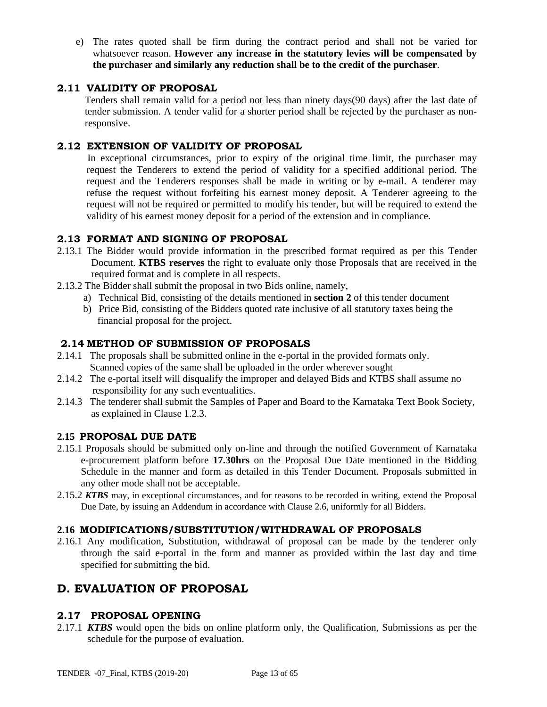e) The rates quoted shall be firm during the contract period and shall not be varied for whatsoever reason. **However any increase in the statutory levies will be compensated by the purchaser and similarly any reduction shall be to the credit of the purchaser**.

### **2.11 VALIDITY OF PROPOSAL**

Tenders shall remain valid for a period not less than ninety days(90 days) after the last date of tender submission. A tender valid for a shorter period shall be rejected by the purchaser as nonresponsive.

### **2.12 EXTENSION OF VALIDITY OF PROPOSAL**

In exceptional circumstances, prior to expiry of the original time limit, the purchaser may request the Tenderers to extend the period of validity for a specified additional period. The request and the Tenderers responses shall be made in writing or by e-mail. A tenderer may refuse the request without forfeiting his earnest money deposit. A Tenderer agreeing to the request will not be required or permitted to modify his tender, but will be required to extend the validity of his earnest money deposit for a period of the extension and in compliance.

### **2.13 FORMAT AND SIGNING OF PROPOSAL**

- 2.13.1 The Bidder would provide information in the prescribed format required as per this Tender Document. **KTBS reserves** the right to evaluate only those Proposals that are received in the required format and is complete in all respects.
- 2.13.2 The Bidder shall submit the proposal in two Bids online, namely,
	- a) Technical Bid, consisting of the details mentioned in **section 2** of this tender document
	- b) Price Bid, consisting of the Bidders quoted rate inclusive of all statutory taxes being the financial proposal for the project.

### **2.14 METHOD OF SUBMISSION OF PROPOSALS**

- 2.14.1 The proposals shall be submitted online in the e-portal in the provided formats only. Scanned copies of the same shall be uploaded in the order wherever sought
- 2.14.2 The e-portal itself will disqualify the improper and delayed Bids and KTBS shall assume no responsibility for any such eventualities.
- 2.14.3 The tenderer shall submit the Samples of Paper and Board to the Karnataka Text Book Society, as explained in Clause 1.2.3.

#### **2.15 PROPOSAL DUE DATE**

- 2.15.1 Proposals should be submitted only on-line and through the notified Government of Karnataka e-procurement platform before **17.30hrs** on the Proposal Due Date mentioned in the Bidding Schedule in the manner and form as detailed in this Tender Document. Proposals submitted in any other mode shall not be acceptable.
- 2.15.2 *KTBS* may, in exceptional circumstances, and for reasons to be recorded in writing, extend the Proposal Due Date, by issuing an Addendum in accordance with Clause 2.6, uniformly for all Bidders.

#### **2.16 MODIFICATIONS/SUBSTITUTION/WITHDRAWAL OF PROPOSALS**

2.16.1 Any modification, Substitution, withdrawal of proposal can be made by the tenderer only through the said e-portal in the form and manner as provided within the last day and time specified for submitting the bid.

# **D. EVALUATION OF PROPOSAL**

#### **2.17 PROPOSAL OPENING**

2.17.1 *KTBS* would open the bids on online platform only, the Qualification, Submissions as per the schedule for the purpose of evaluation.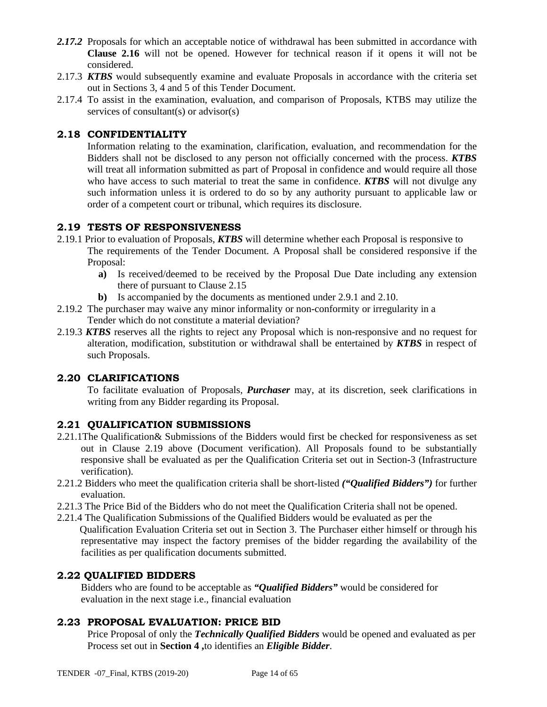- 2.17.2 Proposals for which an acceptable notice of withdrawal has been submitted in accordance with **Clause 2.16** will not be opened. However for technical reason if it opens it will not be considered.
- 2.17.3 *KTBS* would subsequently examine and evaluate Proposals in accordance with the criteria set out in Sections 3, 4 and 5 of this Tender Document.
- 2.17.4 To assist in the examination, evaluation, and comparison of Proposals, KTBS may utilize the services of consultant(s) or advisor(s)

### **2.18 CONFIDENTIALITY**

Information relating to the examination, clarification, evaluation, and recommendation for the Bidders shall not be disclosed to any person not officially concerned with the process. *KTBS* will treat all information submitted as part of Proposal in confidence and would require all those who have access to such material to treat the same in confidence. *KTBS* will not divulge any such information unless it is ordered to do so by any authority pursuant to applicable law or order of a competent court or tribunal, which requires its disclosure.

### **2.19 TESTS OF RESPONSIVENESS**

- 2.19.1 Prior to evaluation of Proposals, *KTBS* will determine whether each Proposal is responsive to The requirements of the Tender Document. A Proposal shall be considered responsive if the Proposal:
	- **a)** Is received/deemed to be received by the Proposal Due Date including any extension there of pursuant to Clause 2.15
	- **b)** Is accompanied by the documents as mentioned under 2.9.1 and 2.10.
- 2.19.2 The purchaser may waive any minor informality or non-conformity or irregularity in a Tender which do not constitute a material deviation?
- 2.19.3 *KTBS* reserves all the rights to reject any Proposal which is non-responsive and no request for alteration, modification, substitution or withdrawal shall be entertained by *KTBS* in respect of such Proposals.

#### **2.20 CLARIFICATIONS**

To facilitate evaluation of Proposals, *Purchaser* may, at its discretion, seek clarifications in writing from any Bidder regarding its Proposal.

#### **2.21 QUALIFICATION SUBMISSIONS**

- 2.21.1The Qualification& Submissions of the Bidders would first be checked for responsiveness as set out in Clause 2.19 above (Document verification). All Proposals found to be substantially responsive shall be evaluated as per the Qualification Criteria set out in Section-3 (Infrastructure verification).
- 2.21.2 Bidders who meet the qualification criteria shall be short-listed *("Qualified Bidders")* for further evaluation.
- 2.21.3 The Price Bid of the Bidders who do not meet the Qualification Criteria shall not be opened.
- 2.21.4 The Qualification Submissions of the Qualified Bidders would be evaluated as per the Qualification Evaluation Criteria set out in Section 3. The Purchaser either himself or through his representative may inspect the factory premises of the bidder regarding the availability of the facilities as per qualification documents submitted.

#### **2.22 QUALIFIED BIDDERS**

Bidders who are found to be acceptable as *"Qualified Bidders"* would be considered for evaluation in the next stage i.e., financial evaluation

#### **2.23 PROPOSAL EVALUATION: PRICE BID**

Price Proposal of only the *Technically Qualified Bidders* would be opened and evaluated as per Process set out in **Section 4 ,**to identifies an *Eligible Bidder*.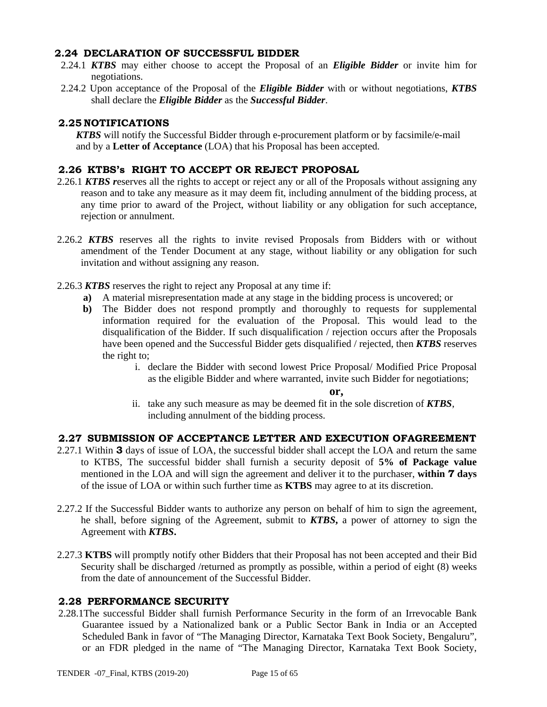#### **2.24 DECLARATION OF SUCCESSFUL BIDDER**

- 2.24.1 *KTBS* may either choose to accept the Proposal of an *Eligible Bidder* or invite him for negotiations.
- 2.24.2 Upon acceptance of the Proposal of the *Eligible Bidder* with or without negotiations, *KTBS*  shall declare the *Eligible Bidder* as the *Successful Bidder*.

### **2.25 NOTIFICATIONS**

*KTBS* will notify the Successful Bidder through e-procurement platform or by facsimile/e-mail and by a **Letter of Acceptance** (LOA) that his Proposal has been accepted.

#### **2.26 KTBS's RIGHT TO ACCEPT OR REJECT PROPOSAL**

- 2.26.1 *KTBS r*eserves all the rights to accept or reject any or all of the Proposals without assigning any reason and to take any measure as it may deem fit, including annulment of the bidding process, at any time prior to award of the Project, without liability or any obligation for such acceptance, rejection or annulment.
- 2.26.2 *KTBS* reserves all the rights to invite revised Proposals from Bidders with or without amendment of the Tender Document at any stage, without liability or any obligation for such invitation and without assigning any reason.
- 2.26.3 *KTBS* reserves the right to reject any Proposal at any time if:
	- **a)** A material misrepresentation made at any stage in the bidding process is uncovered; or
	- **b)** The Bidder does not respond promptly and thoroughly to requests for supplemental information required for the evaluation of the Proposal. This would lead to the disqualification of the Bidder. If such disqualification / rejection occurs after the Proposals have been opened and the Successful Bidder gets disqualified / rejected, then *KTBS* reserves the right to;
		- i. declare the Bidder with second lowest Price Proposal/ Modified Price Proposal as the eligible Bidder and where warranted, invite such Bidder for negotiations;

#### **or,**

ii. take any such measure as may be deemed fit in the sole discretion of *KTBS*, including annulment of the bidding process.

#### **2.27 SUBMISSION OF ACCEPTANCE LETTER AND EXECUTION OFAGREEMENT**

- 2.27.1 Within **3** days of issue of LOA, the successful bidder shall accept the LOA and return the same to KTBS, The successful bidder shall furnish a security deposit of **5% of Package value**  mentioned in the LOA and will sign the agreement and deliver it to the purchaser, **within 7 days** of the issue of LOA or within such further time as **KTBS** may agree to at its discretion.
- 2.27.2 If the Successful Bidder wants to authorize any person on behalf of him to sign the agreement, he shall, before signing of the Agreement, submit to *KTBS***,** a power of attorney to sign the Agreement with *KTBS***.**
- 2.27.3 **KTBS** will promptly notify other Bidders that their Proposal has not been accepted and their Bid Security shall be discharged /returned as promptly as possible, within a period of eight (8) weeks from the date of announcement of the Successful Bidder.

#### **2.28 PERFORMANCE SECURITY**

2.28.1The successful Bidder shall furnish Performance Security in the form of an Irrevocable Bank Guarantee issued by a Nationalized bank or a Public Sector Bank in India or an Accepted Scheduled Bank in favor of "The Managing Director, Karnataka Text Book Society, Bengaluru", or an FDR pledged in the name of "The Managing Director, Karnataka Text Book Society,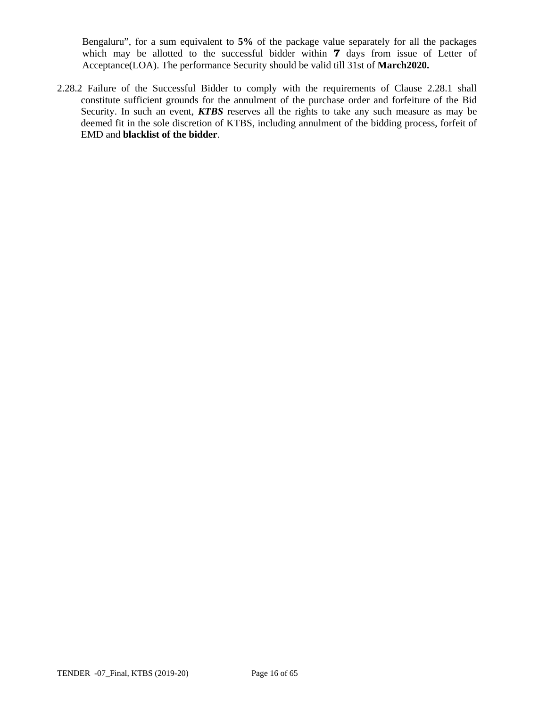Bengaluru", for a sum equivalent to **5%** of the package value separately for all the packages which may be allotted to the successful bidder within **7** days from issue of Letter of Acceptance(LOA). The performance Security should be valid till 31st of **March2020.** 

2.28.2 Failure of the Successful Bidder to comply with the requirements of Clause 2.28.1 shall constitute sufficient grounds for the annulment of the purchase order and forfeiture of the Bid Security. In such an event, *KTBS* reserves all the rights to take any such measure as may be deemed fit in the sole discretion of KTBS, including annulment of the bidding process, forfeit of EMD and **blacklist of the bidder**.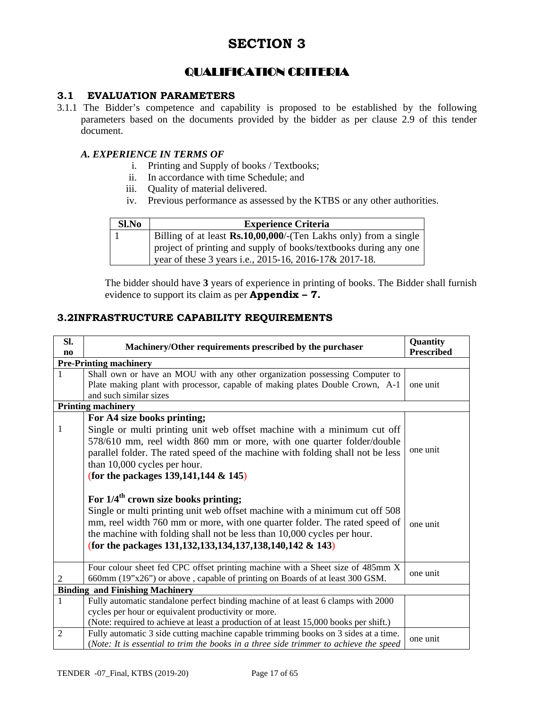# QUALIFICATION CRITERIA

### **3.1 EVALUATION PARAMETERS**

3.1.1 The Bidder's competence and capability is proposed to be established by the following parameters based on the documents provided by the bidder as per clause 2.9 of this tender document.

#### *A. EXPERIENCE IN TERMS OF*

- i. Printing and Supply of books / Textbooks;
- ii. In accordance with time Schedule; and
- iii. Quality of material delivered.
- iv. Previous performance as assessed by the KTBS or any other authorities.

| Sl.No | <b>Experience Criteria</b>                                                                                                 |
|-------|----------------------------------------------------------------------------------------------------------------------------|
|       | Billing of at least Rs.10,00,000/-(Ten Lakhs only) from a single                                                           |
|       | project of printing and supply of books/textbooks during any one<br>year of these 3 years i.e., 2015-16, 2016-17& 2017-18. |

The bidder should have **3** years of experience in printing of books. The Bidder shall furnish evidence to support its claim as per **Appendix – 7.**

#### **3.2INFRASTRUCTURE CAPABILITY REQUIREMENTS**

| Sl.<br>no                              | Machinery/Other requirements prescribed by the purchaser                                                                                                                                                                                                                                                                                                                                          | Quantity<br><b>Prescribed</b> |  |
|----------------------------------------|---------------------------------------------------------------------------------------------------------------------------------------------------------------------------------------------------------------------------------------------------------------------------------------------------------------------------------------------------------------------------------------------------|-------------------------------|--|
|                                        | <b>Pre-Printing machinery</b>                                                                                                                                                                                                                                                                                                                                                                     |                               |  |
|                                        | Shall own or have an MOU with any other organization possessing Computer to<br>Plate making plant with processor, capable of making plates Double Crown, A-1<br>and such similar sizes                                                                                                                                                                                                            | one unit                      |  |
|                                        | <b>Printing machinery</b>                                                                                                                                                                                                                                                                                                                                                                         |                               |  |
| 1                                      | For A4 size books printing;<br>Single or multi printing unit web offset machine with a minimum cut off<br>578/610 mm, reel width 860 mm or more, with one quarter folder/double<br>parallel folder. The rated speed of the machine with folding shall not be less<br>than 10,000 cycles per hour.<br>(for the packages 139, 141, 144 & 145)<br>For $1/4$ <sup>th</sup> crown size books printing; | one unit                      |  |
|                                        | Single or multi printing unit web offset machine with a minimum cut off 508<br>mm, reel width 760 mm or more, with one quarter folder. The rated speed of<br>the machine with folding shall not be less than 10,000 cycles per hour.<br>(for the packages 131, 132, 133, 134, 137, 138, 140, 142 & 143)                                                                                           | one unit                      |  |
| 2                                      | Four colour sheet fed CPC offset printing machine with a Sheet size of 485mm X<br>660mm (19"x26") or above, capable of printing on Boards of at least 300 GSM.                                                                                                                                                                                                                                    | one unit                      |  |
| <b>Binding and Finishing Machinery</b> |                                                                                                                                                                                                                                                                                                                                                                                                   |                               |  |
| $\mathbf{1}$                           | Fully automatic standalone perfect binding machine of at least 6 clamps with 2000<br>cycles per hour or equivalent productivity or more.<br>(Note: required to achieve at least a production of at least 15,000 books per shift.)                                                                                                                                                                 |                               |  |
| 2                                      | Fully automatic 3 side cutting machine capable trimming books on 3 sides at a time.<br>(Note: It is essential to trim the books in a three side trimmer to achieve the speed                                                                                                                                                                                                                      | one unit                      |  |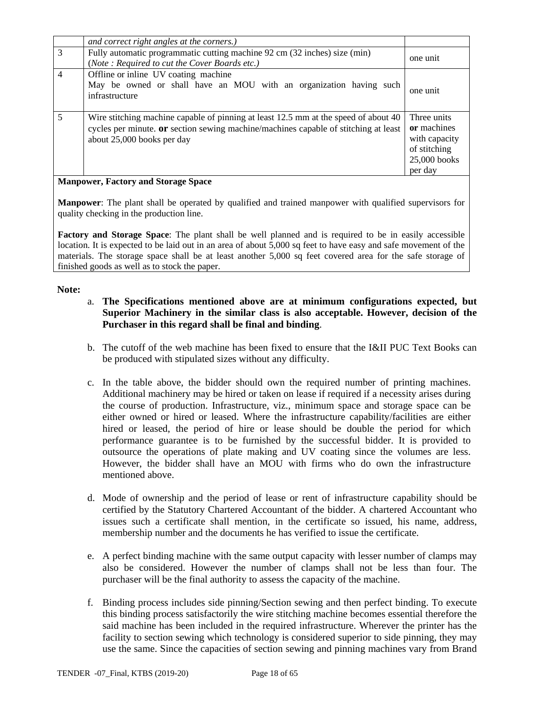|   | and correct right angles at the corners.)                                                                                                                                                                       |                                                                                          |
|---|-----------------------------------------------------------------------------------------------------------------------------------------------------------------------------------------------------------------|------------------------------------------------------------------------------------------|
| 3 | Fully automatic programmatic cutting machine 92 cm (32 inches) size (min)<br>(Note: Required to cut the Cover Boards etc.)                                                                                      | one unit                                                                                 |
| 4 | Offline or inline UV coating machine<br>May be owned or shall have an MOU with an organization having such<br>infrastructure                                                                                    | one unit                                                                                 |
| 5 | Wire stitching machine capable of pinning at least 12.5 mm at the speed of about 40<br>cycles per minute. <b>or</b> section sewing machine/machines capable of stitching at least<br>about 25,000 books per day | Three units<br>or machines<br>with capacity<br>of stitching<br>$25,000$ books<br>per day |

#### **Manpower, Factory and Storage Space**

**Manpower**: The plant shall be operated by qualified and trained manpower with qualified supervisors for quality checking in the production line.

**Factory and Storage Space**: The plant shall be well planned and is required to be in easily accessible location. It is expected to be laid out in an area of about 5,000 sq feet to have easy and safe movement of the materials. The storage space shall be at least another 5,000 sq feet covered area for the safe storage of finished goods as well as to stock the paper.

#### **Note:**

- a. **The Specifications mentioned above are at minimum configurations expected, but Superior Machinery in the similar class is also acceptable. However, decision of the Purchaser in this regard shall be final and binding**.
- b. The cutoff of the web machine has been fixed to ensure that the I&II PUC Text Books can be produced with stipulated sizes without any difficulty.
- c. In the table above, the bidder should own the required number of printing machines. Additional machinery may be hired or taken on lease if required if a necessity arises during the course of production. Infrastructure, viz., minimum space and storage space can be either owned or hired or leased. Where the infrastructure capability/facilities are either hired or leased, the period of hire or lease should be double the period for which performance guarantee is to be furnished by the successful bidder. It is provided to outsource the operations of plate making and UV coating since the volumes are less. However, the bidder shall have an MOU with firms who do own the infrastructure mentioned above.
- d. Mode of ownership and the period of lease or rent of infrastructure capability should be certified by the Statutory Chartered Accountant of the bidder. A chartered Accountant who issues such a certificate shall mention, in the certificate so issued, his name, address, membership number and the documents he has verified to issue the certificate.
- e. A perfect binding machine with the same output capacity with lesser number of clamps may also be considered. However the number of clamps shall not be less than four. The purchaser will be the final authority to assess the capacity of the machine.
- f. Binding process includes side pinning/Section sewing and then perfect binding. To execute this binding process satisfactorily the wire stitching machine becomes essential therefore the said machine has been included in the required infrastructure. Wherever the printer has the facility to section sewing which technology is considered superior to side pinning, they may use the same. Since the capacities of section sewing and pinning machines vary from Brand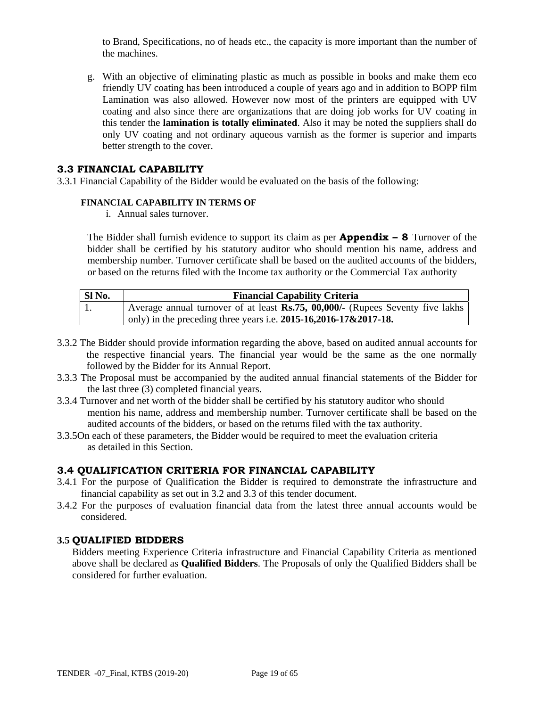to Brand, Specifications, no of heads etc., the capacity is more important than the number of the machines.

g. With an objective of eliminating plastic as much as possible in books and make them eco friendly UV coating has been introduced a couple of years ago and in addition to BOPP film Lamination was also allowed. However now most of the printers are equipped with UV coating and also since there are organizations that are doing job works for UV coating in this tender the **lamination is totally eliminated**. Also it may be noted the suppliers shall do only UV coating and not ordinary aqueous varnish as the former is superior and imparts better strength to the cover.

#### **3.3 FINANCIAL CAPABILITY**

3.3.1 Financial Capability of the Bidder would be evaluated on the basis of the following:

#### **FINANCIAL CAPABILITY IN TERMS OF**

i. Annual sales turnover.

The Bidder shall furnish evidence to support its claim as per **Appendix – 8** Turnover of the bidder shall be certified by his statutory auditor who should mention his name, address and membership number. Turnover certificate shall be based on the audited accounts of the bidders, or based on the returns filed with the Income tax authority or the Commercial Tax authority

| SI <sub>No.</sub> | <b>Financial Capability Criteria</b>                                            |  |  |
|-------------------|---------------------------------------------------------------------------------|--|--|
| -1.               | Average annual turnover of at least Rs.75, 00,000/- (Rupees Seventy five lakhs) |  |  |
|                   | only) in the preceding three years i.e. $2015 - 16,2016 - 17 & 2017 - 18$ .     |  |  |

- 3.3.2 The Bidder should provide information regarding the above, based on audited annual accounts for the respective financial years. The financial year would be the same as the one normally followed by the Bidder for its Annual Report.
- 3.3.3 The Proposal must be accompanied by the audited annual financial statements of the Bidder for the last three (3) completed financial years.
- 3.3.4 Turnover and net worth of the bidder shall be certified by his statutory auditor who should mention his name, address and membership number. Turnover certificate shall be based on the audited accounts of the bidders, or based on the returns filed with the tax authority.
- 3.3.5On each of these parameters, the Bidder would be required to meet the evaluation criteria as detailed in this Section.

#### **3.4 QUALIFICATION CRITERIA FOR FINANCIAL CAPABILITY**

- 3.4.1 For the purpose of Qualification the Bidder is required to demonstrate the infrastructure and financial capability as set out in 3.2 and 3.3 of this tender document.
- 3.4.2 For the purposes of evaluation financial data from the latest three annual accounts would be considered.

#### **3.5 QUALIFIED BIDDERS**

Bidders meeting Experience Criteria infrastructure and Financial Capability Criteria as mentioned above shall be declared as **Qualified Bidders**. The Proposals of only the Qualified Bidders shall be considered for further evaluation.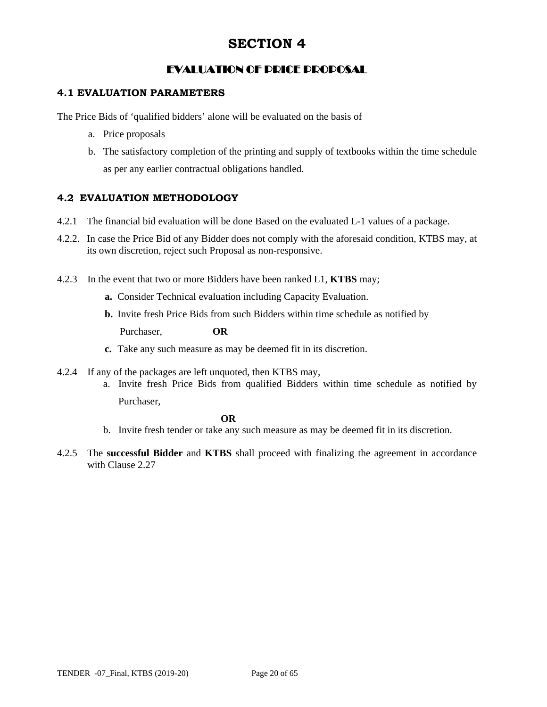# EVALUATION OF PRICE PROPOSAL

### **4.1 EVALUATION PARAMETERS**

The Price Bids of 'qualified bidders' alone will be evaluated on the basis of

- a. Price proposals
- b. The satisfactory completion of the printing and supply of textbooks within the time schedule as per any earlier contractual obligations handled.

### **4.2 EVALUATION METHODOLOGY**

- 4.2.1 The financial bid evaluation will be done Based on the evaluated L-1 values of a package.
- 4.2.2. In case the Price Bid of any Bidder does not comply with the aforesaid condition, KTBS may, at its own discretion, reject such Proposal as non-responsive.
- 4.2.3 In the event that two or more Bidders have been ranked L1, **KTBS** may;
	- **a.** Consider Technical evaluation including Capacity Evaluation.
	- **b.** Invite fresh Price Bids from such Bidders within time schedule as notified by

Purchaser, **OR**

- **c.** Take any such measure as may be deemed fit in its discretion.
- 4.2.4 If any of the packages are left unquoted, then KTBS may,
	- a. Invite fresh Price Bids from qualified Bidders within time schedule as notified by Purchaser,

#### *OR*

- b. Invite fresh tender or take any such measure as may be deemed fit in its discretion.
- 4.2.5 The **successful Bidder** and **KTBS** shall proceed with finalizing the agreement in accordance with Clause 2.27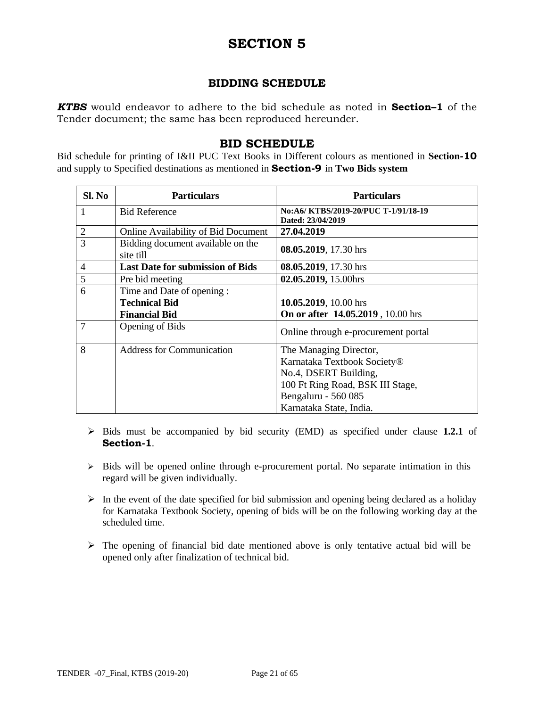### **BIDDING SCHEDULE**

*KTBS* would endeavor to adhere to the bid schedule as noted in **Section–1** of the Tender document; the same has been reproduced hereunder.

#### **BID SCHEDULE**

Bid schedule for printing of I&II PUC Text Books in Different colours as mentioned in **Section-10**  and supply to Specified destinations as mentioned in **Section-9** in **Two Bids system**

| Sl. No         | <b>Particulars</b>                             | <b>Particulars</b>                                       |
|----------------|------------------------------------------------|----------------------------------------------------------|
| 1              | <b>Bid Reference</b>                           | No:A6/KTBS/2019-20/PUC T-1/91/18-19<br>Dated: 23/04/2019 |
| $\overline{2}$ | <b>Online Availability of Bid Document</b>     | 27.04.2019                                               |
| 3              | Bidding document available on the<br>site till | 08.05.2019, 17.30 hrs                                    |
| $\overline{4}$ | <b>Last Date for submission of Bids</b>        | 08.05.2019, 17.30 hrs                                    |
| 5              | Pre bid meeting                                | 02.05.2019, 15.00hrs                                     |
| 6              | Time and Date of opening:                      |                                                          |
|                | <b>Technical Bid</b>                           | 10.05.2019, 10.00 hrs                                    |
|                | <b>Financial Bid</b>                           | On or after 14.05.2019, 10.00 hrs                        |
| 7              | Opening of Bids                                | Online through e-procurement portal                      |
| 8              | <b>Address for Communication</b>               | The Managing Director,                                   |
|                |                                                | Karnataka Textbook Society®                              |
|                |                                                | No.4, DSERT Building,                                    |
|                |                                                | 100 Ft Ring Road, BSK III Stage,                         |
|                |                                                | Bengaluru - 560 085                                      |
|                |                                                | Karnataka State, India.                                  |

- $\triangleright$  Bids must be accompanied by bid security (EMD) as specified under clause 1.2.1 of **Section-1**.
- $\triangleright$  Bids will be opened online through e-procurement portal. No separate intimation in this regard will be given individually.
- $\triangleright$  In the event of the date specified for bid submission and opening being declared as a holiday for Karnataka Textbook Society, opening of bids will be on the following working day at the scheduled time.
- $\triangleright$  The opening of financial bid date mentioned above is only tentative actual bid will be opened only after finalization of technical bid.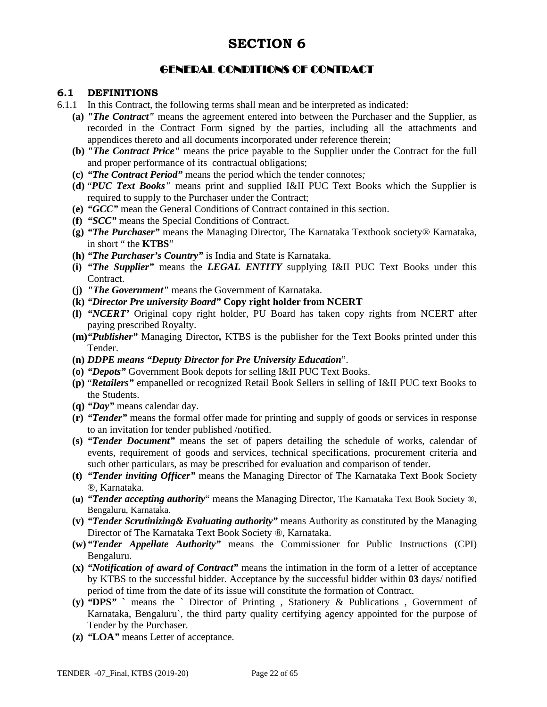# GENERAL CONDITIONS OF CONTRACT

#### **6.1 DEFINITIONS**

- 6.1.1 In this Contract, the following terms shall mean and be interpreted as indicated:
	- **(a)** *"The Contract"* means the agreement entered into between the Purchaser and the Supplier, as recorded in the Contract Form signed by the parties, including all the attachments and appendices thereto and all documents incorporated under reference therein;
	- **(b)** *"The Contract Price"* means the price payable to the Supplier under the Contract for the full and proper performance of its contractual obligations;
	- **(c)** *"The Contract Period"* means the period which the tender connotes*;*
	- **(d)** "*PUC Text Books"* means print and supplied I&II PUC Text Books which the Supplier is required to supply to the Purchaser under the Contract:
	- **(e)** *"GCC"* mean the General Conditions of Contract contained in this section.
	- **(f)** *"SCC"* means the Special Conditions of Contract.
	- **(g)** *"The Purchaser"* means the Managing Director, The Karnataka Textbook society® Karnataka, in short " the **KTBS**"
	- **(h)** *"The Purchaser's Country"* is India and State is Karnataka.
	- **(i)** *"The Supplier"* means the *LEGAL ENTITY* supplying I&II PUC Text Books under this Contract.
	- **(j)** *"The Government"* means the Government of Karnataka.
	- **(k)** *"Director Pre university Board"* **Copy right holder from NCERT**
	- **(l)** *"NCERT'* Original copy right holder, PU Board has taken copy rights from NCERT after paying prescribed Royalty.
	- **(m)***"Publisher"* Managing Director*,* KTBS is the publisher for the Text Books printed under this Tender.
	- **(n)** *DDPE means "Deputy Director for Pre University Education*".
	- **(o)** *"Depots"* Government Book depots for selling I&II PUC Text Books.
	- **(p)** "*Retailers"* empanelled or recognized Retail Book Sellers in selling of I&II PUC text Books to the Students.
	- **(q)** *"Day"* means calendar day.
	- **(r)** *"Tender"* means the formal offer made for printing and supply of goods or services in response to an invitation for tender published /notified.
	- **(s)** *"Tender Document"* means the set of papers detailing the schedule of works, calendar of events, requirement of goods and services, technical specifications, procurement criteria and such other particulars, as may be prescribed for evaluation and comparison of tender.
	- **(t)** *"Tender inviting Officer"* means the Managing Director of The Karnataka Text Book Society ®, Karnataka.
	- **(u)** *"Tender accepting authority*" means the Managing Director, The Karnataka Text Book Society ®, Bengaluru, Karnataka.
	- **(v)** *"Tender Scrutinizing& Evaluating authority"* means Authority as constituted by the Managing Director of The Karnataka Text Book Society ®, Karnataka.
	- **(w)***"Tender Appellate Authority"* means the Commissioner for Public Instructions (CPI) Bengaluru.
	- **(x)** *"Notification of award of Contract"* means the intimation in the form of a letter of acceptance by KTBS to the successful bidder. Acceptance by the successful bidder within **03** days/ notified period of time from the date of its issue will constitute the formation of Contract.
	- **(y)** *"***DPS***"* **`** means the ` Director of Printing , Stationery & Publications , Government of Karnataka, Bengaluru`, the third party quality certifying agency appointed for the purpose of Tender by the Purchaser.
	- **(z)** *"***LOA***"* means Letter of acceptance.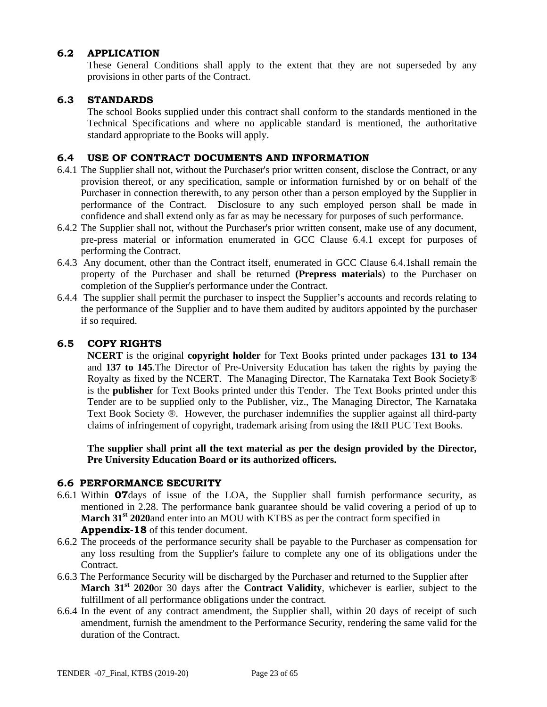#### **6.2 APPLICATION**

These General Conditions shall apply to the extent that they are not superseded by any provisions in other parts of the Contract.

#### **6.3 STANDARDS**

The school Books supplied under this contract shall conform to the standards mentioned in the Technical Specifications and where no applicable standard is mentioned, the authoritative standard appropriate to the Books will apply.

#### **6.4 USE OF CONTRACT DOCUMENTS AND INFORMATION**

- 6.4.1 The Supplier shall not, without the Purchaser's prior written consent, disclose the Contract, or any provision thereof, or any specification, sample or information furnished by or on behalf of the Purchaser in connection therewith, to any person other than a person employed by the Supplier in performance of the Contract. Disclosure to any such employed person shall be made in confidence and shall extend only as far as may be necessary for purposes of such performance.
- 6.4.2 The Supplier shall not, without the Purchaser's prior written consent, make use of any document, pre-press material or information enumerated in GCC Clause 6.4.1 except for purposes of performing the Contract.
- 6.4.3 Any document, other than the Contract itself, enumerated in GCC Clause 6.4.1shall remain the property of the Purchaser and shall be returned **(Prepress materials**) to the Purchaser on completion of the Supplier's performance under the Contract.
- 6.4.4 The supplier shall permit the purchaser to inspect the Supplier's accounts and records relating to the performance of the Supplier and to have them audited by auditors appointed by the purchaser if so required.

#### **6.5 COPY RIGHTS**

**NCERT** is the original **copyright holder** for Text Books printed under packages **131 to 134** and **137 to 145**.The Director of Pre-University Education has taken the rights by paying the Royalty as fixed by the NCERT. The Managing Director, The Karnataka Text Book Society® is the **publisher** for Text Books printed under this Tender. The Text Books printed under this Tender are to be supplied only to the Publisher, viz., The Managing Director, The Karnataka Text Book Society ®. However, the purchaser indemnifies the supplier against all third-party claims of infringement of copyright, trademark arising from using the I&II PUC Text Books.

**The supplier shall print all the text material as per the design provided by the Director, Pre University Education Board or its authorized officers.** 

#### **6.6 PERFORMANCE SECURITY**

- 6.6.1 Within **07**days of issue of the LOA, the Supplier shall furnish performance security, as mentioned in 2.28. The performance bank guarantee should be valid covering a period of up to **March 31<sup>st</sup>** 2020and enter into an MOU with KTBS as per the contract form specified in **Appendix-18** of this tender document.
- 6.6.2 The proceeds of the performance security shall be payable to the Purchaser as compensation for any loss resulting from the Supplier's failure to complete any one of its obligations under the Contract.
- 6.6.3 The Performance Security will be discharged by the Purchaser and returned to the Supplier after **March 31<sup>st</sup>** 2020or 30 days after the **Contract Validity**, whichever is earlier, subject to the fulfillment of all performance obligations under the contract.
- 6.6.4 In the event of any contract amendment, the Supplier shall, within 20 days of receipt of such amendment, furnish the amendment to the Performance Security, rendering the same valid for the duration of the Contract.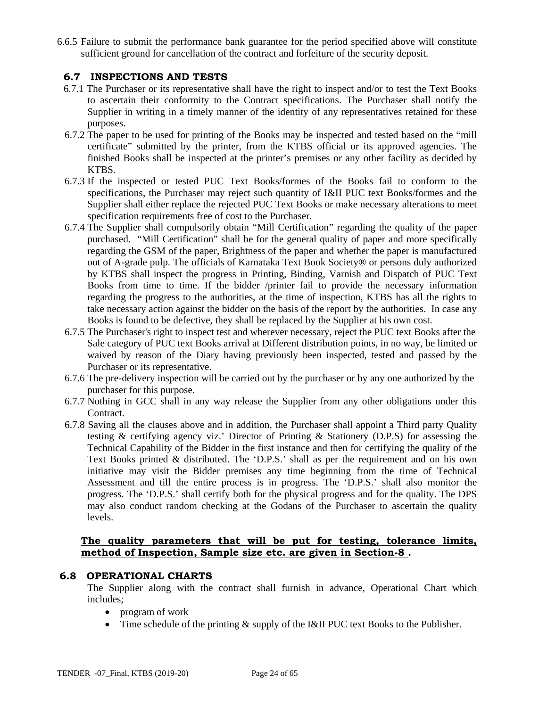6.6.5 Failure to submit the performance bank guarantee for the period specified above will constitute sufficient ground for cancellation of the contract and forfeiture of the security deposit.

#### **6.7 INSPECTIONS AND TESTS**

- 6.7.1 The Purchaser or its representative shall have the right to inspect and/or to test the Text Books to ascertain their conformity to the Contract specifications. The Purchaser shall notify the Supplier in writing in a timely manner of the identity of any representatives retained for these purposes.
- 6.7.2 The paper to be used for printing of the Books may be inspected and tested based on the "mill certificate" submitted by the printer, from the KTBS official or its approved agencies. The finished Books shall be inspected at the printer's premises or any other facility as decided by KTBS.
- 6.7.3 If the inspected or tested PUC Text Books/formes of the Books fail to conform to the specifications, the Purchaser may reject such quantity of I&II PUC text Books/formes and the Supplier shall either replace the rejected PUC Text Books or make necessary alterations to meet specification requirements free of cost to the Purchaser.
- 6.7.4 The Supplier shall compulsorily obtain "Mill Certification" regarding the quality of the paper purchased. "Mill Certification" shall be for the general quality of paper and more specifically regarding the GSM of the paper, Brightness of the paper and whether the paper is manufactured out of A-grade pulp. The officials of Karnataka Text Book Society® or persons duly authorized by KTBS shall inspect the progress in Printing, Binding, Varnish and Dispatch of PUC Text Books from time to time. If the bidder /printer fail to provide the necessary information regarding the progress to the authorities, at the time of inspection, KTBS has all the rights to take necessary action against the bidder on the basis of the report by the authorities. In case any Books is found to be defective, they shall be replaced by the Supplier at his own cost.
- 6.7.5 The Purchaser's right to inspect test and wherever necessary, reject the PUC text Books after the Sale category of PUC text Books arrival at Different distribution points, in no way, be limited or waived by reason of the Diary having previously been inspected, tested and passed by the Purchaser or its representative.
- 6.7.6 The pre-delivery inspection will be carried out by the purchaser or by any one authorized by the purchaser for this purpose.
- 6.7.7 Nothing in GCC shall in any way release the Supplier from any other obligations under this Contract.
- 6.7.8 Saving all the clauses above and in addition, the Purchaser shall appoint a Third party Quality testing & certifying agency viz.' Director of Printing & Stationery (D.P.S) for assessing the Technical Capability of the Bidder in the first instance and then for certifying the quality of the Text Books printed & distributed. The 'D.P.S.' shall as per the requirement and on his own initiative may visit the Bidder premises any time beginning from the time of Technical Assessment and till the entire process is in progress. The 'D.P.S.' shall also monitor the progress. The 'D.P.S.' shall certify both for the physical progress and for the quality. The DPS may also conduct random checking at the Godans of the Purchaser to ascertain the quality levels.

#### **The quality parameters that will be put for testing, tolerance limits, method of Inspection, Sample size etc. are given in Section-8 .**

#### **6.8 OPERATIONAL CHARTS**

The Supplier along with the contract shall furnish in advance, Operational Chart which includes;

- program of work
- $\bullet$  Time schedule of the printing & supply of the I&II PUC text Books to the Publisher.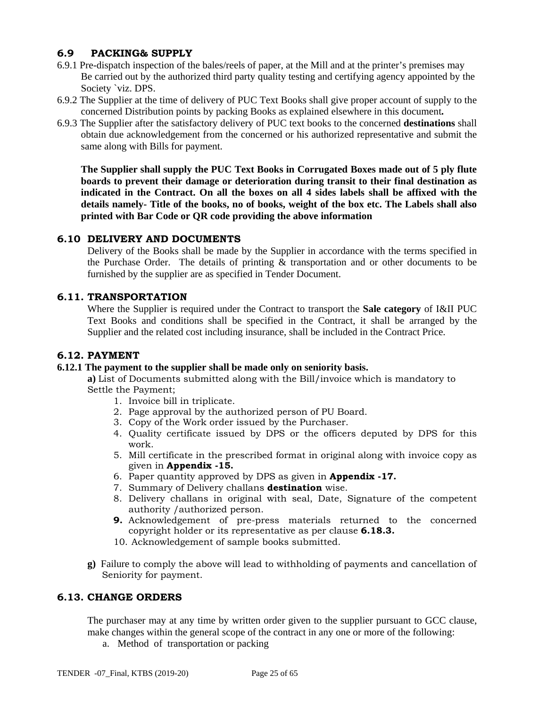### **6.9 PACKING& SUPPLY**

- 6.9.1 Pre-dispatch inspection of the bales/reels of paper, at the Mill and at the printer's premises may Be carried out by the authorized third party quality testing and certifying agency appointed by the Society `viz. DPS.
- 6.9.2 The Supplier at the time of delivery of PUC Text Books shall give proper account of supply to the concerned Distribution points by packing Books as explained elsewhere in this document**.**
- 6.9.3 The Supplier after the satisfactory delivery of PUC text books to the concerned **destinations** shall obtain due acknowledgement from the concerned or his authorized representative and submit the same along with Bills for payment.

**The Supplier shall supply the PUC Text Books in Corrugated Boxes made out of 5 ply flute boards to prevent their damage or deterioration during transit to their final destination as indicated in the Contract. On all the boxes on all 4 sides labels shall be affixed with the details namely- Title of the books, no of books, weight of the box etc. The Labels shall also printed with Bar Code or QR code providing the above information**

#### **6.10 DELIVERY AND DOCUMENTS**

Delivery of the Books shall be made by the Supplier in accordance with the terms specified in the Purchase Order. The details of printing & transportation and or other documents to be furnished by the supplier are as specified in Tender Document.

#### **6.11. TRANSPORTATION**

Where the Supplier is required under the Contract to transport the **Sale category** of I&II PUC Text Books and conditions shall be specified in the Contract, it shall be arranged by the Supplier and the related cost including insurance, shall be included in the Contract Price.

#### **6.12. PAYMENT**

#### **6.12.1 The payment to the supplier shall be made only on seniority basis.**

**a)** List of Documents submitted along with the Bill/invoice which is mandatory to Settle the Payment;

- 1. Invoice bill in triplicate.
- 2. Page approval by the authorized person of PU Board.
- 3. Copy of the Work order issued by the Purchaser.
- 4. Quality certificate issued by DPS or the officers deputed by DPS for this work.
- 5. Mill certificate in the prescribed format in original along with invoice copy as given in **Appendix -15.**
- 6. Paper quantity approved by DPS as given in **Appendix -17.**
- 7. Summary of Delivery challans **destination** wise.
- 8. Delivery challans in original with seal, Date, Signature of the competent authority /authorized person.
- **9.** Acknowledgement of pre-press materials returned to the concerned copyright holder or its representative as per clause **6.18.3.**
- 10. Acknowledgement of sample books submitted.
- **g)** Failure to comply the above will lead to withholding of payments and cancellation of Seniority for payment.

#### **6.13. CHANGE ORDERS**

The purchaser may at any time by written order given to the supplier pursuant to GCC clause, make changes within the general scope of the contract in any one or more of the following:

a. Method of transportation or packing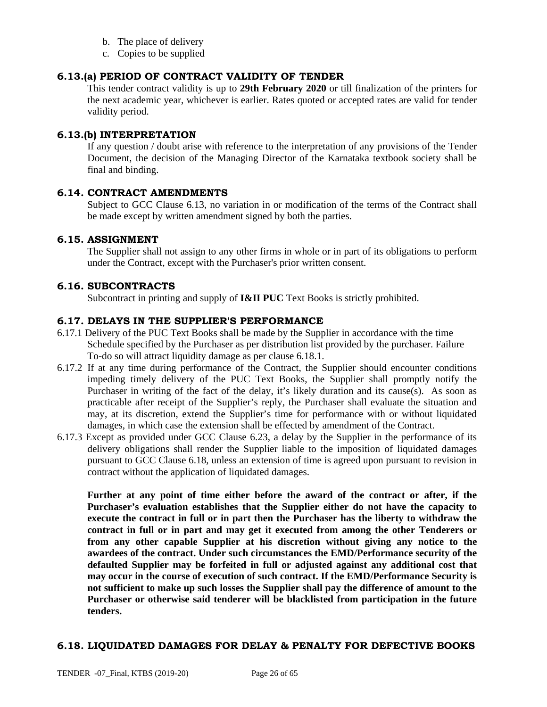- b. The place of delivery
- c. Copies to be supplied

#### **6.13.(a) PERIOD OF CONTRACT VALIDITY OF TENDER**

This tender contract validity is up to **29th February 2020** or till finalization of the printers for the next academic year, whichever is earlier. Rates quoted or accepted rates are valid for tender validity period.

#### **6.13.(b) INTERPRETATION**

If any question / doubt arise with reference to the interpretation of any provisions of the Tender Document, the decision of the Managing Director of the Karnataka textbook society shall be final and binding.

#### **6.14. CONTRACT AMENDMENTS**

Subject to GCC Clause 6.13, no variation in or modification of the terms of the Contract shall be made except by written amendment signed by both the parties.

#### **6.15. ASSIGNMENT**

The Supplier shall not assign to any other firms in whole or in part of its obligations to perform under the Contract, except with the Purchaser's prior written consent.

#### **6.16. SUBCONTRACTS**

Subcontract in printing and supply of **I&II PUC** Text Books is strictly prohibited.

#### **6.17. DELAYS IN THE SUPPLIER'S PERFORMANCE**

- 6.17.1 Delivery of the PUC Text Books shall be made by the Supplier in accordance with the time Schedule specified by the Purchaser as per distribution list provided by the purchaser. Failure To-do so will attract liquidity damage as per clause 6.18.1.
- 6.17.2 If at any time during performance of the Contract, the Supplier should encounter conditions impeding timely delivery of the PUC Text Books, the Supplier shall promptly notify the Purchaser in writing of the fact of the delay, it's likely duration and its cause(s). As soon as practicable after receipt of the Supplier's reply, the Purchaser shall evaluate the situation and may, at its discretion, extend the Supplier's time for performance with or without liquidated damages, in which case the extension shall be effected by amendment of the Contract.
- 6.17.3 Except as provided under GCC Clause 6.23, a delay by the Supplier in the performance of its delivery obligations shall render the Supplier liable to the imposition of liquidated damages pursuant to GCC Clause 6.18, unless an extension of time is agreed upon pursuant to revision in contract without the application of liquidated damages.

**Further at any point of time either before the award of the contract or after, if the Purchaser's evaluation establishes that the Supplier either do not have the capacity to execute the contract in full or in part then the Purchaser has the liberty to withdraw the contract in full or in part and may get it executed from among the other Tenderers or from any other capable Supplier at his discretion without giving any notice to the awardees of the contract. Under such circumstances the EMD/Performance security of the defaulted Supplier may be forfeited in full or adjusted against any additional cost that may occur in the course of execution of such contract. If the EMD/Performance Security is not sufficient to make up such losses the Supplier shall pay the difference of amount to the Purchaser or otherwise said tenderer will be blacklisted from participation in the future tenders.** 

#### **6.18. LIQUIDATED DAMAGES FOR DELAY & PENALTY FOR DEFECTIVE BOOKS**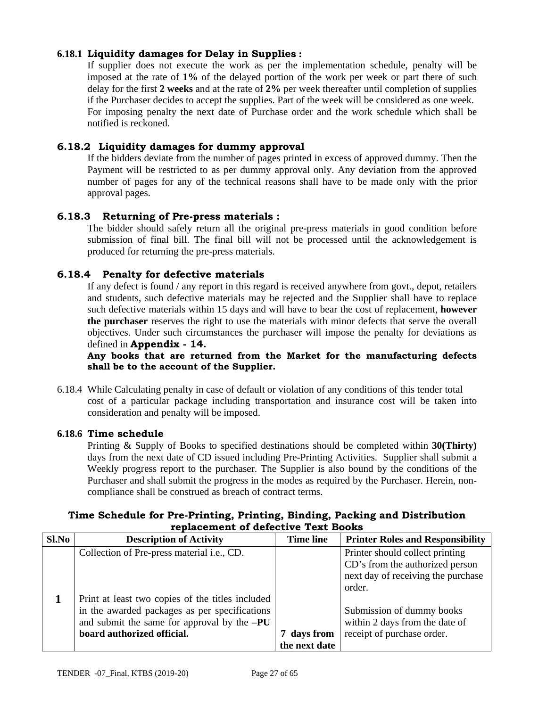### **6.18.1 Liquidity damages for Delay in Supplies :**

If supplier does not execute the work as per the implementation schedule, penalty will be imposed at the rate of **1%** of the delayed portion of the work per week or part there of such delay for the first **2 weeks** and at the rate of **2%** per week thereafter until completion of supplies if the Purchaser decides to accept the supplies. Part of the week will be considered as one week. For imposing penalty the next date of Purchase order and the work schedule which shall be notified is reckoned.

#### **6.18.2 Liquidity damages for dummy approval**

If the bidders deviate from the number of pages printed in excess of approved dummy. Then the Payment will be restricted to as per dummy approval only. Any deviation from the approved number of pages for any of the technical reasons shall have to be made only with the prior approval pages.

#### **6.18.3 Returning of Pre-press materials :**

The bidder should safely return all the original pre-press materials in good condition before submission of final bill. The final bill will not be processed until the acknowledgement is produced for returning the pre-press materials.

#### **6.18.4 Penalty for defective materials**

If any defect is found / any report in this regard is received anywhere from govt., depot, retailers and students, such defective materials may be rejected and the Supplier shall have to replace such defective materials within 15 days and will have to bear the cost of replacement, **however the purchaser** reserves the right to use the materials with minor defects that serve the overall objectives. Under such circumstances the purchaser will impose the penalty for deviations as defined in **Appendix - 14.** 

**Any books that are returned from the Market for the manufacturing defects shall be to the account of the Supplier.** 

6.18.4 While Calculating penalty in case of default or violation of any conditions of this tender total cost of a particular package including transportation and insurance cost will be taken into consideration and penalty will be imposed.

#### **6.18.6 Time schedule**

Printing & Supply of Books to specified destinations should be completed within **30(Thirty)**  days from the next date of CD issued including Pre-Printing Activities. Supplier shall submit a Weekly progress report to the purchaser. The Supplier is also bound by the conditions of the Purchaser and shall submit the progress in the modes as required by the Purchaser. Herein, noncompliance shall be construed as breach of contract terms.

#### **Time Schedule for Pre-Printing, Printing, Binding, Packing and Distribution replacement of defective Text Books**

| Sl.No | <b>Description of Activity</b>                   | <b>Time line</b> | <b>Printer Roles and Responsibility</b>                               |
|-------|--------------------------------------------------|------------------|-----------------------------------------------------------------------|
|       | Collection of Pre-press material i.e., CD.       |                  | Printer should collect printing                                       |
|       |                                                  |                  | CD's from the authorized person<br>next day of receiving the purchase |
|       |                                                  |                  | order.                                                                |
|       | Print at least two copies of the titles included |                  |                                                                       |
|       | in the awarded packages as per specifications    |                  | Submission of dummy books                                             |
|       | and submit the same for approval by the $-PU$    |                  | within 2 days from the date of                                        |
|       | board authorized official.                       | 7 days from      | receipt of purchase order.                                            |
|       |                                                  | the next date    |                                                                       |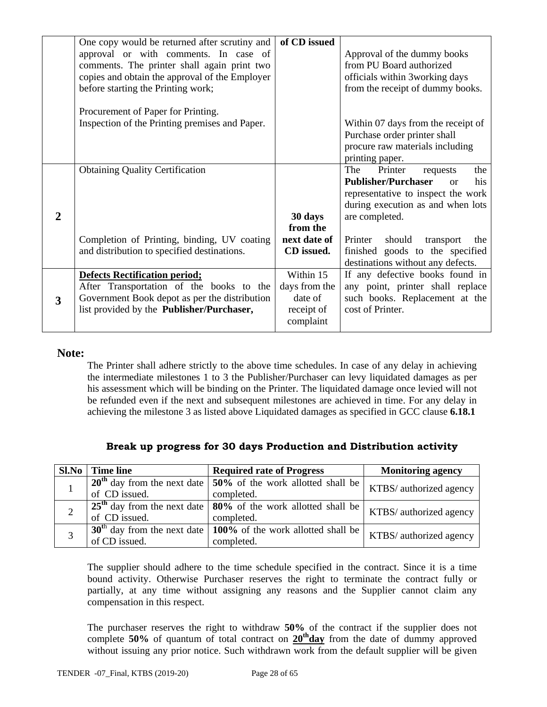|                | One copy would be returned after scrutiny and<br>approval or with comments. In case of<br>comments. The printer shall again print two<br>copies and obtain the approval of the Employer<br>before starting the Printing work; | of CD issued                                                     | Approval of the dummy books<br>from PU Board authorized<br>officials within 3working days<br>from the receipt of dummy books.                                                        |
|----------------|-------------------------------------------------------------------------------------------------------------------------------------------------------------------------------------------------------------------------------|------------------------------------------------------------------|--------------------------------------------------------------------------------------------------------------------------------------------------------------------------------------|
|                | Procurement of Paper for Printing.<br>Inspection of the Printing premises and Paper.                                                                                                                                          |                                                                  | Within 07 days from the receipt of<br>Purchase order printer shall<br>procure raw materials including<br>printing paper.                                                             |
| $\overline{2}$ | <b>Obtaining Quality Certification</b>                                                                                                                                                                                        | 30 days<br>from the                                              | The<br>Printer<br>the<br>requests<br><b>Publisher/Purchaser</b><br>his<br><sub>or</sub><br>representative to inspect the work<br>during execution as and when lots<br>are completed. |
|                | Completion of Printing, binding, UV coating<br>and distribution to specified destinations.                                                                                                                                    | next date of<br>CD issued.                                       | should<br>Printer<br>transport<br>the<br>finished goods to the specified<br>destinations without any defects.                                                                        |
| 3              | <b>Defects Rectification period;</b><br>After Transportation of the books to the<br>Government Book depot as per the distribution<br>list provided by the Publisher/Purchaser,                                                | Within 15<br>days from the<br>date of<br>receipt of<br>complaint | If any defective books found in<br>any point, printer shall replace<br>such books. Replacement at the<br>cost of Printer.                                                            |

#### **Note:**

The Printer shall adhere strictly to the above time schedules. In case of any delay in achieving the intermediate milestones 1 to 3 the Publisher/Purchaser can levy liquidated damages as per his assessment which will be binding on the Printer. The liquidated damage once levied will not be refunded even if the next and subsequent milestones are achieved in time. For any delay in achieving the milestone 3 as listed above Liquidated damages as specified in GCC clause **6.18.1**

|  |  |  | Break up progress for 30 days Production and Distribution activity |  |
|--|--|--|--------------------------------------------------------------------|--|

| Sl.No | <b>Time line</b> | <b>Required rate of Progress</b>                                   | <b>Monitoring agency</b> |  |
|-------|------------------|--------------------------------------------------------------------|--------------------------|--|
|       |                  | $20th$ day from the next date   50% of the work allotted shall be  | KTBS/ authorized agency  |  |
|       | of CD issued.    | completed.                                                         |                          |  |
|       |                  | $25th$ day from the next date $80o$ of the work allotted shall be  | KTBS/ authorized agency  |  |
|       | of CD issued.    | completed.                                                         |                          |  |
|       |                  | $30th$ day from the next date   100% of the work allotted shall be | KTBS/ authorized agency  |  |
|       | of CD issued.    | completed.                                                         |                          |  |

The supplier should adhere to the time schedule specified in the contract. Since it is a time bound activity. Otherwise Purchaser reserves the right to terminate the contract fully or partially, at any time without assigning any reasons and the Supplier cannot claim any compensation in this respect.

The purchaser reserves the right to withdraw **50%** of the contract if the supplier does not complete **50%** of quantum of total contract on 20<sup>th</sup>day from the date of dummy approved without issuing any prior notice. Such withdrawn work from the default supplier will be given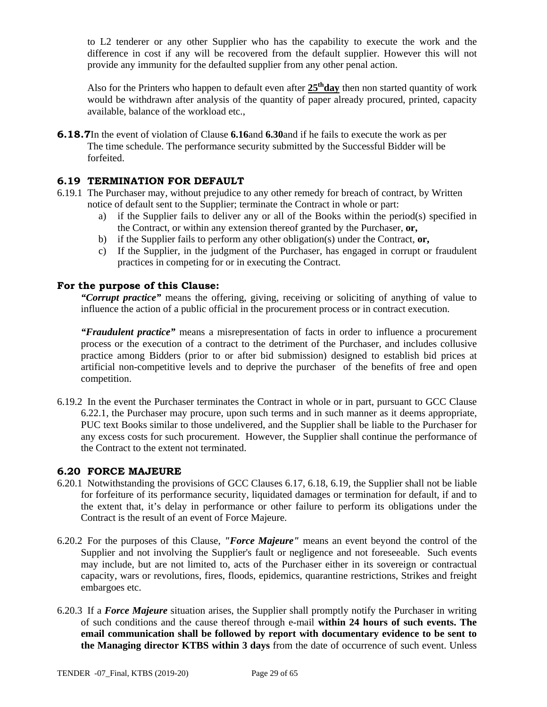to L2 tenderer or any other Supplier who has the capability to execute the work and the difference in cost if any will be recovered from the default supplier. However this will not provide any immunity for the defaulted supplier from any other penal action.

Also for the Printers who happen to default even after  $25<sup>th</sup>day$  then non started quantity of work would be withdrawn after analysis of the quantity of paper already procured, printed, capacity available, balance of the workload etc.,

**6.18.7**In the event of violation of Clause **6.16**and **6.30**and if he fails to execute the work as per The time schedule. The performance security submitted by the Successful Bidder will be forfeited.

#### **6.19 TERMINATION FOR DEFAULT**

- 6.19.1 The Purchaser may, without prejudice to any other remedy for breach of contract, by Written notice of default sent to the Supplier; terminate the Contract in whole or part:
	- a) if the Supplier fails to deliver any or all of the Books within the period(s) specified in the Contract, or within any extension thereof granted by the Purchaser, **or,**
	- b) if the Supplier fails to perform any other obligation(s) under the Contract, **or,**
	- c) If the Supplier, in the judgment of the Purchaser, has engaged in corrupt or fraudulent practices in competing for or in executing the Contract.

#### **For the purpose of this Clause:**

*"Corrupt practice"* means the offering, giving, receiving or soliciting of anything of value to influence the action of a public official in the procurement process or in contract execution.

*"Fraudulent practice"* means a misrepresentation of facts in order to influence a procurement process or the execution of a contract to the detriment of the Purchaser, and includes collusive practice among Bidders (prior to or after bid submission) designed to establish bid prices at artificial non-competitive levels and to deprive the purchaser of the benefits of free and open competition.

6.19.2 In the event the Purchaser terminates the Contract in whole or in part, pursuant to GCC Clause 6.22.1, the Purchaser may procure, upon such terms and in such manner as it deems appropriate, PUC text Books similar to those undelivered, and the Supplier shall be liable to the Purchaser for any excess costs for such procurement. However, the Supplier shall continue the performance of the Contract to the extent not terminated.

#### **6.20 FORCE MAJEURE**

- 6.20.1 Notwithstanding the provisions of GCC Clauses 6.17, 6.18, 6.19, the Supplier shall not be liable for forfeiture of its performance security, liquidated damages or termination for default, if and to the extent that, it's delay in performance or other failure to perform its obligations under the Contract is the result of an event of Force Majeure.
- 6.20.2 For the purposes of this Clause, *"Force Majeure"* means an event beyond the control of the Supplier and not involving the Supplier's fault or negligence and not foreseeable. Such events may include, but are not limited to, acts of the Purchaser either in its sovereign or contractual capacity, wars or revolutions, fires, floods, epidemics, quarantine restrictions, Strikes and freight embargoes etc.
- 6.20.3 If a *Force Majeure* situation arises, the Supplier shall promptly notify the Purchaser in writing of such conditions and the cause thereof through e-mail **within 24 hours of such events. The email communication shall be followed by report with documentary evidence to be sent to the Managing director KTBS within 3 days** from the date of occurrence of such event. Unless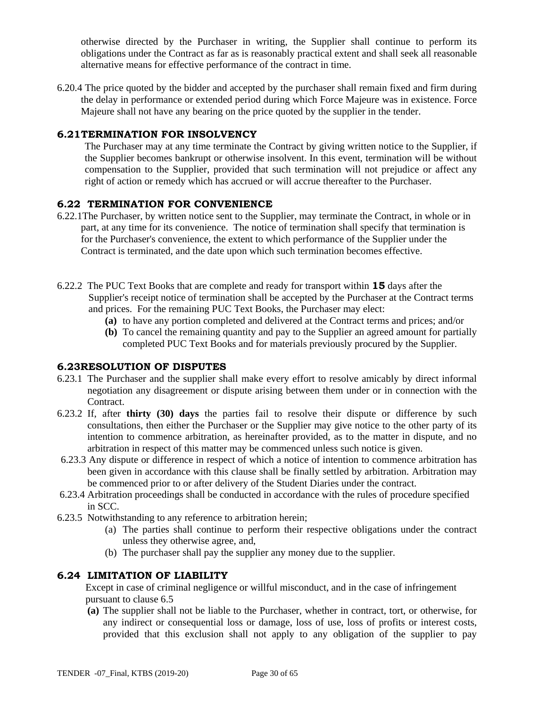otherwise directed by the Purchaser in writing, the Supplier shall continue to perform its obligations under the Contract as far as is reasonably practical extent and shall seek all reasonable alternative means for effective performance of the contract in time.

6.20.4 The price quoted by the bidder and accepted by the purchaser shall remain fixed and firm during the delay in performance or extended period during which Force Majeure was in existence. Force Majeure shall not have any bearing on the price quoted by the supplier in the tender.

#### **6.21 TERMINATION FOR INSOLVENCY**

The Purchaser may at any time terminate the Contract by giving written notice to the Supplier, if the Supplier becomes bankrupt or otherwise insolvent. In this event, termination will be without compensation to the Supplier, provided that such termination will not prejudice or affect any right of action or remedy which has accrued or will accrue thereafter to the Purchaser.

#### **6.22 TERMINATION FOR CONVENIENCE**

- 6.22.1The Purchaser, by written notice sent to the Supplier, may terminate the Contract, in whole or in part, at any time for its convenience. The notice of termination shall specify that termination is for the Purchaser's convenience, the extent to which performance of the Supplier under the Contract is terminated, and the date upon which such termination becomes effective.
- 6.22.2 The PUC Text Books that are complete and ready for transport within **15** days after the Supplier's receipt notice of termination shall be accepted by the Purchaser at the Contract terms and prices. For the remaining PUC Text Books, the Purchaser may elect:
	- **(a)** to have any portion completed and delivered at the Contract terms and prices; and/or
	- **(b)** To cancel the remaining quantity and pay to the Supplier an agreed amount for partially completed PUC Text Books and for materials previously procured by the Supplier.

#### **6.23RESOLUTION OF DISPUTES**

- 6.23.1 The Purchaser and the supplier shall make every effort to resolve amicably by direct informal negotiation any disagreement or dispute arising between them under or in connection with the Contract.
- 6.23.2 If, after **thirty (30) days** the parties fail to resolve their dispute or difference by such consultations, then either the Purchaser or the Supplier may give notice to the other party of its intention to commence arbitration, as hereinafter provided, as to the matter in dispute, and no arbitration in respect of this matter may be commenced unless such notice is given.
- 6.23.3 Any dispute or difference in respect of which a notice of intention to commence arbitration has been given in accordance with this clause shall be finally settled by arbitration. Arbitration may be commenced prior to or after delivery of the Student Diaries under the contract.
- 6.23.4 Arbitration proceedings shall be conducted in accordance with the rules of procedure specified in SCC.
- 6.23.5 Notwithstanding to any reference to arbitration herein;
	- (a) The parties shall continue to perform their respective obligations under the contract unless they otherwise agree, and,
	- (b) The purchaser shall pay the supplier any money due to the supplier.

#### **6.24 LIMITATION OF LIABILITY**

 Except in case of criminal negligence or willful misconduct, and in the case of infringement pursuant to clause 6.5

**(a)** The supplier shall not be liable to the Purchaser, whether in contract, tort, or otherwise, for any indirect or consequential loss or damage, loss of use, loss of profits or interest costs, provided that this exclusion shall not apply to any obligation of the supplier to pay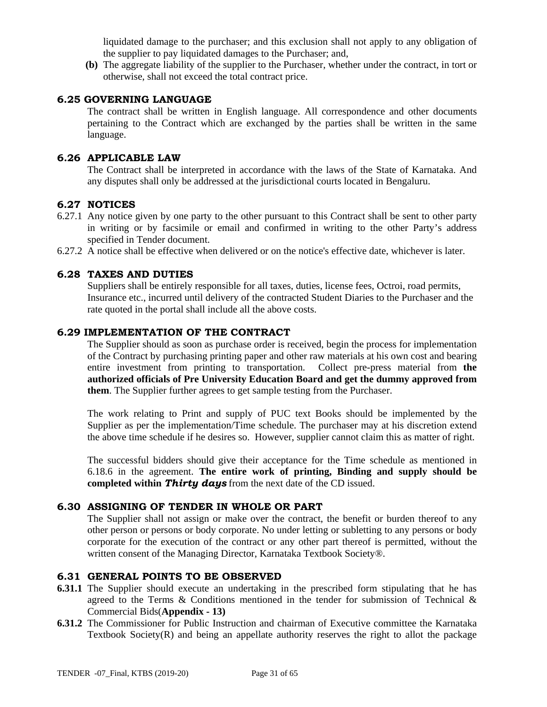liquidated damage to the purchaser; and this exclusion shall not apply to any obligation of the supplier to pay liquidated damages to the Purchaser; and,

**(b)** The aggregate liability of the supplier to the Purchaser, whether under the contract, in tort or otherwise, shall not exceed the total contract price.

#### **6.25 GOVERNING LANGUAGE**

The contract shall be written in English language. All correspondence and other documents pertaining to the Contract which are exchanged by the parties shall be written in the same language.

#### **6.26 APPLICABLE LAW**

The Contract shall be interpreted in accordance with the laws of the State of Karnataka. And any disputes shall only be addressed at the jurisdictional courts located in Bengaluru.

#### **6.27 NOTICES**

- 6.27.1 Any notice given by one party to the other pursuant to this Contract shall be sent to other party in writing or by facsimile or email and confirmed in writing to the other Party's address specified in Tender document.
- 6.27.2 A notice shall be effective when delivered or on the notice's effective date, whichever is later.

#### **6.28 TAXES AND DUTIES**

Suppliers shall be entirely responsible for all taxes, duties, license fees, Octroi, road permits, Insurance etc., incurred until delivery of the contracted Student Diaries to the Purchaser and the rate quoted in the portal shall include all the above costs.

#### **6.29 IMPLEMENTATION OF THE CONTRACT**

The Supplier should as soon as purchase order is received, begin the process for implementation of the Contract by purchasing printing paper and other raw materials at his own cost and bearing entire investment from printing to transportation. Collect pre-press material from **the authorized officials of Pre University Education Board and get the dummy approved from them**. The Supplier further agrees to get sample testing from the Purchaser.

The work relating to Print and supply of PUC text Books should be implemented by the Supplier as per the implementation/Time schedule. The purchaser may at his discretion extend the above time schedule if he desires so. However, supplier cannot claim this as matter of right.

The successful bidders should give their acceptance for the Time schedule as mentioned in 6.18.6 in the agreement. **The entire work of printing, Binding and supply should be completed within** *Thirty days* from the next date of the CD issued.

#### **6.30 ASSIGNING OF TENDER IN WHOLE OR PART**

The Supplier shall not assign or make over the contract, the benefit or burden thereof to any other person or persons or body corporate. No under letting or subletting to any persons or body corporate for the execution of the contract or any other part thereof is permitted, without the written consent of the Managing Director, Karnataka Textbook Society®.

#### **6.31 GENERAL POINTS TO BE OBSERVED**

- **6.31.1** The Supplier should execute an undertaking in the prescribed form stipulating that he has agreed to the Terms  $\&$  Conditions mentioned in the tender for submission of Technical  $\&$ Commercial Bids(**Appendix - 13)**
- **6.31.2** The Commissioner for Public Instruction and chairman of Executive committee the Karnataka Textbook Society(R) and being an appellate authority reserves the right to allot the package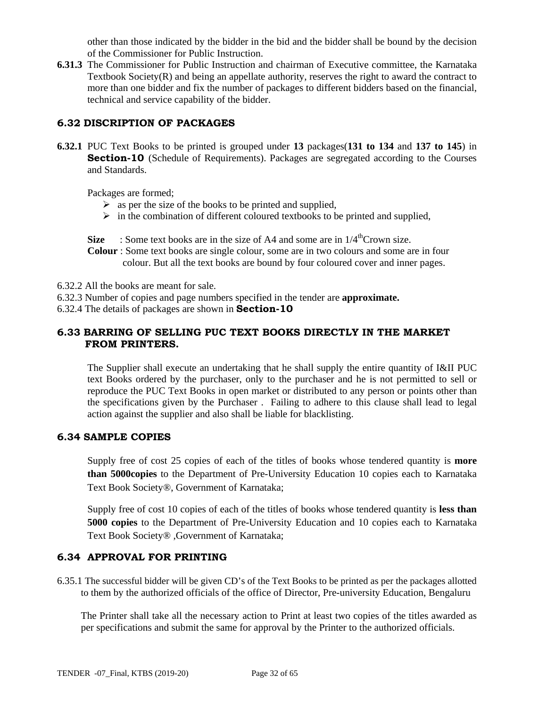other than those indicated by the bidder in the bid and the bidder shall be bound by the decision of the Commissioner for Public Instruction.

**6.31.3** The Commissioner for Public Instruction and chairman of Executive committee, the Karnataka Textbook Society $(R)$  and being an appellate authority, reserves the right to award the contract to more than one bidder and fix the number of packages to different bidders based on the financial, technical and service capability of the bidder.

### **6.32 DISCRIPTION OF PACKAGES**

**6.32.1** PUC Text Books to be printed is grouped under **13** packages(**131 to 134** and **137 to 145**) in **Section-10** (Schedule of Requirements). Packages are segregated according to the Courses and Standards.

Packages are formed;

- $\triangleright$  as per the size of the books to be printed and supplied,
- $\triangleright$  in the combination of different coloured textbooks to be printed and supplied,

**Size** : Some text books are in the size of A4 and some are in  $1/4$ <sup>th</sup>Crown size. **Colour** : Some text books are single colour, some are in two colours and some are in four colour. But all the text books are bound by four coloured cover and inner pages.

- 6.32.2 All the books are meant for sale.
- 6.32.3 Number of copies and page numbers specified in the tender are **approximate.**
- 6.32.4 The details of packages are shown in **Section-10**

#### **6.33 BARRING OF SELLING PUC TEXT BOOKS DIRECTLY IN THE MARKET FROM PRINTERS.**

The Supplier shall execute an undertaking that he shall supply the entire quantity of I&II PUC text Books ordered by the purchaser, only to the purchaser and he is not permitted to sell or reproduce the PUC Text Books in open market or distributed to any person or points other than the specifications given by the Purchaser . Failing to adhere to this clause shall lead to legal action against the supplier and also shall be liable for blacklisting.

#### **6.34 SAMPLE COPIES**

Supply free of cost 25 copies of each of the titles of books whose tendered quantity is **more than 5000copies** to the Department of Pre-University Education 10 copies each to Karnataka Text Book Society®, Government of Karnataka;

Supply free of cost 10 copies of each of the titles of books whose tendered quantity is **less than 5000 copies** to the Department of Pre-University Education and 10 copies each to Karnataka Text Book Society® ,Government of Karnataka;

#### **6.34 APPROVAL FOR PRINTING**

6.35.1 The successful bidder will be given CD's of the Text Books to be printed as per the packages allotted to them by the authorized officials of the office of Director, Pre-university Education, Bengaluru

 The Printer shall take all the necessary action to Print at least two copies of the titles awarded as per specifications and submit the same for approval by the Printer to the authorized officials.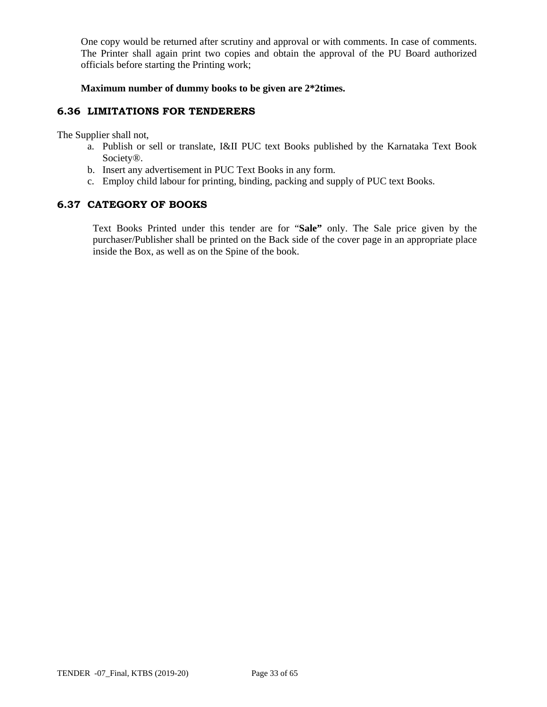One copy would be returned after scrutiny and approval or with comments. In case of comments. The Printer shall again print two copies and obtain the approval of the PU Board authorized officials before starting the Printing work;

**Maximum number of dummy books to be given are 2\*2times.** 

#### **6.36 LIMITATIONS FOR TENDERERS**

The Supplier shall not,

- a. Publish or sell or translate, I&II PUC text Books published by the Karnataka Text Book Society®.
- b. Insert any advertisement in PUC Text Books in any form.
- c. Employ child labour for printing, binding, packing and supply of PUC text Books.

#### **6.37 CATEGORY OF BOOKS**

Text Books Printed under this tender are for "**Sale"** only. The Sale price given by the purchaser/Publisher shall be printed on the Back side of the cover page in an appropriate place inside the Box, as well as on the Spine of the book.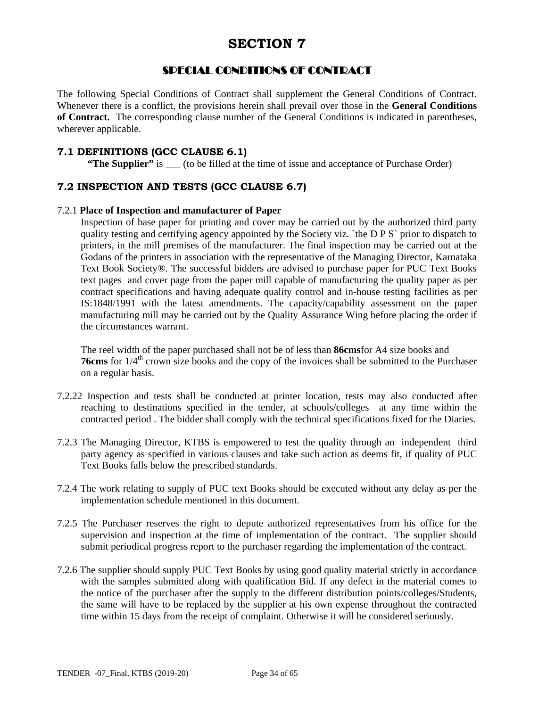# SPECIAL CONDITIONS OF CONTRACT

The following Special Conditions of Contract shall supplement the General Conditions of Contract. Whenever there is a conflict, the provisions herein shall prevail over those in the **General Conditions of Contract.** The corresponding clause number of the General Conditions is indicated in parentheses, wherever applicable.

#### **7.1 DEFINITIONS (GCC CLAUSE 6.1)**

**"The Supplier"** is \_\_\_ (to be filled at the time of issue and acceptance of Purchase Order)

### **7.2 INSPECTION AND TESTS (GCC CLAUSE 6.7)**

#### 7.2.1 **Place of Inspection and manufacturer of Paper**

Inspection of base paper for printing and cover may be carried out by the authorized third party quality testing and certifying agency appointed by the Society viz. `the D P S` prior to dispatch to printers, in the mill premises of the manufacturer. The final inspection may be carried out at the Godans of the printers in association with the representative of the Managing Director, Karnataka Text Book Society®. The successful bidders are advised to purchase paper for PUC Text Books text pages and cover page from the paper mill capable of manufacturing the quality paper as per contract specifications and having adequate quality control and in-house testing facilities as per IS:1848/1991 with the latest amendments. The capacity/capability assessment on the paper manufacturing mill may be carried out by the Quality Assurance Wing before placing the order if the circumstances warrant.

The reel width of the paper purchased shall not be of less than **86cms**for A4 size books and **76cms** for  $1/4^{\text{th}}$  crown size books and the copy of the invoices shall be submitted to the Purchaser on a regular basis.

- 7.2.22 Inspection and tests shall be conducted at printer location, tests may also conducted after reaching to destinations specified in the tender, at schools/colleges at any time within the contracted period . The bidder shall comply with the technical specifications fixed for the Diaries.
- 7.2.3 The Managing Director, KTBS is empowered to test the quality through an independent third party agency as specified in various clauses and take such action as deems fit, if quality of PUC Text Books falls below the prescribed standards.
- 7.2.4 The work relating to supply of PUC text Books should be executed without any delay as per the implementation schedule mentioned in this document.
- 7.2.5 The Purchaser reserves the right to depute authorized representatives from his office for the supervision and inspection at the time of implementation of the contract. The supplier should submit periodical progress report to the purchaser regarding the implementation of the contract.
- 7.2.6 The supplier should supply PUC Text Books by using good quality material strictly in accordance with the samples submitted along with qualification Bid. If any defect in the material comes to the notice of the purchaser after the supply to the different distribution points/colleges/Students, the same will have to be replaced by the supplier at his own expense throughout the contracted time within 15 days from the receipt of complaint. Otherwise it will be considered seriously.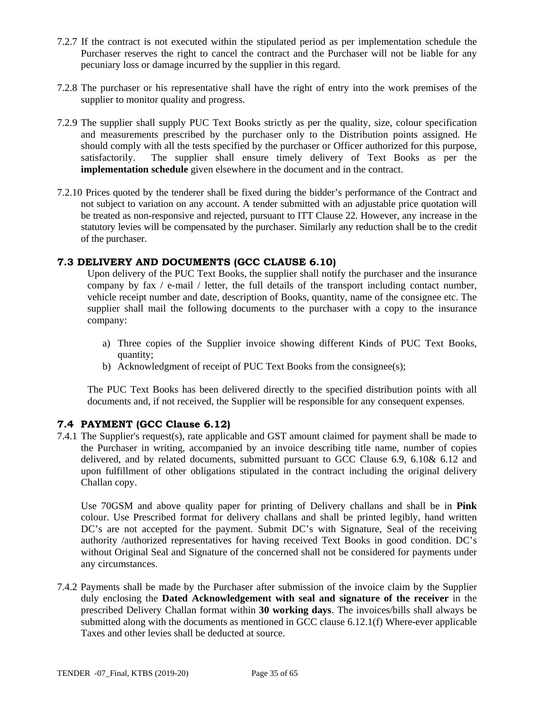- 7.2.7 If the contract is not executed within the stipulated period as per implementation schedule the Purchaser reserves the right to cancel the contract and the Purchaser will not be liable for any pecuniary loss or damage incurred by the supplier in this regard.
- 7.2.8 The purchaser or his representative shall have the right of entry into the work premises of the supplier to monitor quality and progress.
- 7.2.9 The supplier shall supply PUC Text Books strictly as per the quality, size, colour specification and measurements prescribed by the purchaser only to the Distribution points assigned. He should comply with all the tests specified by the purchaser or Officer authorized for this purpose, satisfactorily. The supplier shall ensure timely delivery of Text Books as per the **implementation schedule** given elsewhere in the document and in the contract.
- 7.2.10 Prices quoted by the tenderer shall be fixed during the bidder's performance of the Contract and not subject to variation on any account. A tender submitted with an adjustable price quotation will be treated as non-responsive and rejected, pursuant to ITT Clause 22. However, any increase in the statutory levies will be compensated by the purchaser. Similarly any reduction shall be to the credit of the purchaser.

#### **7.3 DELIVERY AND DOCUMENTS (GCC CLAUSE 6.10)**

Upon delivery of the PUC Text Books, the supplier shall notify the purchaser and the insurance company by fax  $/$  e-mail  $/$  letter, the full details of the transport including contact number, vehicle receipt number and date, description of Books, quantity, name of the consignee etc. The supplier shall mail the following documents to the purchaser with a copy to the insurance company:

- a) Three copies of the Supplier invoice showing different Kinds of PUC Text Books, quantity;
- b) Acknowledgment of receipt of PUC Text Books from the consignee(s);

The PUC Text Books has been delivered directly to the specified distribution points with all documents and, if not received, the Supplier will be responsible for any consequent expenses.

#### **7.4 PAYMENT (GCC Clause 6.12)**

7.4.1 The Supplier's request(s), rate applicable and GST amount claimed for payment shall be made to the Purchaser in writing, accompanied by an invoice describing title name, number of copies delivered, and by related documents, submitted pursuant to GCC Clause 6.9, 6.10& 6.12 and upon fulfillment of other obligations stipulated in the contract including the original delivery Challan copy.

Use 70GSM and above quality paper for printing of Delivery challans and shall be in **Pink**  colour. Use Prescribed format for delivery challans and shall be printed legibly, hand written DC's are not accepted for the payment. Submit DC's with Signature, Seal of the receiving authority /authorized representatives for having received Text Books in good condition. DC's without Original Seal and Signature of the concerned shall not be considered for payments under any circumstances.

7.4.2 Payments shall be made by the Purchaser after submission of the invoice claim by the Supplier duly enclosing the **Dated Acknowledgement with seal and signature of the receiver** in the prescribed Delivery Challan format within **30 working days**. The invoices/bills shall always be submitted along with the documents as mentioned in GCC clause 6.12.1(f) Where-ever applicable Taxes and other levies shall be deducted at source.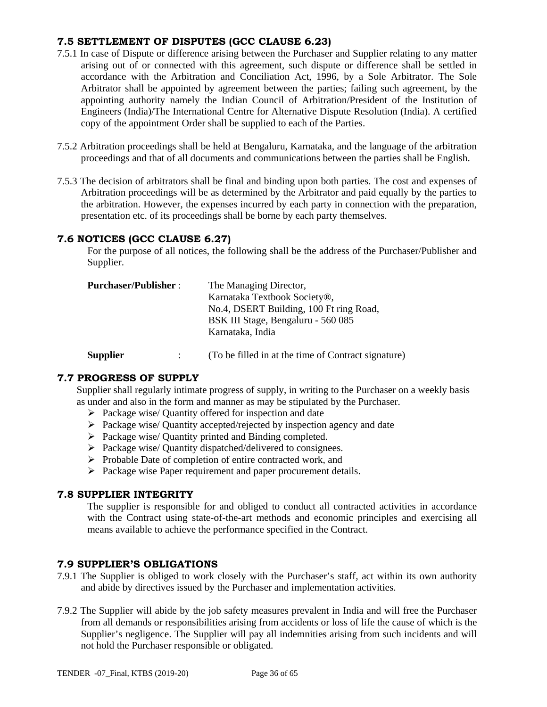### **7.5 SETTLEMENT OF DISPUTES (GCC CLAUSE 6.23)**

- 7.5.1 In case of Dispute or difference arising between the Purchaser and Supplier relating to any matter arising out of or connected with this agreement, such dispute or difference shall be settled in accordance with the Arbitration and Conciliation Act, 1996, by a Sole Arbitrator. The Sole Arbitrator shall be appointed by agreement between the parties; failing such agreement, by the appointing authority namely the Indian Council of Arbitration/President of the Institution of Engineers (India)/The International Centre for Alternative Dispute Resolution (India). A certified copy of the appointment Order shall be supplied to each of the Parties.
- 7.5.2 Arbitration proceedings shall be held at Bengaluru, Karnataka, and the language of the arbitration proceedings and that of all documents and communications between the parties shall be English.
- 7.5.3 The decision of arbitrators shall be final and binding upon both parties. The cost and expenses of Arbitration proceedings will be as determined by the Arbitrator and paid equally by the parties to the arbitration. However, the expenses incurred by each party in connection with the preparation, presentation etc. of its proceedings shall be borne by each party themselves.

#### **7.6 NOTICES (GCC CLAUSE 6.27)**

For the purpose of all notices, the following shall be the address of the Purchaser/Publisher and Supplier.

| <b>Purchaser/Publisher:</b> | The Managing Director,                  |
|-----------------------------|-----------------------------------------|
|                             | Karnataka Textbook Society®,            |
|                             | No.4, DSERT Building, 100 Ft ring Road, |
|                             | BSK III Stage, Bengaluru - 560 085      |
|                             | Karnataka, India                        |
|                             |                                         |

**Supplier** : (To be filled in at the time of Contract signature)

# **7.7 PROGRESS OF SUPPLY**

Supplier shall regularly intimate progress of supply, in writing to the Purchaser on a weekly basis as under and also in the form and manner as may be stipulated by the Purchaser.

- $\triangleright$  Package wise/ Quantity offered for inspection and date
- $\triangleright$  Package wise/ Quantity accepted/rejected by inspection agency and date
- $\triangleright$  Package wise/ Quantity printed and Binding completed.
- $\triangleright$  Package wise/ Quantity dispatched/delivered to consignees.
- $\triangleright$  Probable Date of completion of entire contracted work, and
- $\triangleright$  Package wise Paper requirement and paper procurement details.

#### **7.8 SUPPLIER INTEGRITY**

The supplier is responsible for and obliged to conduct all contracted activities in accordance with the Contract using state-of-the-art methods and economic principles and exercising all means available to achieve the performance specified in the Contract.

#### **7.9 SUPPLIER'S OBLIGATIONS**

- 7.9.1 The Supplier is obliged to work closely with the Purchaser's staff, act within its own authority and abide by directives issued by the Purchaser and implementation activities.
- 7.9.2 The Supplier will abide by the job safety measures prevalent in India and will free the Purchaser from all demands or responsibilities arising from accidents or loss of life the cause of which is the Supplier's negligence. The Supplier will pay all indemnities arising from such incidents and will not hold the Purchaser responsible or obligated.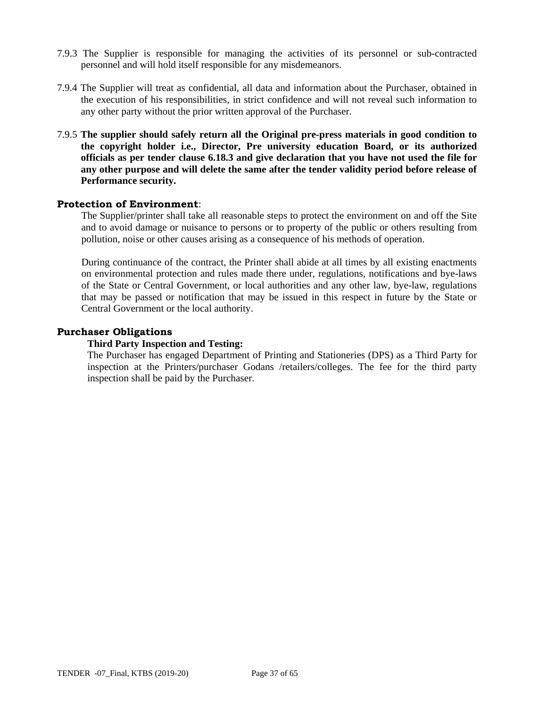- 7.9.3 The Supplier is responsible for managing the activities of its personnel or sub-contracted personnel and will hold itself responsible for any misdemeanors.
- 7.9.4 The Supplier will treat as confidential, all data and information about the Purchaser, obtained in the execution of his responsibilities, in strict confidence and will not reveal such information to any other party without the prior written approval of the Purchaser.
- 7.9.5 **The supplier should safely return all the Original pre-press materials in good condition to the copyright holder i.e., Director, Pre university education Board, or its authorized officials as per tender clause 6.18.3 and give declaration that you have not used the file for any other purpose and will delete the same after the tender validity period before release of Performance security.**

#### **Protection of Environment**:

The Supplier/printer shall take all reasonable steps to protect the environment on and off the Site and to avoid damage or nuisance to persons or to property of the public or others resulting from pollution, noise or other causes arising as a consequence of his methods of operation.

During continuance of the contract, the Printer shall abide at all times by all existing enactments on environmental protection and rules made there under, regulations, notifications and bye-laws of the State or Central Government, or local authorities and any other law, bye-law, regulations that may be passed or notification that may be issued in this respect in future by the State or Central Government or the local authority.

#### **Purchaser Obligations**

#### **Third Party Inspection and Testing:**

The Purchaser has engaged Department of Printing and Stationeries (DPS) as a Third Party for inspection at the Printers/purchaser Godans /retailers/colleges. The fee for the third party inspection shall be paid by the Purchaser.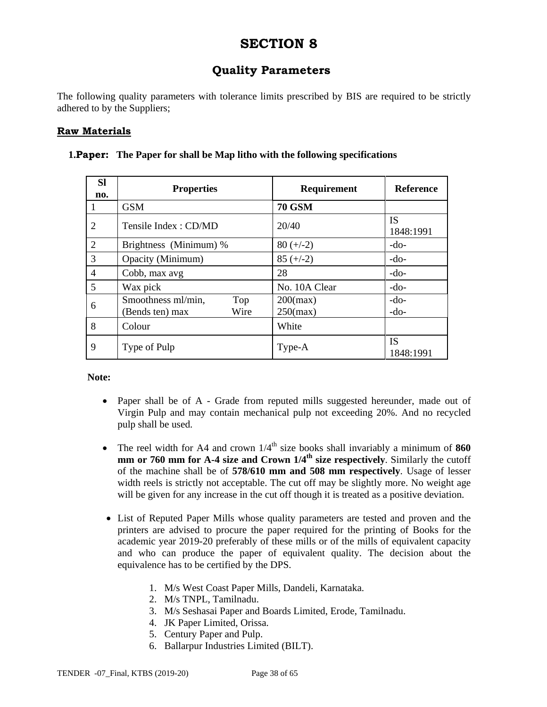# **Quality Parameters**

The following quality parameters with tolerance limits prescribed by BIS are required to be strictly adhered to by the Suppliers;

### **Raw Materials**

| <b>SI</b><br>no. | <b>Properties</b>                                    | <b>Requirement</b>         | <b>Reference</b>       |
|------------------|------------------------------------------------------|----------------------------|------------------------|
|                  | <b>GSM</b>                                           | <b>70 GSM</b>              |                        |
| 2                | Tensile Index: CD/MD                                 | 20/40                      | <b>IS</b><br>1848:1991 |
| $\overline{2}$   | Brightness (Minimum) %                               | $80 (+/-2)$                | $-do-$                 |
| 3                | Opacity (Minimum)                                    | $85 (+/-2)$                | $-do-$                 |
| $\overline{4}$   | Cobb, max avg                                        | 28                         | $-do-$                 |
| 5                | Wax pick                                             | No. 10A Clear              | $-do-$                 |
| 6                | Smoothness ml/min,<br>Top<br>Wire<br>(Bends ten) max | $200$ (max)<br>$250$ (max) | $-do-$<br>$-do-$       |
| 8                | Colour                                               | White                      |                        |
| 9                | Type of Pulp                                         | Type-A                     | IS.<br>1848:1991       |

#### **1.Paper: The Paper for shall be Map litho with the following specifications**

#### **Note:**

- Paper shall be of A Grade from reputed mills suggested hereunder, made out of Virgin Pulp and may contain mechanical pulp not exceeding 20%. And no recycled pulp shall be used.
- The reel width for A4 and crown  $1/4<sup>th</sup>$  size books shall invariably a minimum of  $860$ **mm or 760 mm for A-4 size and Crown 1/4th size respectively**. Similarly the cutoff of the machine shall be of **578/610 mm and 508 mm respectively**. Usage of lesser width reels is strictly not acceptable. The cut off may be slightly more. No weight age will be given for any increase in the cut off though it is treated as a positive deviation.
- List of Reputed Paper Mills whose quality parameters are tested and proven and the printers are advised to procure the paper required for the printing of Books for the academic year 2019-20 preferably of these mills or of the mills of equivalent capacity and who can produce the paper of equivalent quality. The decision about the equivalence has to be certified by the DPS.
	- 1. M/s West Coast Paper Mills, Dandeli, Karnataka.
	- 2. M/s TNPL, Tamilnadu.
	- 3. M/s Seshasai Paper and Boards Limited, Erode, Tamilnadu.
	- 4. JK Paper Limited, Orissa.
	- 5. Century Paper and Pulp.
	- 6. Ballarpur Industries Limited (BILT).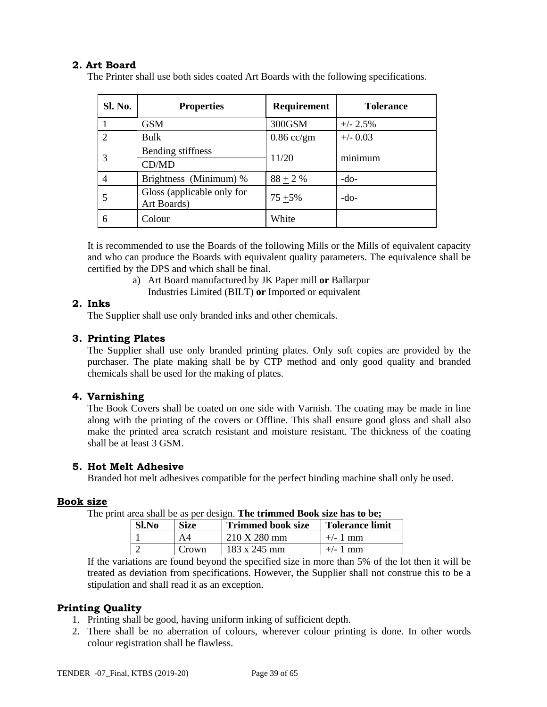### **2. Art Board**

The Printer shall use both sides coated Art Boards with the following specifications.

| <b>Sl. No.</b> | <b>Properties</b>                         | <b>Requirement</b> | <b>Tolerance</b> |  |
|----------------|-------------------------------------------|--------------------|------------------|--|
|                | <b>GSM</b>                                | 300GSM             | $+/- 2.5%$       |  |
|                | Bulk                                      | $0.86$ cc/gm       | $+/-$ 0.03       |  |
|                | Bending stiffness                         | 11/20              | minimum          |  |
|                | CD/MD                                     |                    |                  |  |
|                | Brightness (Minimum) %                    | $88 + 2 %$         | $-do-$           |  |
|                | Gloss (applicable only for<br>Art Boards) | $75 + 5\%$         | -do-             |  |
| 6              | Colour                                    | White              |                  |  |

It is recommended to use the Boards of the following Mills or the Mills of equivalent capacity and who can produce the Boards with equivalent quality parameters. The equivalence shall be certified by the DPS and which shall be final.

> a) Art Board manufactured by JK Paper mill **or** Ballarpur Industries Limited (BILT) **or** Imported or equivalent

#### **2. Inks**

The Supplier shall use only branded inks and other chemicals.

#### **3. Printing Plates**

The Supplier shall use only branded printing plates. Only soft copies are provided by the purchaser. The plate making shall be by CTP method and only good quality and branded chemicals shall be used for the making of plates.

#### **4. Varnishing**

The Book Covers shall be coated on one side with Varnish. The coating may be made in line along with the printing of the covers or Offline. This shall ensure good gloss and shall also make the printed area scratch resistant and moisture resistant. The thickness of the coating shall be at least 3 GSM.

#### **5. Hot Melt Adhesive**

Branded hot melt adhesives compatible for the perfect binding machine shall only be used.

#### **Book size**

The print area shall be as per design. **The trimmed Book size has to be;** 

| <b>Sl.No</b> | <b>Size</b> | <b>Trimmed book size</b>        | <b>Tolerance limit</b> |
|--------------|-------------|---------------------------------|------------------------|
|              |             | $210 \text{ X } 280 \text{ mm}$ | $+/- 1$ mm             |
|              | Crown       | $183 \times 245$ mm             | $+/- 1$ mm             |

If the variations are found beyond the specified size in more than 5% of the lot then it will be treated as deviation from specifications. However, the Supplier shall not construe this to be a stipulation and shall read it as an exception.

#### **Printing Quality**

- 1. Printing shall be good, having uniform inking of sufficient depth.
- 2. There shall be no aberration of colours, wherever colour printing is done. In other words colour registration shall be flawless.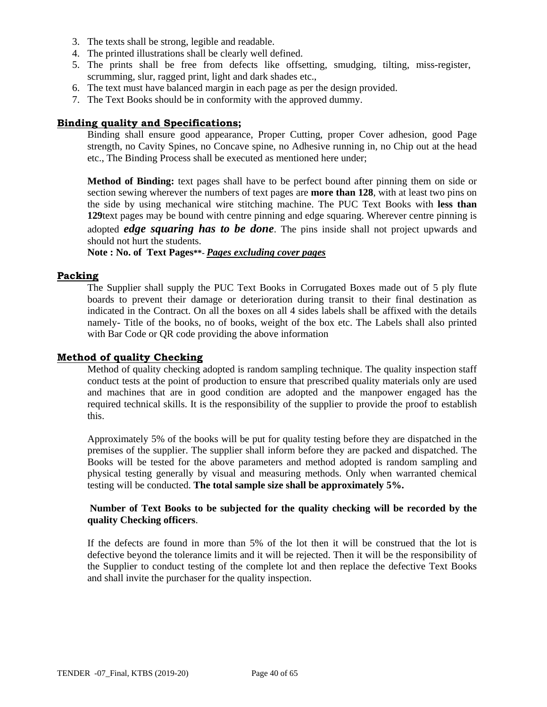- 3. The texts shall be strong, legible and readable.
- 4. The printed illustrations shall be clearly well defined.
- 5. The prints shall be free from defects like offsetting, smudging, tilting, miss-register, scrumming, slur, ragged print, light and dark shades etc.,
- 6. The text must have balanced margin in each page as per the design provided.
- 7. The Text Books should be in conformity with the approved dummy.

#### **Binding quality and Specifications;**

Binding shall ensure good appearance, Proper Cutting, proper Cover adhesion, good Page strength, no Cavity Spines, no Concave spine, no Adhesive running in, no Chip out at the head etc., The Binding Process shall be executed as mentioned here under;

**Method of Binding:** text pages shall have to be perfect bound after pinning them on side or section sewing wherever the numbers of text pages are **more than 128**, with at least two pins on the side by using mechanical wire stitching machine. The PUC Text Books with **less than 129**text pages may be bound with centre pinning and edge squaring. Wherever centre pinning is adopted *edge squaring has to be done*. The pins inside shall not project upwards and should not hurt the students.

**Note : No. of Text Pages\*\*-** *Pages excluding cover pages*

#### **Packing**

The Supplier shall supply the PUC Text Books in Corrugated Boxes made out of 5 ply flute boards to prevent their damage or deterioration during transit to their final destination as indicated in the Contract. On all the boxes on all 4 sides labels shall be affixed with the details namely- Title of the books, no of books, weight of the box etc. The Labels shall also printed with Bar Code or QR code providing the above information

#### **Method of quality Checking**

Method of quality checking adopted is random sampling technique. The quality inspection staff conduct tests at the point of production to ensure that prescribed quality materials only are used and machines that are in good condition are adopted and the manpower engaged has the required technical skills. It is the responsibility of the supplier to provide the proof to establish this.

Approximately 5% of the books will be put for quality testing before they are dispatched in the premises of the supplier. The supplier shall inform before they are packed and dispatched. The Books will be tested for the above parameters and method adopted is random sampling and physical testing generally by visual and measuring methods. Only when warranted chemical testing will be conducted. **The total sample size shall be approximately 5%.**

#### **Number of Text Books to be subjected for the quality checking will be recorded by the quality Checking officers**.

If the defects are found in more than 5% of the lot then it will be construed that the lot is defective beyond the tolerance limits and it will be rejected. Then it will be the responsibility of the Supplier to conduct testing of the complete lot and then replace the defective Text Books and shall invite the purchaser for the quality inspection.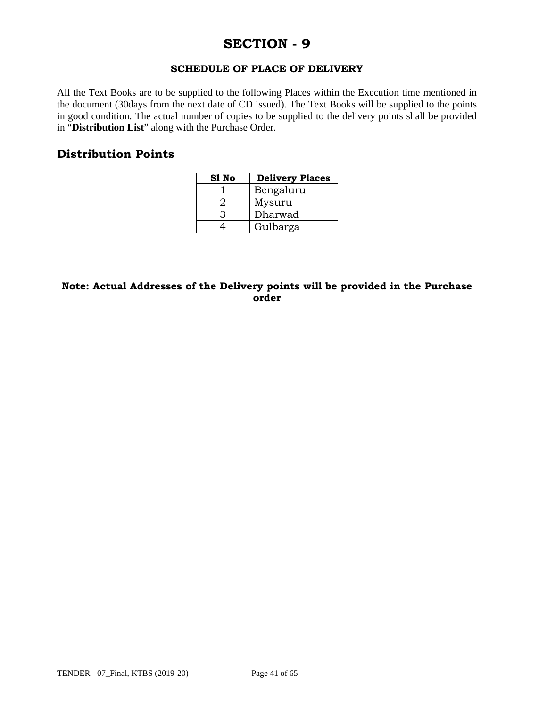# **SECTION - 9**

#### **SCHEDULE OF PLACE OF DELIVERY**

All the Text Books are to be supplied to the following Places within the Execution time mentioned in the document (30days from the next date of CD issued). The Text Books will be supplied to the points in good condition. The actual number of copies to be supplied to the delivery points shall be provided in "**Distribution List**" along with the Purchase Order.

### **Distribution Points**

| S1 No | <b>Delivery Places</b> |
|-------|------------------------|
|       | Bengaluru              |
|       | Mysuru                 |
|       | Dharwad                |
|       | Gulbarga               |

#### **Note: Actual Addresses of the Delivery points will be provided in the Purchase order**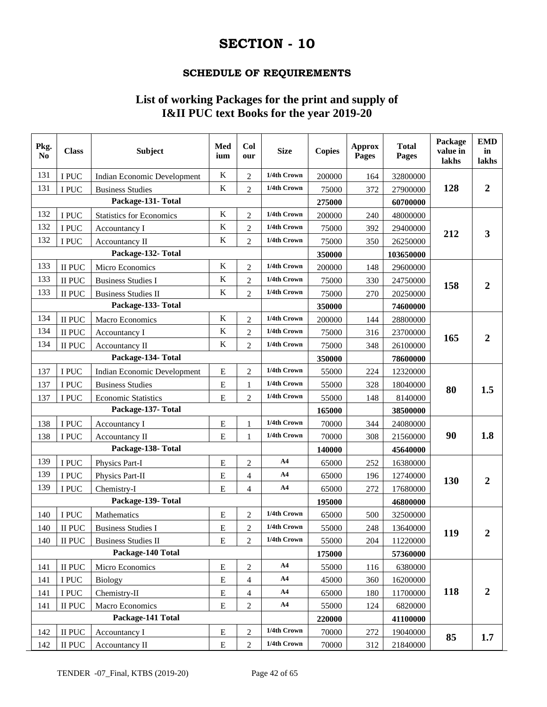# **SECTION - 10**

#### **SCHEDULE OF REQUIREMENTS**

# **List of working Packages for the print and supply of I&II PUC text Books for the year 2019-20**

| Pkg.<br>No        | <b>Class</b> | <b>Subject</b>                     | Med<br>ium  | Col<br>our       | <b>Size</b>    | <b>Copies</b> | <b>Approx</b><br>Pages | <b>Total</b><br>Pages | Package<br>value in<br>lakhs | <b>EMD</b><br>in<br>lakhs |
|-------------------|--------------|------------------------------------|-------------|------------------|----------------|---------------|------------------------|-----------------------|------------------------------|---------------------------|
| 131               | I PUC        | Indian Economic Development        | $\bf K$     | $\overline{2}$   | 1/4th Crown    | 200000        | 164                    | 32800000              |                              |                           |
| 131               | I PUC        | <b>Business Studies</b>            | K           | $\overline{c}$   | 1/4th Crown    | 75000         | 372                    | 27900000              | 128                          | $\overline{2}$            |
|                   |              | Package-131- Total                 |             |                  |                | 275000        |                        | 60700000              |                              |                           |
| 132               | I PUC        | <b>Statistics for Economics</b>    | K           | $\overline{2}$   | 1/4th Crown    | 200000        | 240                    | 48000000              |                              |                           |
| 132               | I PUC        | Accountancy I                      | ${\bf K}$   | $\overline{c}$   | 1/4th Crown    | 75000         | 392                    | 29400000              | 212                          | 3                         |
| 132               | I PUC        | <b>Accountancy II</b>              | ${\bf K}$   | $\overline{2}$   | 1/4th Crown    | 75000         | 350                    | 26250000              |                              |                           |
|                   |              | Package-132- Total                 |             |                  |                | 350000        |                        | 103650000             |                              |                           |
| 133               | II PUC       | Micro Economics                    | K           | $\overline{c}$   | 1/4th Crown    | 200000        | 148                    | 29600000              |                              |                           |
| 133               | II PUC       | <b>Business Studies I</b>          | $\rm K$     | $\overline{c}$   | 1/4th Crown    | 75000         | 330                    | 24750000              | 158                          | $\overline{2}$            |
| 133               | II PUC       | <b>Business Studies II</b>         | K           | $\overline{2}$   | 1/4th Crown    | 75000         | 270                    | 20250000              |                              |                           |
|                   |              | Package-133-Total                  |             |                  |                | 350000        |                        | 74600000              |                              |                           |
| 134               | II PUC       | Macro Economics                    | $\bf K$     | $\overline{c}$   | 1/4th Crown    | 200000        | 144                    | 28800000              |                              |                           |
| 134               | II PUC       | Accountancy I                      | K           | $\overline{2}$   | 1/4th Crown    | 75000         | 316                    | 23700000              | 165                          | $\overline{2}$            |
| 134               | II PUC       | Accountancy II                     | ${\bf K}$   | $\overline{c}$   | 1/4th Crown    | 75000         | 348                    | 26100000              |                              |                           |
|                   |              | Package-134- Total                 |             |                  |                | 350000        |                        | 78600000              |                              |                           |
| 137               | I PUC        | <b>Indian Economic Development</b> | E           | $\overline{c}$   | 1/4th Crown    | 55000         | 224                    | 12320000              |                              |                           |
| 137               | I PUC        | <b>Business Studies</b>            | $\mathbf E$ | 1                | 1/4th Crown    | 55000         | 328                    | 18040000              | 80                           | 1.5                       |
| 137               | I PUC        | <b>Economic Statistics</b>         | E           | $\overline{c}$   | 1/4th Crown    | 55000         | 148                    | 8140000               |                              |                           |
|                   |              | Package-137- Total                 |             |                  |                | 165000        |                        | 38500000              |                              |                           |
| 138               | I PUC        | Accountancy I                      | $\mathbf E$ | 1                | 1/4th Crown    | 70000         | 344                    | 24080000              |                              |                           |
| 138               | I PUC        | Accountancy II                     | E           | 1                | 1/4th Crown    | 70000         | 308                    | 21560000              | 90                           | 1.8                       |
|                   |              | Package-138- Total                 |             |                  |                | 140000        |                        | 45640000              |                              |                           |
| 139               | I PUC        | Physics Part-I                     | E           | $\mathbf 2$      | A <sub>4</sub> | 65000         | 252                    | 16380000              |                              |                           |
| 139               | I PUC        | Physics Part-II                    | ${\bf E}$   | 4                | AA             | 65000         | 196                    | 12740000              | 130                          | $\boldsymbol{2}$          |
| 139               | I PUC        | Chemistry-I                        | E           | $\overline{4}$   | AA             | 65000         | 272                    | 17680000              |                              |                           |
|                   |              | Package-139-Total                  |             |                  |                | 195000        |                        | 46800000              |                              |                           |
| 140               | I PUC        | Mathematics                        | E           | $\boldsymbol{2}$ | 1/4th Crown    | 65000         | 500                    | 32500000              |                              |                           |
| 140               | II PUC       | <b>Business Studies I</b>          | ${\bf E}$   | $\overline{c}$   | 1/4th Crown    | 55000         | 248                    | 13640000              | 119                          | $\mathbf 2$               |
| 140               | $\rm II$ PUC | <b>Business Studies II</b>         | $\mathbf E$ | $\overline{2}$   | 1/4th Crown    | 55000         | 204                    | 11220000              |                              |                           |
| Package-140 Total |              |                                    |             |                  | 175000         |               | 57360000               |                       |                              |                           |
| 141               | II PUC       | Micro Economics                    | ${\bf E}$   | $\sqrt{2}$       | A4             | 55000         | 116                    | 6380000               |                              |                           |
| 141               | I PUC        | <b>Biology</b>                     | ${\bf E}$   | $\overline{4}$   | A <sub>4</sub> | 45000         | 360                    | 16200000              |                              |                           |
| 141               | I PUC        | Chemistry-II                       | ${\bf E}$   | 4                | A <sub>4</sub> | 65000         | 180                    | 11700000              | 118                          | $\boldsymbol{2}$          |
| 141               | II PUC       | Macro Economics                    | ${\bf E}$   | $\sqrt{2}$       | A <sub>4</sub> | 55000         | 124                    | 6820000               |                              |                           |
|                   |              | Package-141 Total                  |             |                  |                | 220000        |                        | 41100000              |                              |                           |
| 142               | II PUC       | Accountancy I                      | ${\bf E}$   | $\overline{2}$   | 1/4th Crown    | 70000         | 272                    | 19040000              | 85                           | 1.7                       |
| 142               | II PUC       | Accountancy II                     | E           | $\overline{c}$   | 1/4th Crown    | 70000         | 312                    | 21840000              |                              |                           |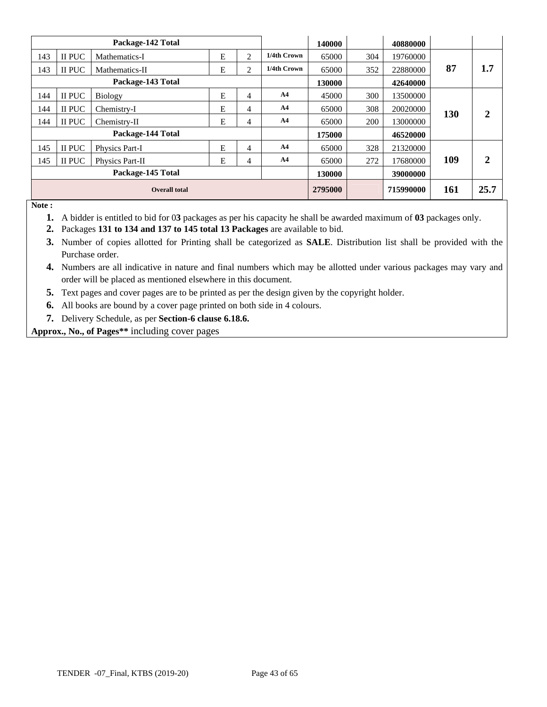|     |                      | Package-142 Total |   |                |                | 140000  |     | 40880000  |     |                |
|-----|----------------------|-------------------|---|----------------|----------------|---------|-----|-----------|-----|----------------|
| 143 | <b>II PUC</b>        | Mathematics-I     | E | $\overline{2}$ | 1/4th Crown    | 65000   | 304 | 19760000  |     |                |
| 143 | <b>II PUC</b>        | Mathematics-II    | Ē | $\overline{2}$ | 1/4th Crown    | 65000   | 352 | 22880000  | 87  | 1.7            |
|     |                      | Package-143 Total |   |                |                | 130000  |     | 42640000  |     |                |
| 144 | II PUC               | Biology           | E | $\overline{4}$ | A <sub>4</sub> | 45000   | 300 | 13500000  |     |                |
| 144 | II PUC               | Chemistry-I       | E | $\overline{4}$ | A <sub>4</sub> | 65000   | 308 | 20020000  | 130 | 2              |
| 144 | II PUC               | Chemistry-II      | E | 4              | A <sub>4</sub> | 65000   | 200 | 13000000  |     |                |
|     |                      | Package-144 Total |   |                |                | 175000  |     | 46520000  |     |                |
| 145 | <b>II PUC</b>        | Physics Part-I    | E | $\overline{4}$ | A <sub>4</sub> | 65000   | 328 | 21320000  |     |                |
| 145 | <b>II PUC</b>        | Physics Part-II   | E | 4              | A <sub>4</sub> | 65000   | 272 | 17680000  | 109 | $\overline{2}$ |
|     | Package-145 Total    |                   |   |                |                | 130000  |     | 39000000  |     |                |
|     | <b>Overall total</b> |                   |   |                |                | 2795000 |     | 715990000 | 161 | 25.7           |

**Note :** 

- **1.** A bidder is entitled to bid for 0**3** packages as per his capacity he shall be awarded maximum of **03** packages only.
- **2.** Packages **131 to 134 and 137 to 145 total 13 Packages** are available to bid.
- **3.** Number of copies allotted for Printing shall be categorized as **SALE**. Distribution list shall be provided with the Purchase order.
- **4.** Numbers are all indicative in nature and final numbers which may be allotted under various packages may vary and order will be placed as mentioned elsewhere in this document.
- **5.** Text pages and cover pages are to be printed as per the design given by the copyright holder.
- **6.** All books are bound by a cover page printed on both side in 4 colours.
- **7.** Delivery Schedule, as per **Section-6 clause 6.18.6.**

**Approx., No., of Pages\*\*** including cover pages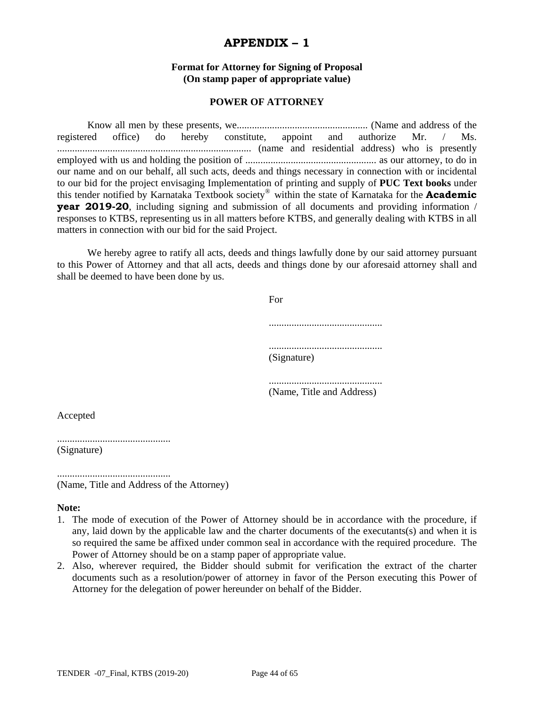### **APPENDIX – 1**

#### **Format for Attorney for Signing of Proposal (On stamp paper of appropriate value)**

#### **POWER OF ATTORNEY**

 Know all men by these presents, we.................................................... (Name and address of the registered office) do hereby constitute, appoint and authorize Mr. / Ms. ............................................................................. (name and residential address) who is presently employed with us and holding the position of .................................................... as our attorney, to do in our name and on our behalf, all such acts, deeds and things necessary in connection with or incidental to our bid for the project envisaging Implementation of printing and supply of **PUC Text books** under this tender notified by Karnataka Textbook society® within the state of Karnataka for the **Academic year 2019-20**, including signing and submission of all documents and providing information / responses to KTBS, representing us in all matters before KTBS, and generally dealing with KTBS in all matters in connection with our bid for the said Project.

We hereby agree to ratify all acts, deeds and things lawfully done by our said attorney pursuant to this Power of Attorney and that all acts, deeds and things done by our aforesaid attorney shall and shall be deemed to have been done by us.

| For         |
|-------------|
|             |
| (Signature) |

............................................. (Name, Title and Address)

Accepted

.............................................

(Signature)

............................................. (Name, Title and Address of the Attorney)

#### **Note:**

- 1. The mode of execution of the Power of Attorney should be in accordance with the procedure, if any, laid down by the applicable law and the charter documents of the executants(s) and when it is so required the same be affixed under common seal in accordance with the required procedure. The Power of Attorney should be on a stamp paper of appropriate value.
- 2. Also, wherever required, the Bidder should submit for verification the extract of the charter documents such as a resolution/power of attorney in favor of the Person executing this Power of Attorney for the delegation of power hereunder on behalf of the Bidder.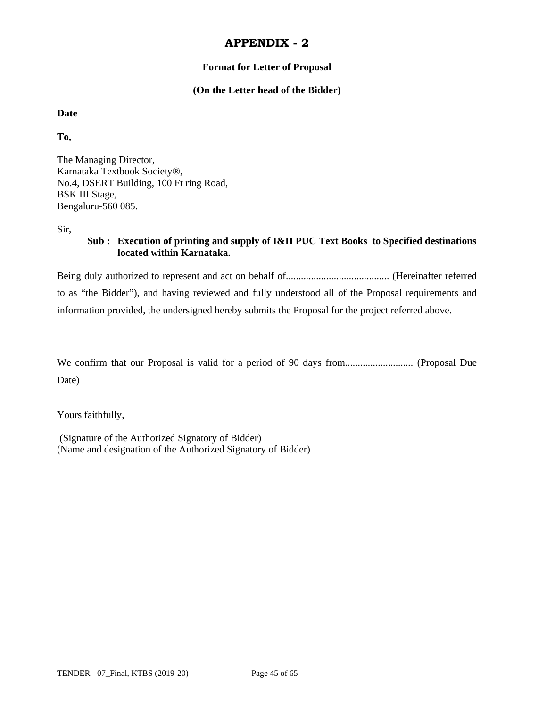#### **Format for Letter of Proposal**

#### **(On the Letter head of the Bidder)**

#### **Date**

**To,** 

The Managing Director, Karnataka Textbook Society®, No.4, DSERT Building, 100 Ft ring Road, BSK III Stage, Bengaluru-560 085.

Sir,

### **Sub : Execution of printing and supply of I&II PUC Text Books to Specified destinations located within Karnataka.**

Being duly authorized to represent and act on behalf of......................................... (Hereinafter referred to as "the Bidder"), and having reviewed and fully understood all of the Proposal requirements and information provided, the undersigned hereby submits the Proposal for the project referred above.

We confirm that our Proposal is valid for a period of 90 days from........................... (Proposal Due Date)

Yours faithfully,

 (Signature of the Authorized Signatory of Bidder) (Name and designation of the Authorized Signatory of Bidder)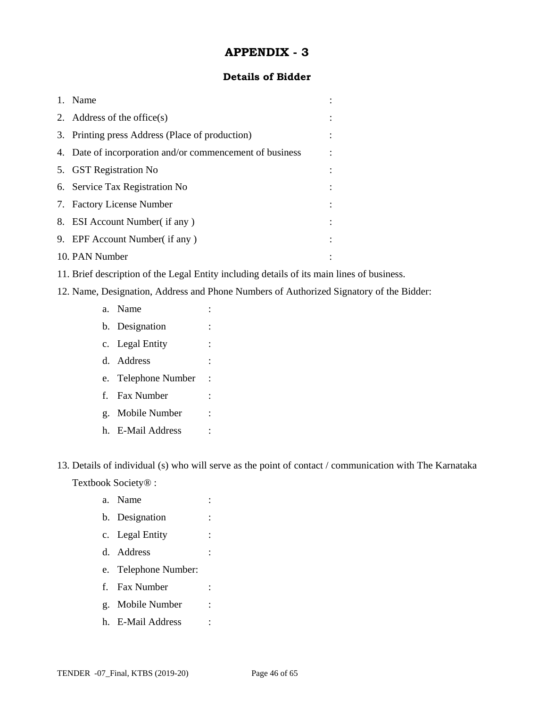#### **Details of Bidder**

| 1. | Name                                                     |  |
|----|----------------------------------------------------------|--|
|    | 2. Address of the office $(s)$                           |  |
|    | 3. Printing press Address (Place of production)          |  |
|    | 4. Date of incorporation and/or commencement of business |  |
|    | 5. GST Registration No                                   |  |
|    | 6. Service Tax Registration No                           |  |
|    | 7. Factory License Number                                |  |
|    | 8. ESI Account Number (if any)                           |  |
|    | 9. EPF Account Number(if any)                            |  |
|    | 10. PAN Number                                           |  |

- 11. Brief description of the Legal Entity including details of its main lines of business.
- 12. Name, Designation, Address and Phone Numbers of Authorized Signatory of the Bidder:
	- a. Name : b. Designation : c. Legal Entity : d. Address : e. Telephone Number : f. Fax Number : g. Mobile Number : h. E-Mail Address :

13. Details of individual (s) who will serve as the point of contact / communication with The Karnataka Textbook Society® :

- a. Name : b. Designation : c. Legal Entity : d. Address : e. Telephone Number: f. Fax Number :
- g. Mobile Number :
- h. E-Mail Address :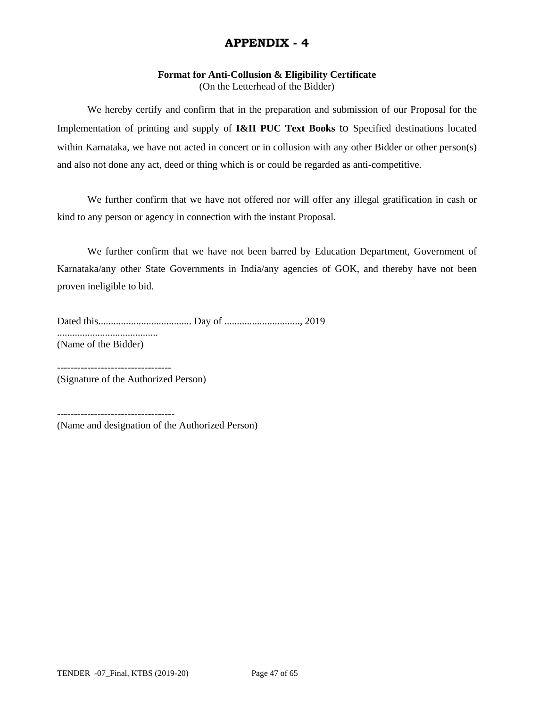# **Format for Anti-Collusion & Eligibility Certificate**

(On the Letterhead of the Bidder)

 We hereby certify and confirm that in the preparation and submission of our Proposal for the Implementation of printing and supply of **I&II PUC Text Books** to Specified destinations located within Karnataka, we have not acted in concert or in collusion with any other Bidder or other person(s) and also not done any act, deed or thing which is or could be regarded as anti-competitive.

 We further confirm that we have not offered nor will offer any illegal gratification in cash or kind to any person or agency in connection with the instant Proposal.

 We further confirm that we have not been barred by Education Department, Government of Karnataka/any other State Governments in India/any agencies of GOK, and thereby have not been proven ineligible to bid.

Dated this..................................... Day of .............................., 2019 ........................................ (Name of the Bidder)

---------------------------------- (Signature of the Authorized Person)

----------------------------------- (Name and designation of the Authorized Person)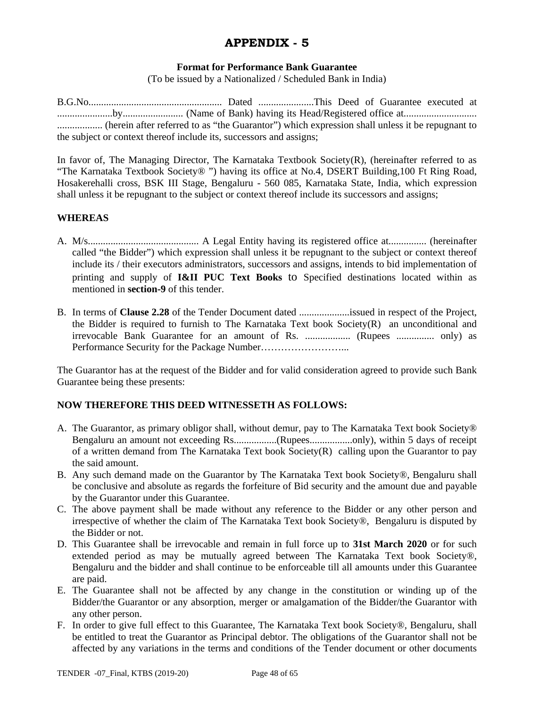#### **Format for Performance Bank Guarantee**

(To be issued by a Nationalized / Scheduled Bank in India)

B.G.No..................................................... Dated ......................This Deed of Guarantee executed at ......................by........................ (Name of Bank) having its Head/Registered office at............................. .................. (herein after referred to as "the Guarantor") which expression shall unless it be repugnant to the subject or context thereof include its, successors and assigns;

In favor of, The Managing Director, The Karnataka Textbook Society(R), (hereinafter referred to as "The Karnataka Textbook Society® ") having its office at No.4, DSERT Building,100 Ft Ring Road, Hosakerehalli cross, BSK III Stage, Bengaluru - 560 085, Karnataka State, India, which expression shall unless it be repugnant to the subject or context thereof include its successors and assigns;

#### **WHEREAS**

- A. M/s............................................ A Legal Entity having its registered office at............... (hereinafter called "the Bidder") which expression shall unless it be repugnant to the subject or context thereof include its / their executors administrators, successors and assigns, intends to bid implementation of printing and supply of **I&II PUC Text Books** to Specified destinations located within as mentioned in **section-9** of this tender.
- B. In terms of **Clause 2.28** of the Tender Document dated ....................issued in respect of the Project, the Bidder is required to furnish to The Karnataka Text book Society(R) an unconditional and irrevocable Bank Guarantee for an amount of Rs. .................. (Rupees ............... only) as Performance Security for the Package Number……………………...

The Guarantor has at the request of the Bidder and for valid consideration agreed to provide such Bank Guarantee being these presents:

#### **NOW THEREFORE THIS DEED WITNESSETH AS FOLLOWS:**

- A. The Guarantor, as primary obligor shall, without demur, pay to The Karnataka Text book Society® Bengaluru an amount not exceeding Rs.................(Rupees.................only), within 5 days of receipt of a written demand from The Karnataka Text book Society(R) calling upon the Guarantor to pay the said amount.
- B. Any such demand made on the Guarantor by The Karnataka Text book Society®, Bengaluru shall be conclusive and absolute as regards the forfeiture of Bid security and the amount due and payable by the Guarantor under this Guarantee.
- C. The above payment shall be made without any reference to the Bidder or any other person and irrespective of whether the claim of The Karnataka Text book Society®, Bengaluru is disputed by the Bidder or not.
- D. This Guarantee shall be irrevocable and remain in full force up to **31st March 2020** or for such extended period as may be mutually agreed between The Karnataka Text book Society®, Bengaluru and the bidder and shall continue to be enforceable till all amounts under this Guarantee are paid.
- E. The Guarantee shall not be affected by any change in the constitution or winding up of the Bidder/the Guarantor or any absorption, merger or amalgamation of the Bidder/the Guarantor with any other person.
- F. In order to give full effect to this Guarantee, The Karnataka Text book Society®, Bengaluru, shall be entitled to treat the Guarantor as Principal debtor. The obligations of the Guarantor shall not be affected by any variations in the terms and conditions of the Tender document or other documents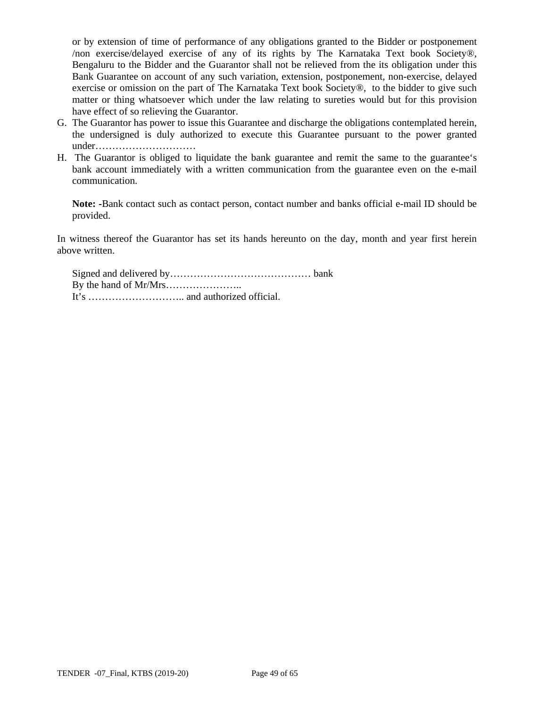or by extension of time of performance of any obligations granted to the Bidder or postponement /non exercise/delayed exercise of any of its rights by The Karnataka Text book Society®, Bengaluru to the Bidder and the Guarantor shall not be relieved from the its obligation under this Bank Guarantee on account of any such variation, extension, postponement, non-exercise, delayed exercise or omission on the part of The Karnataka Text book Society®, to the bidder to give such matter or thing whatsoever which under the law relating to sureties would but for this provision have effect of so relieving the Guarantor.

- G. The Guarantor has power to issue this Guarantee and discharge the obligations contemplated herein, the undersigned is duly authorized to execute this Guarantee pursuant to the power granted under…………………………
- H. The Guarantor is obliged to liquidate the bank guarantee and remit the same to the guarantee's bank account immediately with a written communication from the guarantee even on the e-mail communication.

**Note: -**Bank contact such as contact person, contact number and banks official e-mail ID should be provided.

In witness thereof the Guarantor has set its hands hereunto on the day, month and year first herein above written.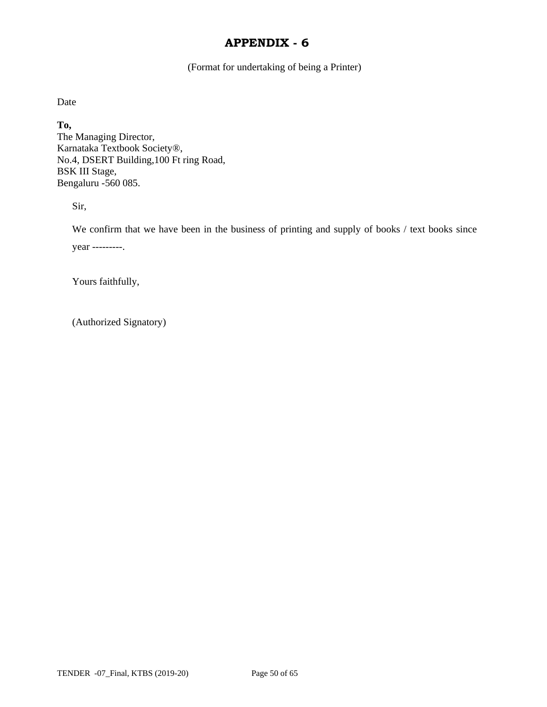(Format for undertaking of being a Printer)

Date

**To,**  The Managing Director, Karnataka Textbook Society®, No.4, DSERT Building,100 Ft ring Road, BSK III Stage, Bengaluru -560 085.

Sir,

We confirm that we have been in the business of printing and supply of books / text books since year ---------.

Yours faithfully,

(Authorized Signatory)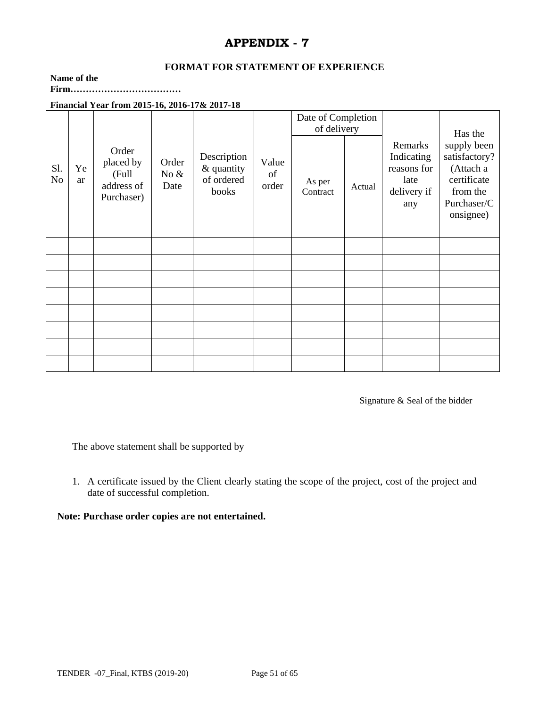#### **FORMAT FOR STATEMENT OF EXPERIENCE**

#### **Name of the**

**Firm………………………………** 

### **Financial Year from 2015-16, 2016-17& 2017-18**

|           |          |                                                         |                          |                                                  |                      | Date of Completion<br>of delivery |  |                    | Has the |                                                                    |                                                                                                  |
|-----------|----------|---------------------------------------------------------|--------------------------|--------------------------------------------------|----------------------|-----------------------------------|--|--------------------|---------|--------------------------------------------------------------------|--------------------------------------------------------------------------------------------------|
| Sl.<br>No | Ye<br>ar | Order<br>placed by<br>(Full<br>address of<br>Purchaser) | Order<br>No $\&$<br>Date | Description<br>& quantity<br>of ordered<br>books | Value<br>of<br>order |                                   |  | As per<br>Contract | Actual  | Remarks<br>Indicating<br>reasons for<br>late<br>delivery if<br>any | supply been<br>satisfactory?<br>(Attach a<br>certificate<br>from the<br>Purchaser/C<br>onsignee) |
|           |          |                                                         |                          |                                                  |                      |                                   |  |                    |         |                                                                    |                                                                                                  |
|           |          |                                                         |                          |                                                  |                      |                                   |  |                    |         |                                                                    |                                                                                                  |
|           |          |                                                         |                          |                                                  |                      |                                   |  |                    |         |                                                                    |                                                                                                  |
|           |          |                                                         |                          |                                                  |                      |                                   |  |                    |         |                                                                    |                                                                                                  |
|           |          |                                                         |                          |                                                  |                      |                                   |  |                    |         |                                                                    |                                                                                                  |
|           |          |                                                         |                          |                                                  |                      |                                   |  |                    |         |                                                                    |                                                                                                  |
|           |          |                                                         |                          |                                                  |                      |                                   |  |                    |         |                                                                    |                                                                                                  |
|           |          |                                                         |                          |                                                  |                      |                                   |  |                    |         |                                                                    |                                                                                                  |

Signature & Seal of the bidder

The above statement shall be supported by

1. A certificate issued by the Client clearly stating the scope of the project, cost of the project and date of successful completion.

#### **Note: Purchase order copies are not entertained.**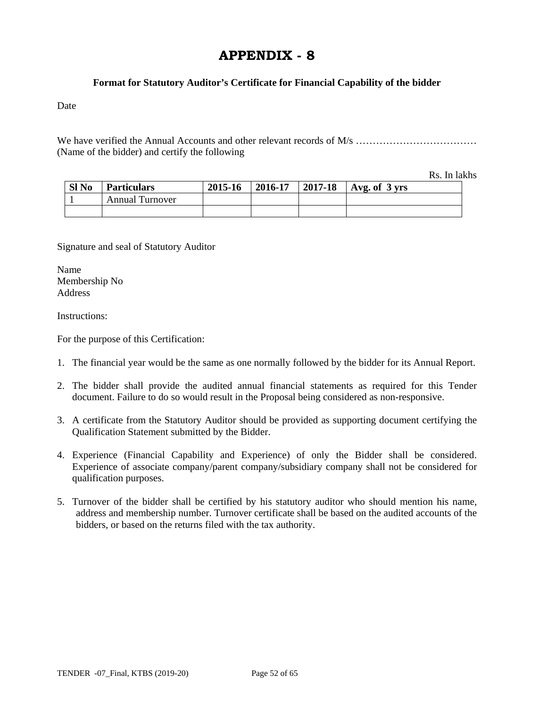#### **Format for Statutory Auditor's Certificate for Financial Capability of the bidder**

Date

We have verified the Annual Accounts and other relevant records of M/s ……………………………… (Name of the bidder) and certify the following

Rs. In lakhs

| Sl No | <b>Particulars</b>     | 2015-16 | $2016 - 17$ | 2017-18   Avg. of $3 \text{ yrs}$ |
|-------|------------------------|---------|-------------|-----------------------------------|
|       | <b>Annual Turnover</b> |         |             |                                   |
|       |                        |         |             |                                   |

Signature and seal of Statutory Auditor

Name Membership No **Address** 

Instructions:

For the purpose of this Certification:

- 1. The financial year would be the same as one normally followed by the bidder for its Annual Report.
- 2. The bidder shall provide the audited annual financial statements as required for this Tender document. Failure to do so would result in the Proposal being considered as non-responsive.
- 3. A certificate from the Statutory Auditor should be provided as supporting document certifying the Qualification Statement submitted by the Bidder.
- 4. Experience (Financial Capability and Experience) of only the Bidder shall be considered. Experience of associate company/parent company/subsidiary company shall not be considered for qualification purposes.
- 5. Turnover of the bidder shall be certified by his statutory auditor who should mention his name, address and membership number. Turnover certificate shall be based on the audited accounts of the bidders, or based on the returns filed with the tax authority.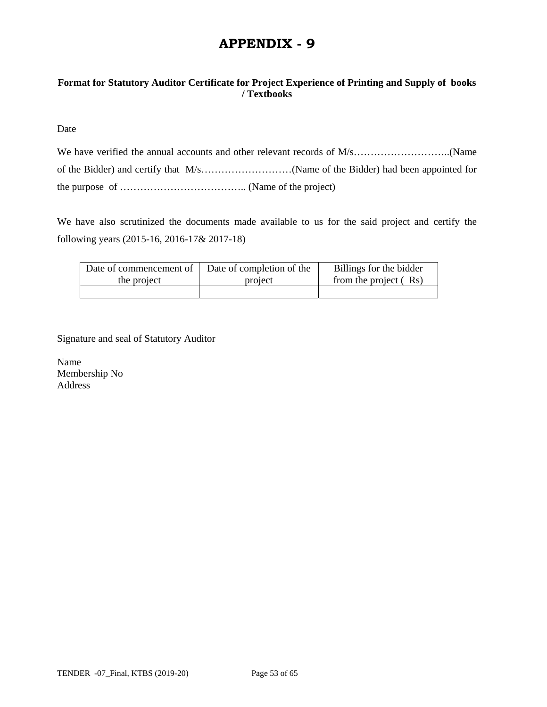### **Format for Statutory Auditor Certificate for Project Experience of Printing and Supply of books / Textbooks**

Date

We have also scrutinized the documents made available to us for the said project and certify the following years (2015-16, 2016-17& 2017-18)

| Date of commencement of | Date of completion of the | Billings for the bidder |
|-------------------------|---------------------------|-------------------------|
| the project             | project                   | from the project (Rs)   |
|                         |                           |                         |

Signature and seal of Statutory Auditor

Name Membership No Address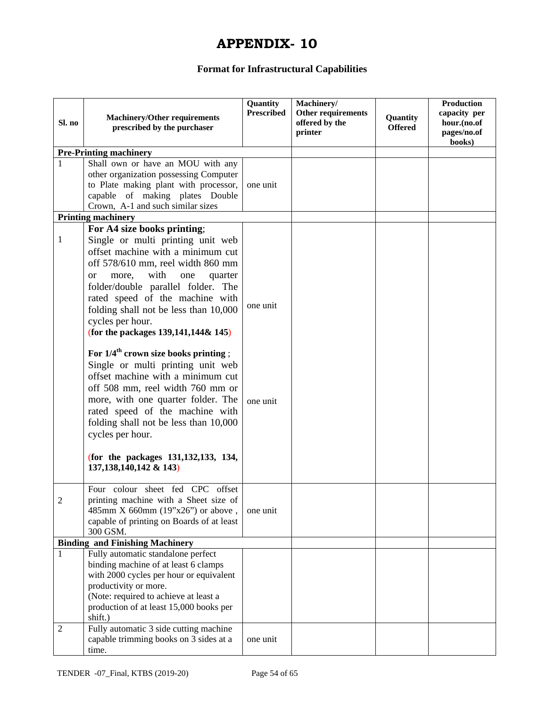# **Format for Infrastructural Capabilities**

| Sl. no                                 | <b>Machinery/Other requirements</b><br>prescribed by the purchaser                                                                                                                                                                                                                                                                                                          | Quantity<br><b>Prescribed</b> | Machinery/<br>Other requirements<br>offered by the<br>printer | Quantity<br><b>Offered</b> | Production<br>capacity per<br>hour.(no.of<br>pages/no.of<br>books) |
|----------------------------------------|-----------------------------------------------------------------------------------------------------------------------------------------------------------------------------------------------------------------------------------------------------------------------------------------------------------------------------------------------------------------------------|-------------------------------|---------------------------------------------------------------|----------------------------|--------------------------------------------------------------------|
|                                        | <b>Pre-Printing machinery</b>                                                                                                                                                                                                                                                                                                                                               |                               |                                                               |                            |                                                                    |
|                                        | Shall own or have an MOU with any<br>other organization possessing Computer<br>to Plate making plant with processor,<br>capable of making plates Double<br>Crown, A-1 and such similar sizes                                                                                                                                                                                | one unit                      |                                                               |                            |                                                                    |
|                                        | <b>Printing machinery</b>                                                                                                                                                                                                                                                                                                                                                   |                               |                                                               |                            |                                                                    |
| $\mathbf{1}$                           | For A4 size books printing;<br>Single or multi printing unit web<br>offset machine with a minimum cut<br>off 578/610 mm, reel width 860 mm<br>with<br>more,<br>one<br><sub>or</sub><br>quarter<br>folder/double parallel folder. The<br>rated speed of the machine with<br>folding shall not be less than 10,000<br>cycles per hour.<br>(for the packages 139,141,144& 145) | one unit                      |                                                               |                            |                                                                    |
|                                        | For $1/4^{\text{th}}$ crown size books printing ;<br>Single or multi printing unit web<br>offset machine with a minimum cut<br>off 508 mm, reel width 760 mm or<br>more, with one quarter folder. The<br>rated speed of the machine with<br>folding shall not be less than 10,000<br>cycles per hour.<br>(for the packages 131,132,133, 134,<br>137, 138, 140, 142 & 143)   | one unit                      |                                                               |                            |                                                                    |
| $\overline{2}$                         | Four colour sheet fed CPC offset<br>printing machine with a Sheet size of<br>485mm X 660mm (19"x26") or above,<br>capable of printing on Boards of at least<br>300 GSM.                                                                                                                                                                                                     | one unit                      |                                                               |                            |                                                                    |
| <b>Binding and Finishing Machinery</b> |                                                                                                                                                                                                                                                                                                                                                                             |                               |                                                               |                            |                                                                    |
| 1                                      | Fully automatic standalone perfect<br>binding machine of at least 6 clamps<br>with 2000 cycles per hour or equivalent<br>productivity or more.<br>(Note: required to achieve at least a<br>production of at least 15,000 books per<br>shift.)                                                                                                                               |                               |                                                               |                            |                                                                    |
| $\overline{2}$                         | Fully automatic 3 side cutting machine<br>capable trimming books on 3 sides at a<br>time.                                                                                                                                                                                                                                                                                   | one unit                      |                                                               |                            |                                                                    |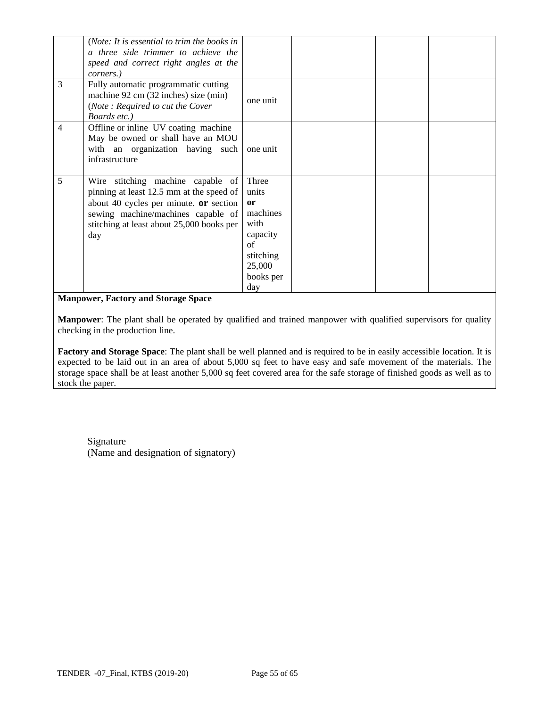|   | (Note: It is essential to trim the books in<br>a three side trimmer to achieve the<br>speed and correct right angles at the<br>corners.)                                                                          |                                                                                                       |  |  |
|---|-------------------------------------------------------------------------------------------------------------------------------------------------------------------------------------------------------------------|-------------------------------------------------------------------------------------------------------|--|--|
| 3 | Fully automatic programmatic cutting<br>machine 92 cm (32 inches) size (min)<br>(Note: Required to cut the Cover<br>Boards etc.)                                                                                  | one unit                                                                                              |  |  |
| 4 | Offline or inline UV coating machine<br>May be owned or shall have an MOU<br>with an organization having such<br>infrastructure                                                                                   | one unit                                                                                              |  |  |
| 5 | Wire stitching machine capable of<br>pinning at least 12.5 mm at the speed of<br>about 40 cycles per minute. or section<br>sewing machine/machines capable of<br>stitching at least about 25,000 books per<br>day | Three<br>units<br>or<br>machines<br>with<br>capacity<br>of<br>stitching<br>25,000<br>books per<br>day |  |  |

#### **Manpower, Factory and Storage Space**

**Manpower**: The plant shall be operated by qualified and trained manpower with qualified supervisors for quality checking in the production line.

**Factory and Storage Space**: The plant shall be well planned and is required to be in easily accessible location. It is expected to be laid out in an area of about 5,000 sq feet to have easy and safe movement of the materials. The storage space shall be at least another 5,000 sq feet covered area for the safe storage of finished goods as well as to stock the paper.

Signature (Name and designation of signatory)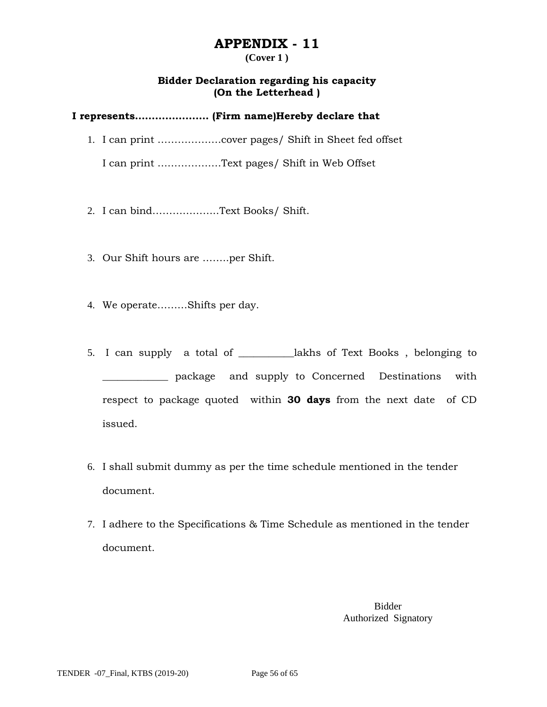#### **(Cover 1 )**

### **Bidder Declaration regarding his capacity (On the Letterhead )**

### **I represents…………………. (Firm name)Hereby declare that**

1. I can print ……………….cover pages/ Shift in Sheet fed offset

I can print ……………….Text pages/ Shift in Web Offset

- 2. I can bind………………..Text Books/ Shift.
- 3. Our Shift hours are ……..per Shift.
- 4. We operate………Shifts per day.
- 5. I can supply a total of \_\_\_\_\_\_\_\_\_\_\_lakhs of Text Books , belonging to \_\_\_\_\_\_\_\_\_\_\_\_\_ package and supply to Concerned Destinations with respect to package quoted within **30 days** from the next date of CD issued.
- 6. I shall submit dummy as per the time schedule mentioned in the tender document.
- 7. I adhere to the Specifications & Time Schedule as mentioned in the tender document.

Bidder Authorized Signatory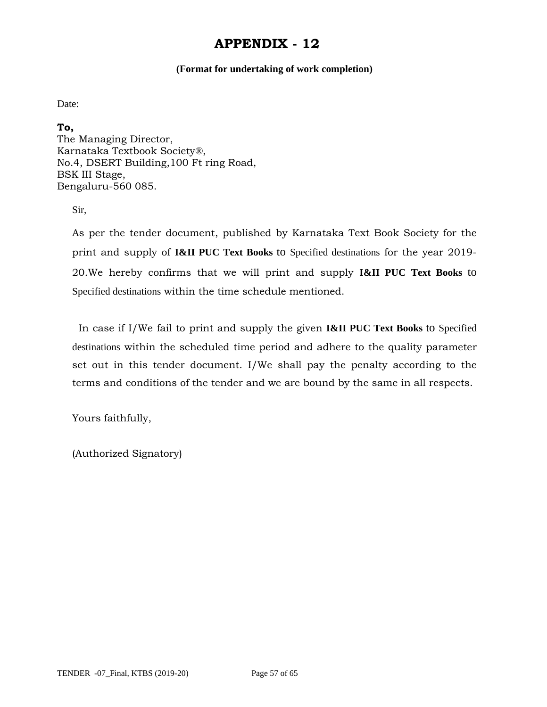#### **(Format for undertaking of work completion)**

Date:

**To,** 

The Managing Director, Karnataka Textbook Society®, No.4, DSERT Building,100 Ft ring Road, BSK III Stage, Bengaluru-560 085.

Sir,

As per the tender document, published by Karnataka Text Book Society for the print and supply of **I&II PUC Text Books** to Specified destinations for the year 2019- 20.We hereby confirms that we will print and supply **I&II PUC Text Books** to Specified destinations within the time schedule mentioned.

 In case if I/We fail to print and supply the given **I&II PUC Text Books** to Specified destinations within the scheduled time period and adhere to the quality parameter set out in this tender document. I/We shall pay the penalty according to the terms and conditions of the tender and we are bound by the same in all respects.

Yours faithfully,

(Authorized Signatory)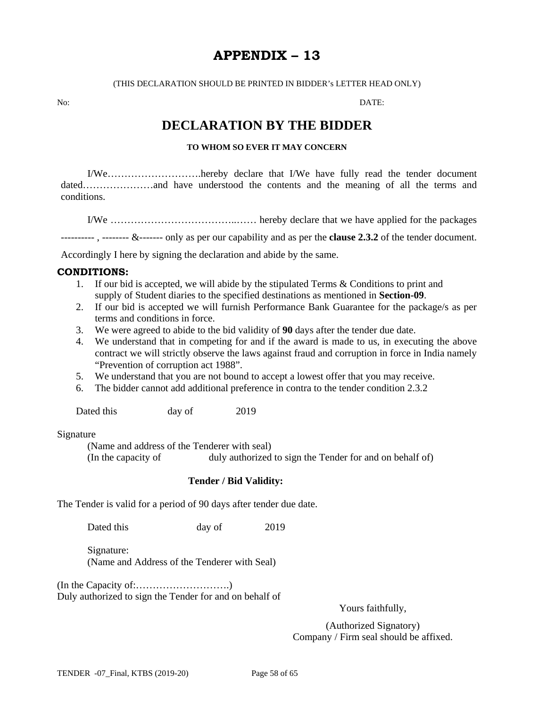# **APPENDIX – 13**

(THIS DECLARATION SHOULD BE PRINTED IN BIDDER's LETTER HEAD ONLY)

No: DATE:

# **DECLARATION BY THE BIDDER**

#### **TO WHOM SO EVER IT MAY CONCERN**

I/We……………………….hereby declare that I/We have fully read the tender document dated…………………and have understood the contents and the meaning of all the terms and conditions.

I/We ………………………………..…… hereby declare that we have applied for the packages

---------- , -------- &------- only as per our capability and as per the **clause 2.3.2** of the tender document.

Accordingly I here by signing the declaration and abide by the same.

#### **CONDITIONS:**

- 1. If our bid is accepted, we will abide by the stipulated Terms & Conditions to print and supply of Student diaries to the specified destinations as mentioned in **Section-09**.
- 2. If our bid is accepted we will furnish Performance Bank Guarantee for the package/s as per terms and conditions in force.
- 3. We were agreed to abide to the bid validity of **90** days after the tender due date.
- 4. We understand that in competing for and if the award is made to us, in executing the above contract we will strictly observe the laws against fraud and corruption in force in India namely "Prevention of corruption act 1988".
- 5. We understand that you are not bound to accept a lowest offer that you may receive.
- 6. The bidder cannot add additional preference in contra to the tender condition 2.3.2

Dated this day of 2019

#### Signature

(Name and address of the Tenderer with seal) (In the capacity of duly authorized to sign the Tender for and on behalf of)

#### **Tender / Bid Validity:**

The Tender is valid for a period of 90 days after tender due date.

Dated this day of 2019

 Signature: (Name and Address of the Tenderer with Seal)

(In the Capacity of:……………………….) Duly authorized to sign the Tender for and on behalf of

Yours faithfully,

(Authorized Signatory) Company / Firm seal should be affixed.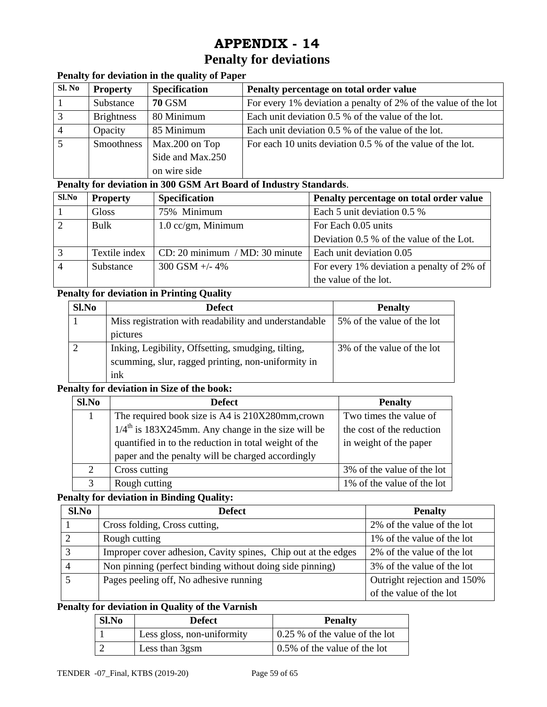# **Penalty for deviations**

# **Penalty for deviation in the quality of Paper**

| Sl. No | <b>Property</b>   | <b>Specification</b> | Penalty percentage on total order value                        |
|--------|-------------------|----------------------|----------------------------------------------------------------|
|        | Substance         | <b>70 GSM</b>        | For every 1% deviation a penalty of 2% of the value of the lot |
| 3      | <b>Brightness</b> | 80 Minimum           | Each unit deviation 0.5 % of the value of the lot.             |
|        | Opacity           | 85 Minimum           | Each unit deviation 0.5 % of the value of the lot.             |
|        | Smoothness        | Max.200 on Top       | For each 10 units deviation 0.5 % of the value of the lot.     |
|        |                   | Side and Max.250     |                                                                |
|        |                   | on wire side         |                                                                |

#### **Penalty for deviation in 300 GSM Art Board of Industry Standards**.

| Sl.No | <b>Property</b> | <b>Specification</b>             | Penalty percentage on total order value   |
|-------|-----------------|----------------------------------|-------------------------------------------|
|       | Gloss           | 75% Minimum                      | Each 5 unit deviation 0.5 %               |
|       | Bulk            | $1.0 \text{ cc/gm}$ , Minimum    | For Each 0.05 units                       |
|       |                 |                                  | Deviation 0.5 % of the value of the Lot.  |
|       | Textile index   | $CD: 20$ minimum / MD: 30 minute | Each unit deviation 0.05                  |
|       | Substance       | $300$ GSM $+/- 4\%$              | For every 1% deviation a penalty of 2% of |
|       |                 |                                  | the value of the lot.                     |

# **Penalty for deviation in Printing Quality**

| Sl.No | <b>Defect</b>                                         | <b>Penalty</b>             |
|-------|-------------------------------------------------------|----------------------------|
|       | Miss registration with readability and understandable | 5% of the value of the lot |
|       | pictures                                              |                            |
|       | Inking, Legibility, Offsetting, smudging, tilting,    | 3% of the value of the lot |
|       | scumming, slur, ragged printing, non-uniformity in    |                            |
|       | ink                                                   |                            |

# **Penalty for deviation in Size of the book:**

| Sl.No         | <b>Defect</b>                                                    | <b>Penalty</b>             |
|---------------|------------------------------------------------------------------|----------------------------|
|               | The required book size is A4 is 210X280mm, crown                 | Two times the value of     |
|               | $1/4$ <sup>th</sup> is 183X245mm. Any change in the size will be | the cost of the reduction  |
|               | quantified in to the reduction in total weight of the            | in weight of the paper     |
|               | paper and the penalty will be charged accordingly                |                            |
| $\mathcal{L}$ | Cross cutting                                                    | 3% of the value of the lot |
| $\mathbf{R}$  | Rough cutting                                                    | 1% of the value of the lot |

#### **Penalty for deviation in Binding Quality:**

| Sl.No        | Defect                                                        | <b>Penalty</b>              |
|--------------|---------------------------------------------------------------|-----------------------------|
|              | Cross folding, Cross cutting,                                 | 2% of the value of the lot  |
|              | Rough cutting                                                 | 1% of the value of the lot  |
| $\mathbf{R}$ | Improper cover adhesion, Cavity spines, Chip out at the edges | 2% of the value of the lot  |
|              | Non pinning (perfect binding without doing side pinning)      | 3% of the value of the lot  |
|              | Pages peeling off, No adhesive running                        | Outright rejection and 150% |
|              |                                                               | of the value of the lot     |

#### **Penalty for deviation in Quality of the Varnish**

| Sl.No | <b>Defect</b>              | <b>Penalty</b>                 |
|-------|----------------------------|--------------------------------|
|       | Less gloss, non-uniformity | 0.25 % of the value of the lot |
|       | Less than 3gsm             | 0.5% of the value of the lot   |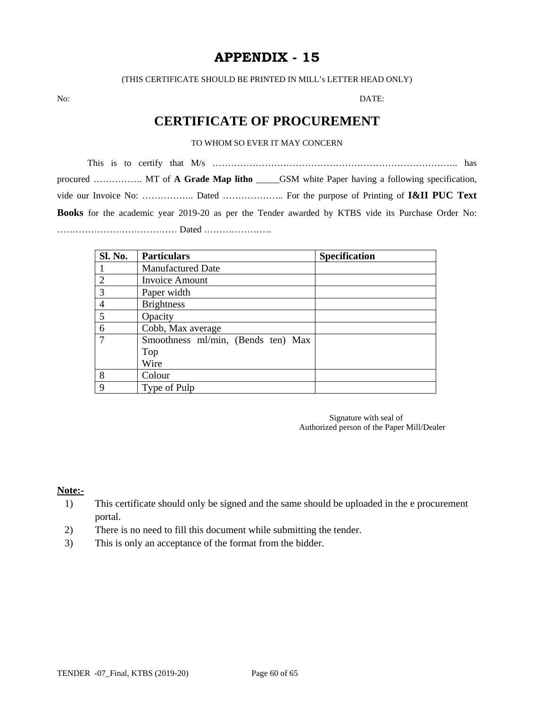(THIS CERTIFICATE SHOULD BE PRINTED IN MILL's LETTER HEAD ONLY)

No: DATE:

# **CERTIFICATE OF PROCUREMENT**

#### TO WHOM SO EVER IT MAY CONCERN

This is to certify that M/s …………………………………………………………………….. has procured ……………. MT of **A Grade Map litho** \_\_\_\_\_GSM white Paper having a following specification, vide our Invoice No: …………….. Dated ……………….. For the purpose of Printing of **I&II PUC Text Books** for the academic year 2019-20 as per the Tender awarded by KTBS vide its Purchase Order No: ………………………………… Dated ………………….

| Sl. No.        | <b>Particulars</b>                 | <b>Specification</b> |
|----------------|------------------------------------|----------------------|
|                | <b>Manufactured Date</b>           |                      |
| $\overline{2}$ | <b>Invoice Amount</b>              |                      |
| 3              | Paper width                        |                      |
| $\overline{4}$ | <b>Brightness</b>                  |                      |
| 5              | Opacity                            |                      |
| 6              | Cobb, Max average                  |                      |
| 7              | Smoothness ml/min, (Bends ten) Max |                      |
|                | Top                                |                      |
|                | Wire                               |                      |
| 8              | Colour                             |                      |
| 9              | Type of Pulp                       |                      |

 Signature with seal of Authorized person of the Paper Mill/Dealer

#### **Note:-**

- 1) This certificate should only be signed and the same should be uploaded in the e procurement portal.
- 2) There is no need to fill this document while submitting the tender.
- 3) This is only an acceptance of the format from the bidder.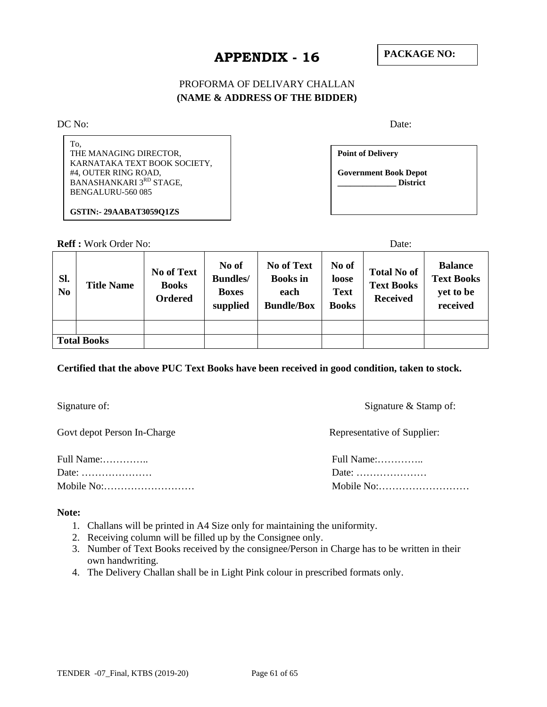## PROFORMA OF DELIVARY CHALLAN **(NAME & ADDRESS OF THE BIDDER)**

DC No: Date:

| To.<br>THE MANAGING DIRECTOR,<br>KARNATAKA TEXT BOOK SOCIETY,<br>#4, OUTER RING ROAD,<br>BANASHANKARI 3RD STAGE,<br>BENGALURU-560 085 | <b>Point of Delivery</b><br><b>Government Book Depot</b><br><b>District</b> |  |
|---------------------------------------------------------------------------------------------------------------------------------------|-----------------------------------------------------------------------------|--|
| <b>GSTIN:-29AABAT3059O1ZS</b>                                                                                                         |                                                                             |  |

**Reff :** Work Order No: Date:

| SI.<br>N <sub>0</sub> | <b>Title Name</b>  | <b>No of Text</b><br><b>Books</b><br><b>Ordered</b> | No of<br><b>Bundles</b> /<br><b>Boxes</b><br>supplied | <b>No of Text</b><br><b>Books</b> in<br>each<br><b>Bundle/Box</b> | No of<br>loose<br><b>Text</b><br><b>Books</b> | <b>Total No of</b><br><b>Text Books</b><br><b>Received</b> | <b>Balance</b><br><b>Text Books</b><br>yet to be<br>received |
|-----------------------|--------------------|-----------------------------------------------------|-------------------------------------------------------|-------------------------------------------------------------------|-----------------------------------------------|------------------------------------------------------------|--------------------------------------------------------------|
|                       |                    |                                                     |                                                       |                                                                   |                                               |                                                            |                                                              |
|                       | <b>Total Books</b> |                                                     |                                                       |                                                                   |                                               |                                                            |                                                              |

#### **Certified that the above PUC Text Books have been received in good condition, taken to stock.**

Govt depot Person In-Charge Representative of Supplier:

Full Name:………….. Full Name:………….. Date: ………………… Date: …………………

Signature of: Signature  $\&$  Stamp of: Signature  $\&$  Stamp of:

Mobile No:……………………… Mobile No:………………………

#### **Note:**

- 1. Challans will be printed in A4 Size only for maintaining the uniformity.
- 2. Receiving column will be filled up by the Consignee only.
- 3. Number of Text Books received by the consignee/Person in Charge has to be written in their own handwriting.
- 4. The Delivery Challan shall be in Light Pink colour in prescribed formats only.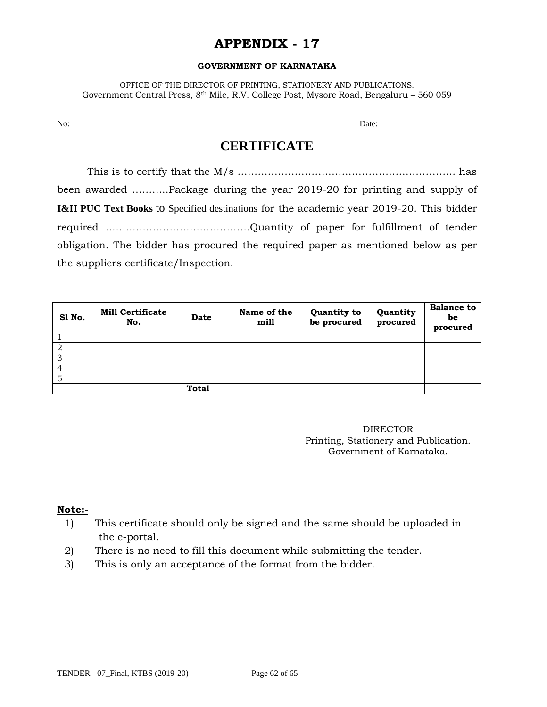#### **GOVERNMENT OF KARNATAKA**

OFFICE OF THE DIRECTOR OF PRINTING, STATIONERY AND PUBLICATIONS. Government Central Press, 8th Mile, R.V. College Post, Mysore Road, Bengaluru – 560 059

No: Date:

# **CERTIFICATE**

 This is to certify that the M/s ……………………………………………………….. has been awarded ………..Package during the year 2019-20 for printing and supply of **I&II PUC Text Books** to Specified destinations for the academic year 2019-20. This bidder required …………………………………….Quantity of paper for fulfillment of tender obligation. The bidder has procured the required paper as mentioned below as per the suppliers certificate/Inspection.

| S1 No. | <b>Mill Certificate</b><br>No. | <b>Date</b> | Name of the<br>mill | Quantity to<br>be procured | Quantity<br>procured | <b>Balance to</b><br>be<br>procured |
|--------|--------------------------------|-------------|---------------------|----------------------------|----------------------|-------------------------------------|
|        |                                |             |                     |                            |                      |                                     |
| 2      |                                |             |                     |                            |                      |                                     |
| 3      |                                |             |                     |                            |                      |                                     |
|        |                                |             |                     |                            |                      |                                     |
| 5      |                                |             |                     |                            |                      |                                     |
|        | <b>Total</b>                   |             |                     |                            |                      |                                     |

DIRECTOR Printing, Stationery and Publication. Government of Karnataka.

#### **Note:-**

- 1) This certificate should only be signed and the same should be uploaded in the e-portal.
- 2) There is no need to fill this document while submitting the tender.
- 3) This is only an acceptance of the format from the bidder.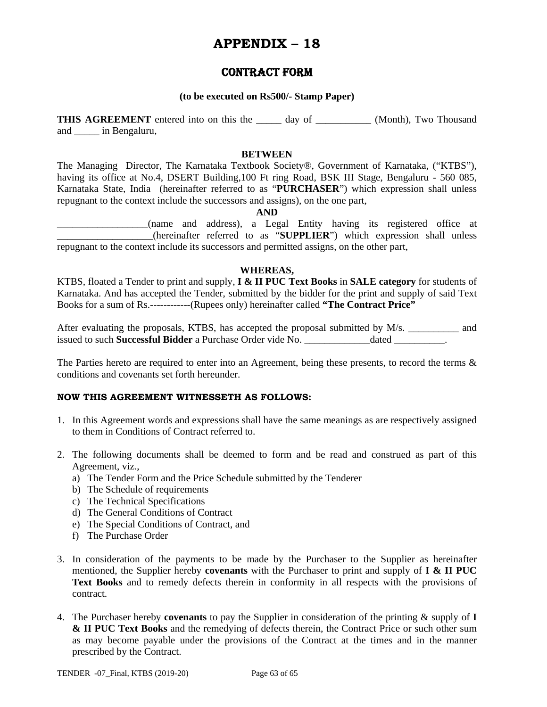# **APPENDIX – 18**

# CONTRACT FORM

#### **(to be executed on Rs500/- Stamp Paper)**

**THIS AGREEMENT** entered into on this the day of (Month), Two Thousand and \_\_\_\_\_ in Bengaluru,

#### **BETWEEN**

The Managing Director, The Karnataka Textbook Society®, Government of Karnataka, ("KTBS"), having its office at No.4, DSERT Building, 100 Ft ring Road, BSK III Stage, Bengaluru - 560 085, Karnataka State, India (hereinafter referred to as "**PURCHASER**") which expression shall unless repugnant to the context include the successors and assigns), on the one part,

**AND** 

\_\_\_\_\_\_\_\_\_\_\_\_\_\_\_\_\_\_(name and address), a Legal Entity having its registered office at \_\_\_\_\_\_\_\_\_\_\_\_\_\_\_\_\_\_\_(hereinafter referred to as "**SUPPLIER**") which expression shall unless repugnant to the context include its successors and permitted assigns, on the other part,

#### **WHEREAS,**

KTBS, floated a Tender to print and supply, **I & II PUC Text Books** in **SALE category** for students of Karnataka. And has accepted the Tender, submitted by the bidder for the print and supply of said Text Books for a sum of Rs.------------(Rupees only) hereinafter called **"The Contract Price"**

After evaluating the proposals, KTBS, has accepted the proposal submitted by M/s. \_\_\_\_\_\_\_\_\_ and issued to such **Successful Bidder** a Purchase Order vide No. \_\_\_\_\_\_\_\_\_\_\_\_\_dated \_\_\_\_\_\_\_\_\_\_.

The Parties hereto are required to enter into an Agreement, being these presents, to record the terms  $\&$ conditions and covenants set forth hereunder.

#### **NOW THIS AGREEMENT WITNESSETH AS FOLLOWS:**

- 1. In this Agreement words and expressions shall have the same meanings as are respectively assigned to them in Conditions of Contract referred to.
- 2. The following documents shall be deemed to form and be read and construed as part of this Agreement, viz.,
	- a) The Tender Form and the Price Schedule submitted by the Tenderer
	- b) The Schedule of requirements
	- c) The Technical Specifications
	- d) The General Conditions of Contract
	- e) The Special Conditions of Contract, and
	- f) The Purchase Order
- 3. In consideration of the payments to be made by the Purchaser to the Supplier as hereinafter mentioned, the Supplier hereby **covenants** with the Purchaser to print and supply of **I & II PUC Text Books** and to remedy defects therein in conformity in all respects with the provisions of contract.
- 4. The Purchaser hereby **covenants** to pay the Supplier in consideration of the printing & supply of **I & II PUC Text Books** and the remedying of defects therein, the Contract Price or such other sum as may become payable under the provisions of the Contract at the times and in the manner prescribed by the Contract.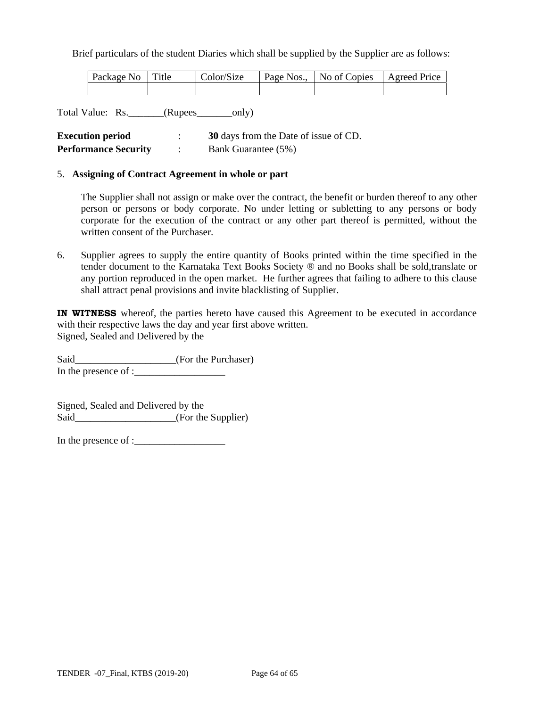Brief particulars of the student Diaries which shall be supplied by the Supplier are as follows:

| Package No Title | Color/Size | Page Nos., No of Copies Agreed Price |  |
|------------------|------------|--------------------------------------|--|
|                  |            |                                      |  |

Total Value: Rs.\_\_\_\_\_\_\_(Rupees\_\_\_\_\_\_\_only)

| <b>Execution period</b>     | 30 days from the Date of issue of CD. |
|-----------------------------|---------------------------------------|
| <b>Performance Security</b> | Bank Guarantee (5%)                   |

#### 5. **Assigning of Contract Agreement in whole or part**

The Supplier shall not assign or make over the contract, the benefit or burden thereof to any other person or persons or body corporate. No under letting or subletting to any persons or body corporate for the execution of the contract or any other part thereof is permitted, without the written consent of the Purchaser.

6. Supplier agrees to supply the entire quantity of Books printed within the time specified in the tender document to the Karnataka Text Books Society ® and no Books shall be sold,translate or any portion reproduced in the open market. He further agrees that failing to adhere to this clause shall attract penal provisions and invite blacklisting of Supplier.

**IN WITNESS** whereof, the parties hereto have caused this Agreement to be executed in accordance with their respective laws the day and year first above written. Signed, Sealed and Delivered by the

Said\_\_\_\_\_\_\_\_\_\_\_\_\_\_\_\_\_\_\_\_\_\_(For the Purchaser) In the presence of : $\frac{1}{2}$ 

Signed, Sealed and Delivered by the Said\_\_\_\_\_\_\_\_\_\_\_\_\_\_\_\_\_\_\_\_\_\_(For the Supplier)

In the presence of :\_\_\_\_\_\_\_\_\_\_\_\_\_\_\_\_\_\_